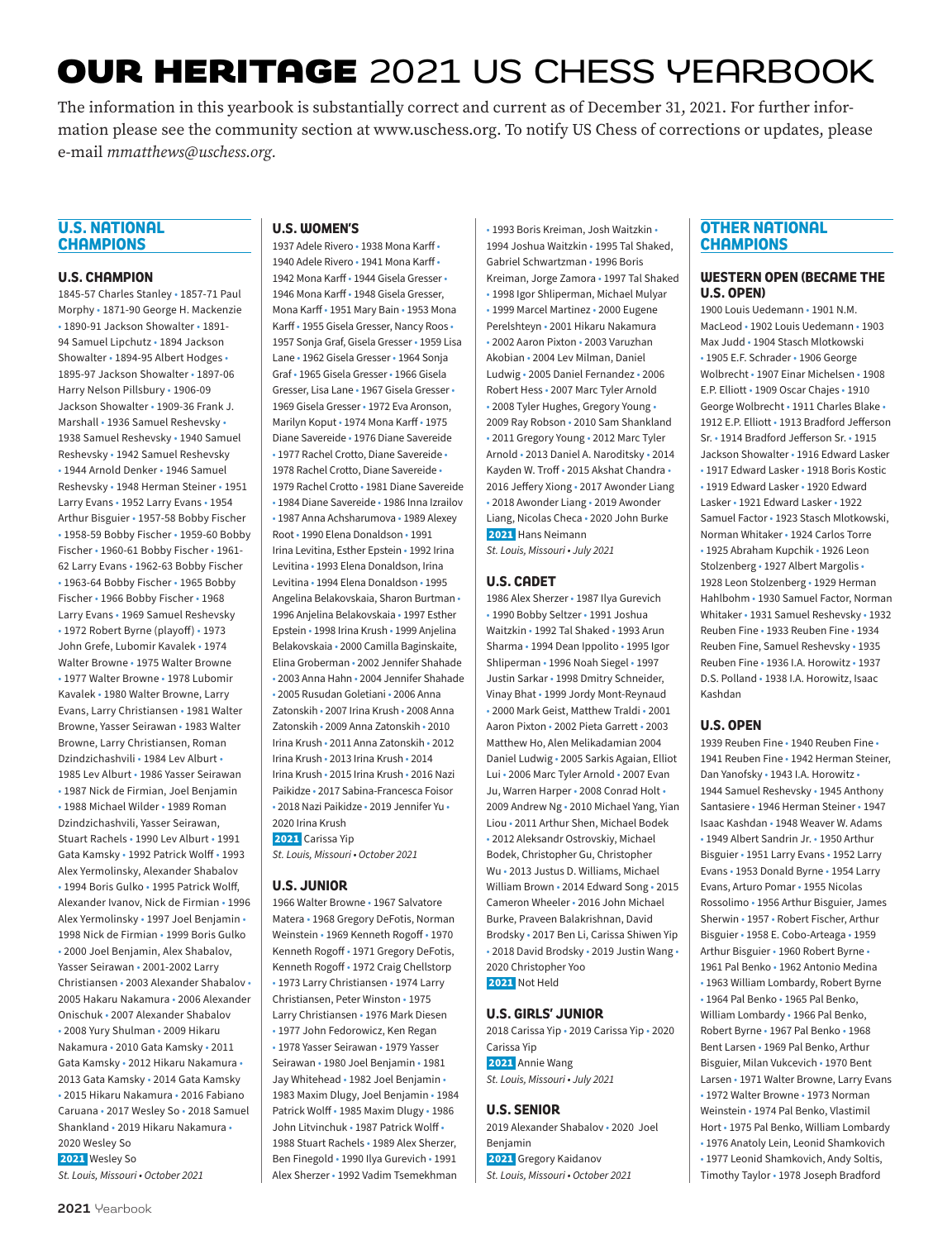# **OUR HERITAGE** 2021 US CHESS YEARBOOK

The information in this yearbook is substantially correct and current as of December 31, 2021. For further information please see the community section at www.uschess.org. To notify US Chess of corrections or updates, please e-mail *mmatthews@uschess.org.*

### **U.S. NATIONAL CHAMPIONS**

### **U.S. CHAMPION**

1845-57 Charles Stanley • 1857-71 Paul Morphy • 1871-90 George H. Mackenzie • 1890-91 Jackson Showalter • 1891- 94 Samuel Lipchutz • 1894 Jackson Showalter • 1894-95 Albert Hodges • 1895-97 Jackson Showalter • 1897-06 Harry Nelson Pillsbury • 1906-09 Jackson Showalter • 1909-36 Frank J. Marshall • 1936 Samuel Reshevsky • 1938 Samuel Reshevsky • 1940 Samuel Reshevsky • 1942 Samuel Reshevsky • 1944 Arnold Denker • 1946 Samuel Reshevsky • 1948 Herman Steiner • 1951 Larry Evans • 1952 Larry Evans • 1954 Arthur Bisguier • 1957-58 Bobby Fischer • 1958-59 Bobby Fischer • 1959-60 Bobby Fischer • 1960-61 Bobby Fischer • 1961- 62 Larry Evans • 1962-63 Bobby Fischer • 1963-64 Bobby Fischer • 1965 Bobby Fischer • 1966 Bobby Fischer • 1968 Larry Evans • 1969 Samuel Reshevsky • 1972 Robert Byrne (playoff) • 1973 John Grefe, Lubomir Kavalek • 1974 Walter Browne • 1975 Walter Browne • 1977 Walter Browne • 1978 Lubomir Kavalek • 1980 Walter Browne, Larry Evans, Larry Christiansen • 1981 Walter Browne, Yasser Seirawan • 1983 Walter Browne, Larry Christiansen, Roman Dzindzichashvili • 1984 Lev Alburt • 1985 Lev Alburt • 1986 Yasser Seirawan • 1987 Nick de Firmian, Joel Benjamin • 1988 Michael Wilder • 1989 Roman Dzindzichashvili, Yasser Seirawan, Stuart Rachels • 1990 Lev Alburt • 1991 Gata Kamsky • 1992 Patrick Wolff • 1993 Alex Yermolinsky, Alexander Shabalov • 1994 Boris Gulko • 1995 Patrick Wolff, Alexander Ivanov, Nick de Firmian • 1996 Alex Yermolinsky • 1997 Joel Benjamin • 1998 Nick de Firmian • 1999 Boris Gulko • 2000 Joel Benjamin, Alex Shabalov, Yasser Seirawan • 2001-2002 Larry Christiansen • 2003 Alexander Shabalov • 2005 Hakaru Nakamura • 2006 Alexander Onischuk • 2007 Alexander Shabalov • 2008 Yury Shulman • 2009 Hikaru Nakamura • 2010 Gata Kamsky • 2011 Gata Kamsky • 2012 Hikaru Nakamura • 2013 Gata Kamsky • 2014 Gata Kamsky • 2015 Hikaru Nakamura • 2016 Fabiano Caruana • 2017 Wesley So • 2018 Samuel Shankland • 2019 Hikaru Nakamura • 2020 Wesley So 2021 Wesley So *St. Louis, Missouri • October 2021*

### **U.S. WOMEN'S**

1937 Adele Rivero • 1938 Mona Karff • 1940 Adele Rivero • 1941 Mona Karff • 1942 Mona Karff • 1944 Gisela Gresser • 1946 Mona Karff • 1948 Gisela Gresser, Mona Karff • 1951 Mary Bain • 1953 Mona Karff • 1955 Gisela Gresser, Nancy Roos • 1957 Sonja Graf, Gisela Gresser • 1959 Lisa Lane • 1962 Gisela Gresser • 1964 Sonja Graf • 1965 Gisela Gresser • 1966 Gisela Gresser, Lisa Lane • 1967 Gisela Gresser • 1969 Gisela Gresser • 1972 Eva Aronson, Marilyn Koput • 1974 Mona Karff • 1975 Diane Savereide • 1976 Diane Savereide • 1977 Rachel Crotto, Diane Savereide • 1978 Rachel Crotto, Diane Savereide • 1979 Rachel Crotto • 1981 Diane Savereide • 1984 Diane Savereide • 1986 Inna Izrailov • 1987 Anna Achsharumova • 1989 Alexey Root • 1990 Elena Donaldson • 1991 Irina Levitina, Esther Epstein • 1992 Irina Levitina • 1993 Elena Donaldson, Irina Levitina • 1994 Elena Donaldson • 1995 Angelina Belakovskaia, Sharon Burtman • 1996 Anjelina Belakovskaia • 1997 Esther Epstein • 1998 Irina Krush • 1999 Anjelina Belakovskaia • 2000 Camilla Baginskaite, Elina Groberman • 2002 Jennifer Shahade • 2003 Anna Hahn • 2004 Jennifer Shahade • 2005 Rusudan Goletiani • 2006 Anna Zatonskih • 2007 Irina Krush • 2008 Anna Zatonskih • 2009 Anna Zatonskih • 2010 Irina Krush • 2011 Anna Zatonskih • 2012 Irina Krush • 2013 Irina Krush • 2014 Irina Krush • 2015 Irina Krush • 2016 Nazi Paikidze • 2017 Sabina-Francesca Foisor • 2018 Nazi Paikidze • 2019 Jennifer Yu • 2020 Irina Krush

2021 Carissa Yip *St. Louis, Missouri • October 2021*

### **U.S. JUNIOR**

1966 Walter Browne • 1967 Salvatore Matera • 1968 Gregory DeFotis, Norman Weinstein • 1969 Kenneth Rogoff • 1970 Kenneth Rogoff • 1971 Gregory DeFotis, Kenneth Rogoff • 1972 Craig Chellstorp • 1973 Larry Christiansen • 1974 Larry Christiansen, Peter Winston • 1975 Larry Christiansen • 1976 Mark Diesen • 1977 John Fedorowicz, Ken Regan • 1978 Yasser Seirawan • 1979 Yasser Seirawan • 1980 Joel Benjamin • 1981 Jay Whitehead • 1982 Joel Benjamin • 1983 Maxim Dlugy, Joel Benjamin • 1984 Patrick Wolff • 1985 Maxim Dlugy • 1986 John Litvinchuk • 1987 Patrick Wolff • 1988 Stuart Rachels • 1989 Alex Sherzer, Ben Finegold • 1990 Ilya Gurevich • 1991 Alex Sherzer • 1992 Vadim Tsemekhman

• 1993 Boris Kreiman, Josh Waitzkin • 1994 Joshua Waitzkin • 1995 Tal Shaked, Gabriel Schwartzman • 1996 Boris Kreiman, Jorge Zamora • 1997 Tal Shaked • 1998 Igor Shliperman, Michael Mulyar • 1999 Marcel Martinez • 2000 Eugene Perelshteyn • 2001 Hikaru Nakamura • 2002 Aaron Pixton • 2003 Varuzhan Akobian • 2004 Lev Milman, Daniel Ludwig • 2005 Daniel Fernandez • 2006 Robert Hess • 2007 Marc Tyler Arnold • 2008 Tyler Hughes, Gregory Young • 2009 Ray Robson • 2010 Sam Shankland • 2011 Gregory Young • 2012 Marc Tyler Arnold • 2013 Daniel A. Naroditsky • 2014 Kayden W. Troff • 2015 Akshat Chandra • 2016 Jeffery Xiong • 2017 Awonder Liang • 2018 Awonder Liang • 2019 Awonder Liang, Nicolas Checa • 2020 John Burke 2021 Hans Neimann *St. Louis, Missouri • July 2021*

### **U.S. CADET**

1986 Alex Sherzer • 1987 Ilya Gurevich • 1990 Bobby Seltzer • 1991 Joshua Waitzkin • 1992 Tal Shaked • 1993 Arun Sharma • 1994 Dean Inpolito • 1995 Igor Shliperman • 1996 Noah Siegel • 1997 Justin Sarkar • 1998 Dmitry Schneider, Vinay Bhat • 1999 Jordy Mont-Reynaud • 2000 Mark Geist, Matthew Traldi • 2001 Aaron Pixton • 2002 Pieta Garrett • 2003 Matthew Ho, Alen Melikadamian 2004 Daniel Ludwig • 2005 Sarkis Agaian, Elliot Lui • 2006 Marc Tyler Arnold • 2007 Evan Ju, Warren Harper • 2008 Conrad Holt • 2009 Andrew Ng • 2010 Michael Yang, Yian Liou • 2011 Arthur Shen, Michael Bodek • 2012 Aleksandr Ostrovskiy, Michael Bodek, Christopher Gu, Christopher Wu • 2013 Justus D. Williams, Michael William Brown • 2014 Edward Song • 2015 Cameron Wheeler • 2016 John Michael Burke, Praveen Balakrishnan, David Brodsky • 2017 Ben Li, Carissa Shiwen Yip • 2018 David Brodsky • 2019 Justin Wang • 2020 Christopher Yoo 2021 Not Held

### **U.S. GIRLS' JUNIOR**

2018 Carissa Yip • 2019 Carissa Yip • 2020 Carissa Yip 2021 Annie Wang *St. Louis, Missouri • July 2021*

### **U.S. SENIOR**

2019 Alexander Shabalov • 2020 Joel Benjamin 2021 Gregory Kaidanov *St. Louis, Missouri • October 2021*

### **OTHER NATIONAL CHAMPIONS**

### **WESTERN OPEN (BECAME THE U.S. OPEN)**

1900 Louis Uedemann • 1901 N.M. MacLeod • 1902 Louis Uedemann • 1903 Max Judd • 1904 Stasch Mlotkowski • 1905 E.F. Schrader • 1906 George Wolbrecht • 1907 Einar Michelsen • 1908 E.P. Elliott • 1909 Oscar Chajes • 1910 George Wolbrecht • 1911 Charles Blake • 1912 E.P. Elliott • 1913 Bradford Jefferson Sr. • 1914 Bradford Jefferson Sr. • 1915 Jackson Showalter • 1916 Edward Lasker • 1917 Edward Lasker • 1918 Boris Kostic • 1919 Edward Lasker • 1920 Edward Lasker • 1921 Edward Lasker • 1922 Samuel Factor • 1923 Stasch Mlotkowski, Norman Whitaker • 1924 Carlos Torre • 1925 Abraham Kupchik • 1926 Leon Stolzenberg • 1927 Albert Margolis • 1928 Leon Stolzenberg • 1929 Herman Hahlbohm • 1930 Samuel Factor, Norman Whitaker • 1931 Samuel Reshevsky • 1932 Reuben Fine • 1933 Reuben Fine • 1934 Reuben Fine, Samuel Reshevsky • 1935 Reuben Fine • 1936 I.A. Horowitz • 1937 D.S. Polland • 1938 I.A. Horowitz, Isaac Kashdan

### **U.S. OPEN**

1939 Reuben Fine • 1940 Reuben Fine • 1941 Reuben Fine • 1942 Herman Steiner, Dan Yanofsky • 1943 I.A. Horowitz • 1944 Samuel Reshevsky • 1945 Anthony Santasiere • 1946 Herman Steiner • 1947 Isaac Kashdan • 1948 Weaver W. Adams • 1949 Albert Sandrin Jr. • 1950 Arthur Bisguier • 1951 Larry Evans • 1952 Larry Evans • 1953 Donald Byrne • 1954 Larry Evans, Arturo Pomar • 1955 Nicolas Rossolimo • 1956 Arthur Bisguier, James Sherwin • 1957 • Robert Fischer, Arthur Bisguier • 1958 E. Cobo-Arteaga • 1959 Arthur Bisguier • 1960 Robert Byrne • 1961 Pal Benko • 1962 Antonio Medina • 1963 William Lombardy, Robert Byrne • 1964 Pal Benko • 1965 Pal Benko, William Lombardy • 1966 Pal Benko, Robert Byrne • 1967 Pal Benko • 1968 Bent Larsen • 1969 Pal Benko, Arthur Bisguier, Milan Vukcevich • 1970 Bent Larsen • 1971 Walter Browne, Larry Evans • 1972 Walter Browne • 1973 Norman Weinstein • 1974 Pal Benko, Vlastimil Hort • 1975 Pal Benko, William Lombardy • 1976 Anatoly Lein, Leonid Shamkovich • 1977 Leonid Shamkovich, Andy Soltis, Timothy Taylor • 1978 Joseph Bradford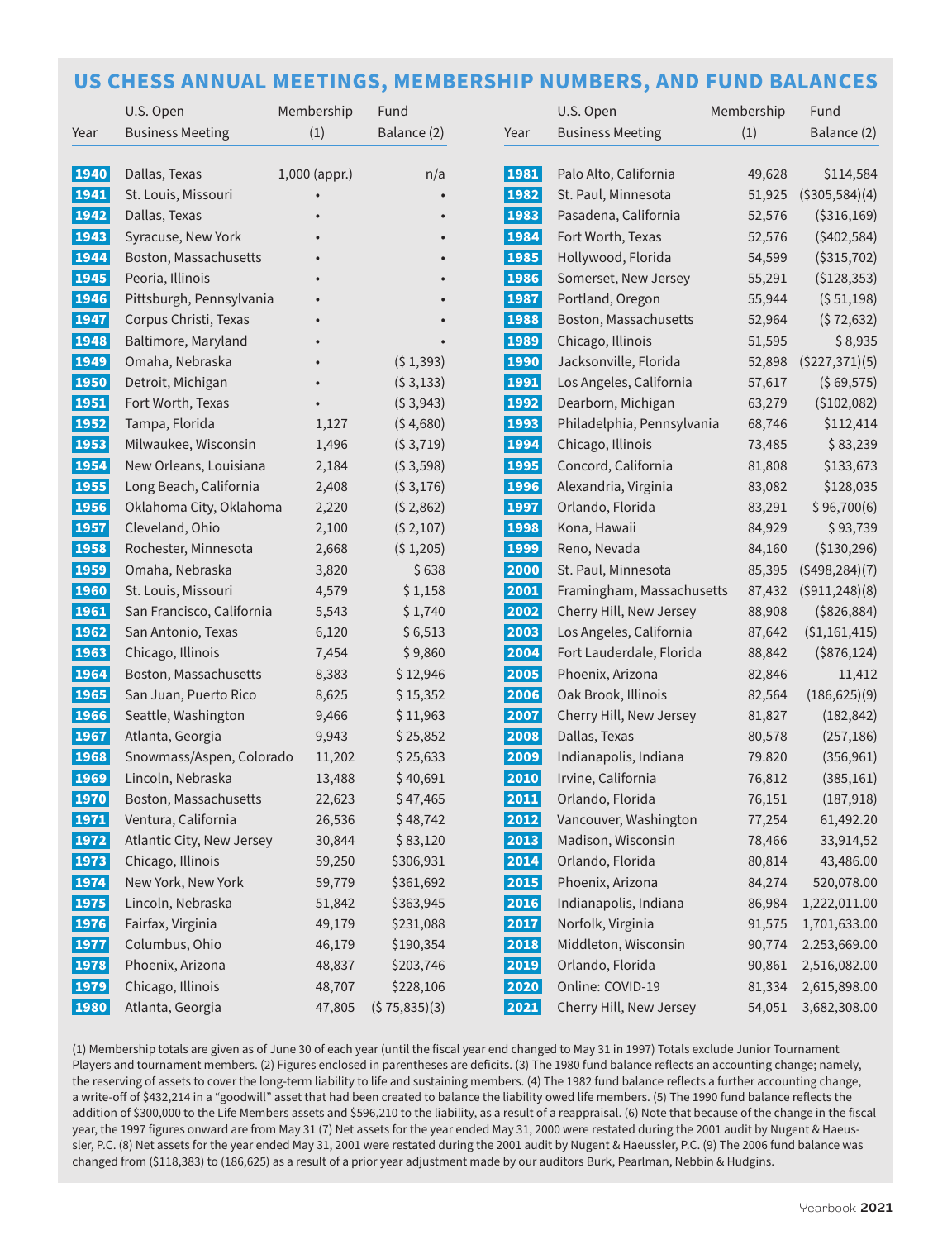## **US CHESS ANNUAL MEETINGS, MEMBERSHIP NUMBERS, AND FUND BALANCES**

|             | U.S. Open                 | Membership      | Fund         |      | U.S. Open                  | Membership | Fund            |
|-------------|---------------------------|-----------------|--------------|------|----------------------------|------------|-----------------|
| Year        | <b>Business Meeting</b>   | (1)             | Balance (2)  | Year | <b>Business Meeting</b>    | (1)        | Balance (2)     |
|             |                           |                 |              |      |                            |            |                 |
| 1940        | Dallas, Texas             | $1,000$ (appr.) | n/a          | 1981 | Palo Alto, California      | 49,628     | \$114,584       |
| 1941        | St. Louis, Missouri       |                 |              | 1982 | St. Paul, Minnesota        | 51,925     | ( \$305,584)(4) |
| 1942        | Dallas, Texas             |                 |              | 1983 | Pasadena, California       | 52,576     | ( \$316,169)    |
| 1943        | Syracuse, New York        |                 |              | 1984 | Fort Worth, Texas          | 52,576     | $($ \$402,584)  |
| 1944        | Boston, Massachusetts     |                 |              | 1985 | Hollywood, Florida         | 54,599     | ( \$315, 702)   |
| 1945        | Peoria, Illinois          |                 |              | 1986 | Somerset, New Jersey       | 55,291     | (\$128,353)     |
| 1946        | Pittsburgh, Pennsylvania  |                 |              | 1987 | Portland, Oregon           | 55,944     | (551,198)       |
| 1947        | Corpus Christi, Texas     |                 |              | 1988 | Boston, Massachusetts      | 52,964     | (572, 632)      |
| 1948        | Baltimore, Maryland       |                 |              | 1989 | Chicago, Illinois          | 51,595     | \$8,935         |
| <b>1949</b> | Omaha, Nebraska           |                 | (51,393)     | 1990 | Jacksonville, Florida      | 52,898     | (\$227,371)(5)  |
| 1950        | Detroit, Michigan         |                 | (53, 133)    | 1991 | Los Angeles, California    | 57,617     | ( \$69,575)     |
| 1951        | Fort Worth, Texas         |                 | (53,943)     | 1992 | Dearborn, Michigan         | 63,279     | (\$102,082)     |
| 1952        | Tampa, Florida            | 1,127           | (\$4,680)    | 1993 | Philadelphia, Pennsylvania | 68,746     | \$112,414       |
| 1953        | Milwaukee, Wisconsin      | 1,496           | (53,719)     | 1994 | Chicago, Illinois          | 73,485     | \$83,239        |
| 1954        | New Orleans, Louisiana    | 2,184           | (53,598)     | 1995 | Concord, California        | 81,808     | \$133,673       |
| 1955        | Long Beach, California    | 2,408           | ( \$3,176)   | 1996 | Alexandria, Virginia       | 83,082     | \$128,035       |
| 1956        | Oklahoma City, Oklahoma   | 2,220           | (52,862)     | 1997 | Orlando, Florida           | 83,291     | \$96,700(6)     |
| 1957        | Cleveland, Ohio           | 2,100           | (52,107)     | 1998 | Kona, Hawaii               | 84,929     | \$93,739        |
| 1958        | Rochester, Minnesota      | 2,668           | (51,205)     | 1999 | Reno, Nevada               | 84,160     | (\$130,296)     |
| 1959        | Omaha, Nebraska           | 3,820           | \$638        | 2000 | St. Paul, Minnesota        | 85,395     | (5498, 284)(7)  |
| 1960        | St. Louis, Missouri       | 4,579           | \$1,158      | 2001 | Framingham, Massachusetts  | 87,432     | (5911, 248)(8)  |
| 1961        | San Francisco, California | 5,543           | \$1,740      | 2002 | Cherry Hill, New Jersey    | 88,908     | ( \$826, 884)   |
| 1962        | San Antonio, Texas        | 6,120           | \$6,513      | 2003 | Los Angeles, California    | 87,642     | (\$1,161,415)   |
| 1963        | Chicago, Illinois         | 7,454           | \$9,860      | 2004 | Fort Lauderdale, Florida   | 88,842     | $($ \$876,124)  |
| 1964        | Boston, Massachusetts     | 8,383           | \$12,946     | 2005 | Phoenix, Arizona           | 82,846     | 11,412          |
| 1965        | San Juan, Puerto Rico     | 8,625           | \$15,352     | 2006 | Oak Brook, Illinois        | 82,564     | (186, 625)(9)   |
| 1966        | Seattle, Washington       | 9,466           | \$11,963     | 2007 | Cherry Hill, New Jersey    | 81,827     | (182, 842)      |
| 1967        | Atlanta, Georgia          | 9,943           | \$25,852     | 2008 | Dallas, Texas              | 80,578     | (257, 186)      |
| 1968        | Snowmass/Aspen, Colorado  | 11,202          | \$25,633     | 2009 | Indianapolis, Indiana      | 79.820     | (356, 961)      |
| 1969        | Lincoln, Nebraska         | 13,488          | \$40,691     | 2010 | Irvine, California         | 76,812     | (385, 161)      |
| 1970        | Boston, Massachusetts     | 22,623          | \$47,465     | 2011 | Orlando, Florida           | 76,151     | (187, 918)      |
| 1971        | Ventura, California       | 26,536          | \$48,742     | 2012 | Vancouver, Washington      | 77,254     | 61,492.20       |
| 1972        | Atlantic City, New Jersey | 30,844          | \$83,120     | 2013 | Madison, Wisconsin         | 78,466     | 33,914,52       |
| 1973        | Chicago, Illinois         | 59,250          | \$306,931    | 2014 | Orlando, Florida           | 80,814     | 43,486.00       |
| 1974        | New York, New York        | 59,779          | \$361,692    | 2015 | Phoenix, Arizona           | 84,274     | 520,078.00      |
| 1975        | Lincoln, Nebraska         | 51,842          | \$363,945    | 2016 | Indianapolis, Indiana      | 86,984     | 1,222,011.00    |
| 1976        | Fairfax, Virginia         | 49,179          | \$231,088    | 2017 | Norfolk, Virginia          | 91,575     | 1,701,633.00    |
| 1977        | Columbus, Ohio            | 46,179          | \$190,354    | 2018 | Middleton, Wisconsin       | 90,774     | 2.253,669.00    |
| 1978        | Phoenix, Arizona          | 48,837          | \$203,746    | 2019 | Orlando, Florida           | 90,861     | 2,516,082.00    |
| <b>1979</b> | Chicago, Illinois         | 48,707          | \$228,106    | 2020 | Online: COVID-19           | 81,334     | 2,615,898.00    |
| 1980        | Atlanta, Georgia          | 47,805          | (575,835)(3) | 2021 | Cherry Hill, New Jersey    | 54,051     | 3,682,308.00    |

(1) Membership totals are given as of June 30 of each year (until the fiscal year end changed to May 31 in 1997) Totals exclude Junior Tournament Players and tournament members. (2) Figures enclosed in parentheses are deficits. (3) The 1980 fund balance reflects an accounting change; namely, the reserving of assets to cover the long-term liability to life and sustaining members. (4) The 1982 fund balance reflects a further accounting change, a write-off of \$432,214 in a "goodwill" asset that had been created to balance the liability owed life members. (5) The 1990 fund balance reflects the addition of \$300,000 to the Life Members assets and \$596,210 to the liability, as a result of a reappraisal. (6) Note that because of the change in the fiscal year, the 1997 figures onward are from May 31 (7) Net assets for the year ended May 31, 2000 were restated during the 2001 audit by Nugent & Haeussler, P.C. (8) Net assets for the year ended May 31, 2001 were restated during the 2001 audit by Nugent & Haeussler, P.C. (9) The 2006 fund balance was changed from (\$118,383) to (186,625) as a result of a prior year adjustment made by our auditors Burk, Pearlman, Nebbin & Hudgins.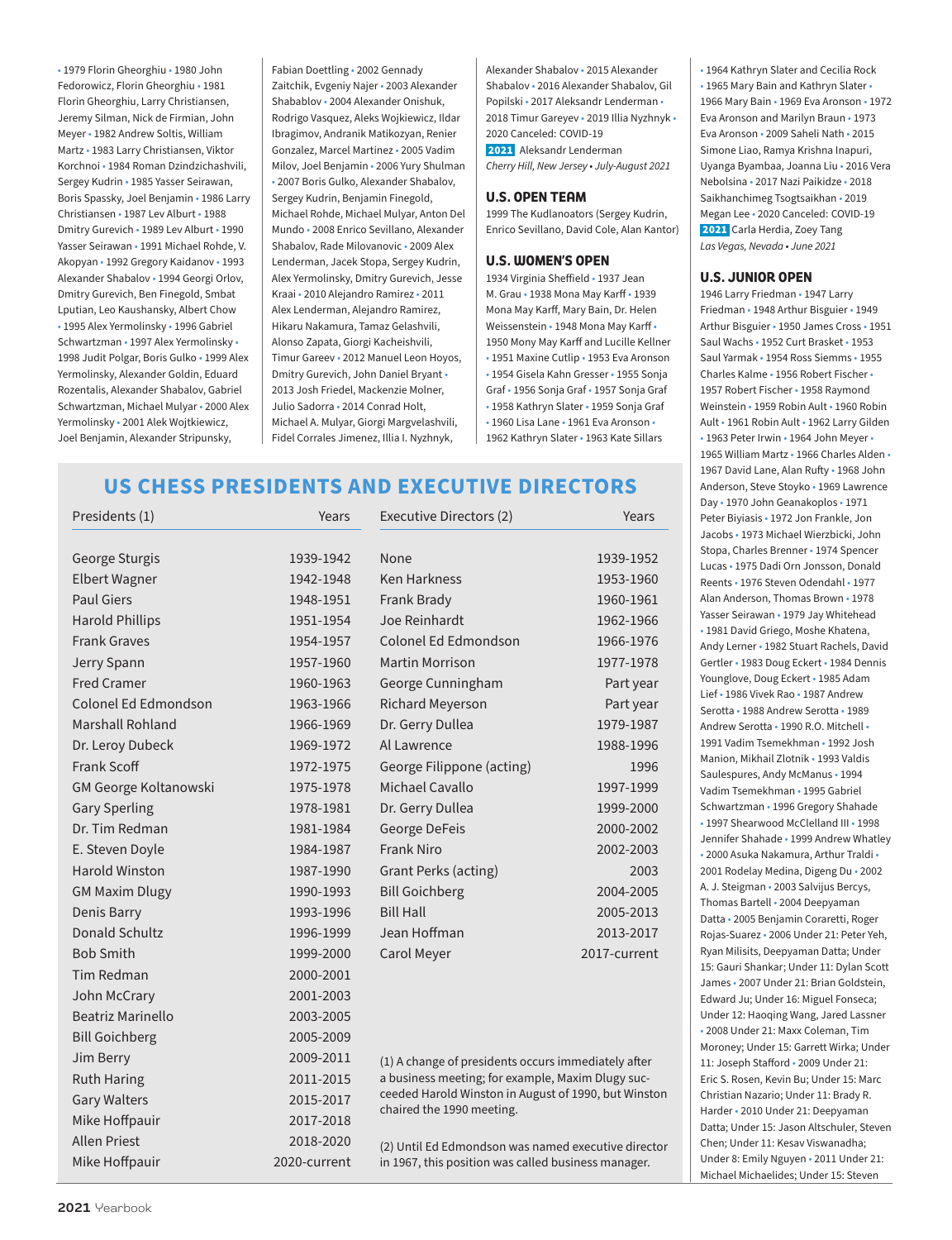• 1979 Florin Gheorghiu • 1980 John Fedorowicz, Florin Gheorghiu • 1981 Florin Gheorghiu, Larry Christiansen, Jeremy Silman, Nick de Firmian, John Meyer • 1982 Andrew Soltis, William Martz • 1983 Larry Christiansen, Viktor Korchnoi • 1984 Roman Dzindzichashvili, Sergey Kudrin • 1985 Yasser Seirawan, Boris Spassky, Joel Benjamin • 1986 Larry Christiansen • 1987 Lev Alburt • 1988 Dmitry Gurevich • 1989 Lev Alburt • 1990 Yasser Seirawan • 1991 Michael Rohde, V. Akopyan • 1992 Gregory Kaidanov • 1993 Alexander Shabalov • 1994 Georgi Orlov, Dmitry Gurevich, Ben Finegold, Smbat Lputian, Leo Kaushansky, Albert Chow • 1995 Alex Yermolinsky • 1996 Gabriel Schwartzman • 1997 Alex Yermolinsky • 1998 Judit Polgar, Boris Gulko • 1999 Alex Yermolinsky, Alexander Goldin, Eduard Rozentalis, Alexander Shabalov, Gabriel Schwartzman, Michael Mulyar • 2000 Alex Yermolinsky • 2001 Alek Wojtkiewicz, Joel Benjamin, Alexander Stripunsky,

Fabian Doettling • 2002 Gennady Zaitchik, Evgeniy Najer • 2003 Alexander Shabablov • 2004 Alexander Onishuk, Rodrigo Vasquez, Aleks Wojkiewicz, Ildar Ibragimov, Andranik Matikozyan, Renier Gonzalez, Marcel Martinez • 2005 Vadim Milov, Joel Benjamin • 2006 Yury Shulman • 2007 Boris Gulko, Alexander Shabalov, Sergey Kudrin, Benjamin Finegold, Michael Rohde, Michael Mulyar, Anton Del Mundo • 2008 Enrico Sevillano, Alexander Shabalov, Rade Milovanovic • 2009 Alex Lenderman, Jacek Stopa, Sergey Kudrin, Alex Yermolinsky, Dmitry Gurevich, Jesse Kraai • 2010 Alejandro Ramirez • 2011 Alex Lenderman, Alejandro Ramirez, Hikaru Nakamura, Tamaz Gelashvili, Alonso Zapata, Giorgi Kacheishvili, Timur Gareev • 2012 Manuel Leon Hoyos, Dmitry Gurevich, John Daniel Bryant • 2013 Josh Friedel, Mackenzie Molner, Julio Sadorra • 2014 Conrad Holt, Michael A. Mulyar, Giorgi Margvelashvili, Fidel Corrales Jimenez, Illia I. Nyzhnyk,

Alexander Shabalov • 2015 Alexander Shabalov • 2016 Alexander Shabalov, Gil Popilski • 2017 Aleksandr Lenderman • 2018 Timur Gareyev • 2019 Illia Nyzhnyk • 2020 Canceled: COVID-19 2021 Aleksandr Lenderman *Cherry Hill, New Jersey • July-August 2021*

### **U.S. OPEN TEAM**

1999 The Kudlanoators (Sergey Kudrin, Enrico Sevillano, David Cole, Alan Kantor)

### **U.S. WOMEN'S OPEN**

1934 Virginia Sheffield • 1937 Jean M. Grau • 1938 Mona May Karff • 1939 Mona May Karff, Mary Bain, Dr. Helen Weissenstein • 1948 Mona May Karff • 1950 Mony May Karff and Lucille Kellner • 1951 Maxine Cutlip • 1953 Eva Aronson • 1954 Gisela Kahn Gresser • 1955 Sonja Graf • 1956 Sonja Graf • 1957 Sonja Graf • 1958 Kathryn Slater • 1959 Sonja Graf • 1960 Lisa Lane • 1961 Eva Aronson • 1962 Kathryn Slater • 1963 Kate Sillars

## **US CHESS PRESIDENTS AND EXECUTIVE DIRECTORS**

| Presidents (1)               | Years        | Executive Directors (2)                                                                                                                                          | Years        |  |
|------------------------------|--------------|------------------------------------------------------------------------------------------------------------------------------------------------------------------|--------------|--|
| George Sturgis               | 1939-1942    | None                                                                                                                                                             | 1939-1952    |  |
| <b>Elbert Wagner</b>         | 1942-1948    | <b>Ken Harkness</b>                                                                                                                                              | 1953-1960    |  |
| <b>Paul Giers</b>            | 1948-1951    | Frank Brady                                                                                                                                                      | 1960-1961    |  |
| <b>Harold Phillips</b>       | 1951-1954    | Joe Reinhardt                                                                                                                                                    | 1962-1966    |  |
| <b>Frank Graves</b>          | 1954-1957    | Colonel Ed Edmondson                                                                                                                                             | 1966-1976    |  |
| Jerry Spann                  | 1957-1960    | <b>Martin Morrison</b>                                                                                                                                           | 1977-1978    |  |
| <b>Fred Cramer</b>           | 1960-1963    | George Cunningham                                                                                                                                                | Part year    |  |
| Colonel Ed Edmondson         | 1963-1966    | <b>Richard Meyerson</b>                                                                                                                                          | Part year    |  |
| Marshall Rohland             | 1966-1969    | Dr. Gerry Dullea                                                                                                                                                 | 1979-1987    |  |
| Dr. Leroy Dubeck             | 1969-1972    | Al Lawrence                                                                                                                                                      | 1988-1996    |  |
| Frank Scoff                  | 1972-1975    | George Filippone (acting)                                                                                                                                        | 1996         |  |
| <b>GM George Koltanowski</b> | 1975-1978    | Michael Cavallo                                                                                                                                                  | 1997-1999    |  |
| <b>Gary Sperling</b>         | 1978-1981    | Dr. Gerry Dullea                                                                                                                                                 | 1999-2000    |  |
| Dr. Tim Redman               | 1981-1984    | George DeFeis                                                                                                                                                    | 2000-2002    |  |
| E. Steven Doyle              | 1984-1987    | <b>Frank Niro</b>                                                                                                                                                | 2002-2003    |  |
| <b>Harold Winston</b>        | 1987-1990    | <b>Grant Perks (acting)</b>                                                                                                                                      | 2003         |  |
| <b>GM Maxim Dlugy</b>        | 1990-1993    | <b>Bill Goichberg</b>                                                                                                                                            | 2004-2005    |  |
| Denis Barry                  | 1993-1996    | <b>Bill Hall</b>                                                                                                                                                 | 2005-2013    |  |
| Donald Schultz               | 1996-1999    | Jean Hoffman                                                                                                                                                     | 2013-2017    |  |
| <b>Bob Smith</b>             | 1999-2000    | Carol Meyer                                                                                                                                                      | 2017-current |  |
| Tim Redman                   | 2000-2001    |                                                                                                                                                                  |              |  |
| John McCrary                 | 2001-2003    |                                                                                                                                                                  |              |  |
| <b>Beatriz Marinello</b>     | 2003-2005    |                                                                                                                                                                  |              |  |
| <b>Bill Goichberg</b>        | 2005-2009    |                                                                                                                                                                  |              |  |
| Jim Berry                    | 2009-2011    | (1) A change of presidents occurs immediately after<br>a business meeting; for example, Maxim Dlugy suc-<br>ceeded Harold Winston in August of 1990, but Winston |              |  |
| <b>Ruth Haring</b>           | 2011-2015    |                                                                                                                                                                  |              |  |
| <b>Gary Walters</b>          | 2015-2017    |                                                                                                                                                                  |              |  |
| Mike Hoffpauir<br>2017-2018  |              | chaired the 1990 meeting.                                                                                                                                        |              |  |
| <b>Allen Priest</b>          | 2018-2020    | (2) Until Ed Edmondson was named executive director<br>in 1967, this position was called business manager.                                                       |              |  |
| Mike Hoffpauir               | 2020-current |                                                                                                                                                                  |              |  |

• 1964 Kathryn Slater and Cecilia Rock • 1965 Mary Bain and Kathryn Slater • 1966 Mary Bain • 1969 Eva Aronson • 1972 Eva Aronson and Marilyn Braun • 1973 Eva Aronson • 2009 Saheli Nath • 2015 Simone Liao, Ramya Krishna Inapuri, Uyanga Byambaa, Joanna Liu • 2016 Vera Nebolsina • 2017 Nazi Paikidze • 2018 Saikhanchimeg Tsogtsaikhan • 2019 Megan Lee • 2020 Canceled: COVID-19 2021 Carla Herdia, Zoey Tang *Las Vegas, Nevada • June 2021*

### **U.S. JUNIOR OPEN**

1946 Larry Friedman • 1947 Larry Friedman • 1948 Arthur Bisguier • 1949 Arthur Bisguier • 1950 James Cross • 1951 Saul Wachs • 1952 Curt Brasket • 1953 Saul Yarmak • 1954 Ross Siemms • 1955 Charles Kalme • 1956 Robert Fischer • 1957 Robert Fischer • 1958 Raymond Weinstein • 1959 Robin Ault • 1960 Robin Ault • 1961 Robin Ault • 1962 Larry Gilden • 1963 Peter Irwin • 1964 John Meyer • 1965 William Martz • 1966 Charles Alden • 1967 David Lane, Alan Rufty • 1968 John Anderson, Steve Stoyko • 1969 Lawrence Day • 1970 John Geanakoplos • 1971 Peter Biyiasis • 1972 Jon Frankle, Jon Jacobs • 1973 Michael Wierzbicki, John Stopa, Charles Brenner • 1974 Spencer Lucas • 1975 Dadi Orn Jonsson, Donald Reents • 1976 Steven Odendahl • 1977 Alan Anderson, Thomas Brown • 1978 Yasser Seirawan • 1979 Jay Whitehead • 1981 David Griego, Moshe Khatena, Andy Lerner • 1982 Stuart Rachels, David Gertler • 1983 Doug Eckert • 1984 Dennis Younglove, Doug Eckert • 1985 Adam Lief • 1986 Vivek Rao • 1987 Andrew Serotta • 1988 Andrew Serotta • 1989 Andrew Serotta • 1990 R.O. Mitchell • 1991 Vadim Tsemekhman • 1992 Josh Manion, Mikhail Zlotnik • 1993 Valdis Saulespures, Andy McManus • 1994 Vadim Tsemekhman • 1995 Gabriel Schwartzman • 1996 Gregory Shahade • 1997 Shearwood McClelland III • 1998 Jennifer Shahade • 1999 Andrew Whatley • 2000 Asuka Nakamura, Arthur Traldi • 2001 Rodelay Medina, Digeng Du • 2002 A. J. Steigman • 2003 Salvijus Bercys, Thomas Bartell • 2004 Deepyaman Datta • 2005 Benjamin Coraretti, Roger Rojas-Suarez • 2006 Under 21: Peter Yeh, Ryan Milisits, Deepyaman Datta; Under 15: Gauri Shankar; Under 11: Dylan Scott James • 2007 Under 21: Brian Goldstein, Edward Ju; Under 16: Miguel Fonseca; Under 12: Haoqing Wang, Jared Lassner • 2008 Under 21: Maxx Coleman, Tim Moroney; Under 15: Garrett Wirka; Under 11: Joseph Stafford • 2009 Under 21: Eric S. Rosen, Kevin Bu; Under 15: Marc Christian Nazario; Under 11: Brady R. Harder • 2010 Under 21: Deepyaman Datta; Under 15: Jason Altschuler, Steven Chen; Under 11: Kesav Viswanadha; Under 8: Emily Nguyen • 2011 Under 21: Michael Michaelides; Under 15: Steven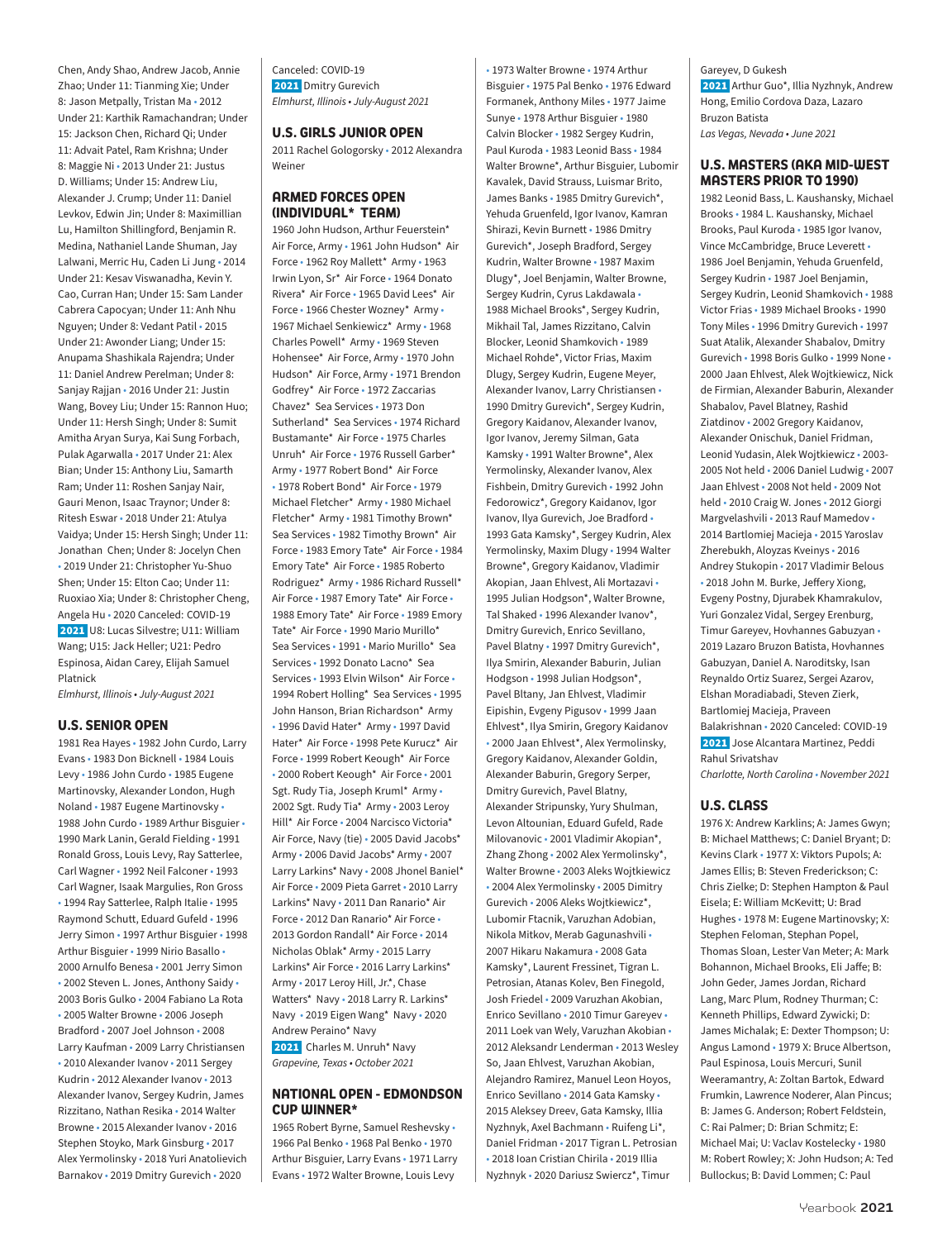Chen, Andy Shao, Andrew Jacob, Annie Zhao; Under 11: Tianming Xie; Under 8: Jason Metpally, Tristan Ma • 2012 Under 21: Karthik Ramachandran; Under 15: Jackson Chen, Richard Qi; Under 11: Advait Patel, Ram Krishna; Under 8: Maggie Ni • 2013 Under 21: Justus D. Williams; Under 15: Andrew Liu, Alexander J. Crump; Under 11: Daniel Levkov, Edwin Jin; Under 8: Maximillian Lu, Hamilton Shillingford, Benjamin R. Medina, Nathaniel Lande Shuman, Jay Lalwani, Merric Hu, Caden Li Jung • 2014 Under 21: Kesav Viswanadha, Kevin Y. Cao, Curran Han; Under 15: Sam Lander Cabrera Capocyan; Under 11: Anh Nhu Nguyen; Under 8: Vedant Patil • 2015 Under 21: Awonder Liang; Under 15: Anupama Shashikala Rajendra; Under 11: Daniel Andrew Perelman; Under 8: Sanjay Rajjan • 2016 Under 21: Justin Wang, Bovey Liu; Under 15: Rannon Huo; Under 11: Hersh Singh; Under 8: Sumit Amitha Aryan Surya, Kai Sung Forbach, Pulak Agarwalla • 2017 Under 21: Alex Bian; Under 15: Anthony Liu, Samarth Ram; Under 11: Roshen Sanjay Nair, Gauri Menon, Isaac Traynor; Under 8: Ritesh Eswar • 2018 Under 21: Atulya Vaidya; Under 15: Hersh Singh; Under 11: Jonathan Chen; Under 8: Jocelyn Chen • 2019 Under 21: Christopher Yu-Shuo Shen; Under 15: Elton Cao; Under 11: Ruoxiao Xia; Under 8: Christopher Cheng, Angela Hu • 2020 Canceled: COVID-19 2021 U8: Lucas Silvestre; U11: William Wang; U15: Jack Heller; U21: Pedro Espinosa, Aidan Carey, Elijah Samuel Platnick

*Elmhurst, Illinois • July-August 2021*

#### **U.S. SENIOR OPEN**

1981 Rea Hayes • 1982 John Curdo, Larry Evans • 1983 Don Bicknell • 1984 Louis Levy • 1986 John Curdo • 1985 Eugene Martinovsky, Alexander London, Hugh Noland • 1987 Eugene Martinovsky • 1988 John Curdo • 1989 Arthur Bisguier • 1990 Mark Lanin, Gerald Fielding • 1991 Ronald Gross, Louis Levy, Ray Satterlee, Carl Wagner • 1992 Neil Falconer • 1993 Carl Wagner, Isaak Margulies, Ron Gross • 1994 Ray Satterlee, Ralph Italie • 1995 Raymond Schutt, Eduard Gufeld • 1996 Jerry Simon • 1997 Arthur Bisguier • 1998 Arthur Bisguier • 1999 Nirio Basallo • 2000 Arnulfo Benesa • 2001 Jerry Simon • 2002 Steven L. Jones, Anthony Saidy • 2003 Boris Gulko • 2004 Fabiano La Rota • 2005 Walter Browne • 2006 Joseph Bradford • 2007 Joel Johnson • 2008 Larry Kaufman • 2009 Larry Christiansen • 2010 Alexander Ivanov • 2011 Sergey Kudrin • 2012 Alexander Ivanov • 2013 Alexander Ivanov, Sergey Kudrin, James Rizzitano, Nathan Resika • 2014 Walter Browne • 2015 Alexander Ivanov • 2016 Stephen Stoyko, Mark Ginsburg • 2017 Alex Yermolinsky • 2018 Yuri Anatolievich Barnakov • 2019 Dmitry Gurevich • 2020

Canceled: COVID-19 2021 Dmitry Gurevich *Elmhurst, Illinois • July-August 2021*

#### **U.S. GIRLS JUNIOR OPEN**

2011 Rachel Gologorsky • 2012 Alexandra Weiner

### **ARMED FORCES OPEN (INDIVIDUAL\* TEAM)**

1960 John Hudson, Arthur Feuerstein\* Air Force, Army • 1961 John Hudson\* Air Force • 1962 Roy Mallett\* Army • 1963 Irwin Lyon, Sr\* Air Force • 1964 Donato Rivera\* Air Force • 1965 David Lees\* Air Force • 1966 Chester Wozney\* Army • 1967 Michael Senkiewicz\* Army • 1968 Charles Powell\* Army • 1969 Steven Hohensee\* Air Force, Army • 1970 John Hudson\* Air Force, Army • 1971 Brendon Godfrey\* Air Force • 1972 Zaccarias Chavez\* Sea Services • 1973 Don Sutherland\* Sea Services • 1974 Richard Bustamante\* Air Force • 1975 Charles Unruh\* Air Force • 1976 Russell Garber\* Army • 1977 Robert Bond\* Air Force • 1978 Robert Bond\* Air Force • 1979 Michael Fletcher\* Army • 1980 Michael Fletcher\* Army • 1981 Timothy Brown\* Sea Services • 1982 Timothy Brown\* Air Force • 1983 Emory Tate\* Air Force • 1984 Emory Tate\* Air Force • 1985 Roberto Rodriguez\* Army • 1986 Richard Russell\* Air Force • 1987 Emory Tate\* Air Force • 1988 Emory Tate\* Air Force • 1989 Emory Tate\* Air Force • 1990 Mario Murillo\* Sea Services • 1991 • Mario Murillo\* Sea Services • 1992 Donato Lacno\* Sea Services • 1993 Elvin Wilson\* Air Force • 1994 Robert Holling\* Sea Services • 1995 John Hanson, Brian Richardson\* Army • 1996 David Hater\* Army • 1997 David Hater\* Air Force • 1998 Pete Kurucz\* Air Force • 1999 Robert Keough\* Air Force • 2000 Robert Keough\* Air Force • 2001 Sgt. Rudy Tia, Joseph Kruml\* Army • 2002 Sgt. Rudy Tia\* Army • 2003 Leroy Hill\* Air Force • 2004 Narcisco Victoria\* Air Force, Navy (tie) • 2005 David Jacobs\* Army • 2006 David Jacobs\* Army • 2007 Larry Larkins\* Navy • 2008 Jhonel Baniel\* Air Force • 2009 Pieta Garret • 2010 Larry Larkins\* Navy • 2011 Dan Ranario\* Air Force • 2012 Dan Ranario\* Air Force • 2013 Gordon Randall\* Air Force • 2014 Nicholas Oblak\* Army • 2015 Larry Larkins\* Air Force • 2016 Larry Larkins\* Army • 2017 Leroy Hill, Jr.\*, Chase Watters\* Navy • 2018 Larry R. Larkins\* Navy • 2019 Eigen Wang\* Navy • 2020 Andrew Peraino\* Navy

2021 Charles M. Unruh\* Navy *Grapevine, Texas • October 2021*

### **NATIONAL OPEN - EDMONDSON CUP WINNER\***

1965 Robert Byrne, Samuel Reshevsky • 1966 Pal Benko • 1968 Pal Benko • 1970 Arthur Bisguier, Larry Evans • 1971 Larry Evans • 1972 Walter Browne, Louis Levy

• 1973 Walter Browne • 1974 Arthur Bisguier • 1975 Pal Benko • 1976 Edward Formanek, Anthony Miles • 1977 Jaime Sunye • 1978 Arthur Bisguier • 1980 Calvin Blocker • 1982 Sergey Kudrin, Paul Kuroda • 1983 Leonid Bass • 1984 Walter Browne\*, Arthur Bisguier, Lubomir Kavalek, David Strauss, Luismar Brito, James Banks • 1985 Dmitry Gurevich\*, Yehuda Gruenfeld, Igor Ivanov, Kamran Shirazi, Kevin Burnett • 1986 Dmitry Gurevich\*, Joseph Bradford, Sergey Kudrin, Walter Browne • 1987 Maxim Dlugy\*, Joel Benjamin, Walter Browne, Sergey Kudrin, Cyrus Lakdawala • 1988 Michael Brooks\*, Sergey Kudrin, Mikhail Tal, James Rizzitano, Calvin Blocker, Leonid Shamkovich • 1989 Michael Rohde\*, Victor Frias, Maxim Dlugy, Sergey Kudrin, Eugene Meyer, Alexander Ivanov, Larry Christiansen • 1990 Dmitry Gurevich\*, Sergey Kudrin, Gregory Kaidanov, Alexander Ivanov, Igor Ivanov, Jeremy Silman, Gata Kamsky • 1991 Walter Browne\*, Alex Yermolinsky, Alexander Ivanov, Alex Fishbein, Dmitry Gurevich • 1992 John Fedorowicz\*, Gregory Kaidanov, Igor Ivanov, Ilya Gurevich, Joe Bradford • 1993 Gata Kamsky\*, Sergey Kudrin, Alex Yermolinsky, Maxim Dlugy • 1994 Walter Browne\*, Gregory Kaidanov, Vladimir Akopian, Jaan Ehlvest, Ali Mortazavi • 1995 Julian Hodgson\*, Walter Browne, Tal Shaked • 1996 Alexander Ivanov\*, Dmitry Gurevich, Enrico Sevillano, Pavel Blatny • 1997 Dmitry Gurevich\*, Ilya Smirin, Alexander Baburin, Julian Hodgson • 1998 Julian Hodgson\*, Pavel Bltany, Jan Ehlvest, Vladimir Eipishin, Evgeny Pigusov • 1999 Jaan Ehlvest\*, Ilya Smirin, Gregory Kaidanov • 2000 Jaan Ehlvest\*, Alex Yermolinsky, Gregory Kaidanov, Alexander Goldin, Alexander Baburin, Gregory Serper, Dmitry Gurevich, Pavel Blatny, Alexander Stripunsky, Yury Shulman, Levon Altounian, Eduard Gufeld, Rade Milovanovic • 2001 Vladimir Akopian\*, Zhang Zhong • 2002 Alex Yermolinsky\*, Walter Browne • 2003 Aleks Wojtkiewicz • 2004 Alex Yermolinsky • 2005 Dimitry Gurevich • 2006 Aleks Wojtkiewicz\*, Lubomir Ftacnik, Varuzhan Adobian, Nikola Mitkov, Merab Gagunashvili • 2007 Hikaru Nakamura • 2008 Gata Kamsky\*, Laurent Fressinet, Tigran L. Petrosian, Atanas Kolev, Ben Finegold, Josh Friedel • 2009 Varuzhan Akobian,

Enrico Sevillano • 2010 Timur Gareyev • 2011 Loek van Wely, Varuzhan Akobian • 2012 Aleksandr Lenderman • 2013 Wesley So, Jaan Ehlvest, Varuzhan Akobian, Alejandro Ramirez, Manuel Leon Hoyos, Enrico Sevillano • 2014 Gata Kamsky • 2015 Aleksey Dreev, Gata Kamsky, Illia Nyzhnyk, Axel Bachmann • Ruifeng Li\*, Daniel Fridman • 2017 Tigran L. Petrosian • 2018 Ioan Cristian Chirila • 2019 Illia Nyzhnyk • 2020 Dariusz Swiercz\*, Timur

Gareyev, D Gukesh 2021 Arthur Guo\*, Illia Nyzhnyk, Andrew Hong, Emilio Cordova Daza, Lazaro Bruzon Batista *Las Vegas, Nevada • June 2021*

### **U.S. MASTERS (AKA MID-WEST MASTERS PRIOR TO 1990)**

1982 Leonid Bass, L. Kaushansky, Michael Brooks • 1984 L. Kaushansky, Michael Brooks, Paul Kuroda • 1985 Igor Ivanov, Vince McCambridge, Bruce Leverett • 1986 Joel Benjamin, Yehuda Gruenfeld, Sergey Kudrin • 1987 Joel Benjamin, Sergey Kudrin, Leonid Shamkovich • 1988 Victor Frias • 1989 Michael Brooks • 1990 Tony Miles • 1996 Dmitry Gurevich • 1997 Suat Atalik, Alexander Shabalov, Dmitry Gurevich • 1998 Boris Gulko • 1999 None • 2000 Jaan Ehlvest, Alek Wojtkiewicz, Nick de Firmian, Alexander Baburin, Alexander Shabalov, Pavel Blatney, Rashid Ziatdinov • 2002 Gregory Kaidanov, Alexander Onischuk, Daniel Fridman, Leonid Yudasin, Alek Wojtkiewicz • 2003- 2005 Not held • 2006 Daniel Ludwig • 2007 Jaan Ehlvest • 2008 Not held • 2009 Not held • 2010 Craig W. Jones • 2012 Giorgi Margvelashvili • 2013 Rauf Mamedov • 2014 Bartlomiej Macieja • 2015 Yaroslav Zherebukh, Aloyzas Kveinys • 2016 Andrey Stukopin • 2017 Vladimir Belous • 2018 John M. Burke, Jeffery Xiong, Evgeny Postny, Djurabek Khamrakulov, Yuri Gonzalez Vidal, Sergey Erenburg, Timur Gareyev, Hovhannes Gabuzyan • 2019 Lazaro Bruzon Batista, Hovhannes Gabuzyan, Daniel A. Naroditsky, Isan Reynaldo Ortiz Suarez, Sergei Azarov, Elshan Moradiabadi, Steven Zierk, Bartlomiej Macieja, Praveen Balakrishnan • 2020 Canceled: COVID-19 2021 Jose Alcantara Martinez, Peddi Rahul Srivatshav

*Charlotte, North Carolina • November 2021*

### **U.S. CLASS**

1976 X: Andrew Karklins; A: James Gwyn; B: Michael Matthews; C: Daniel Bryant; D: Kevins Clark • 1977 X: Viktors Pupols; A: James Ellis; B: Steven Frederickson; C: Chris Zielke; D: Stephen Hampton & Paul Eisela; E: William McKevitt; U: Brad Hughes • 1978 M: Eugene Martinovsky; X: Stephen Feloman, Stephan Popel, Thomas Sloan, Lester Van Meter; A: Mark Bohannon, Michael Brooks, Eli Jaffe; B: John Geder, James Jordan, Richard Lang, Marc Plum, Rodney Thurman; C: Kenneth Phillips, Edward Zywicki; D: James Michalak; E: Dexter Thompson; U: Angus Lamond • 1979 X: Bruce Albertson, Paul Espinosa, Louis Mercuri, Sunil Weeramantry, A: Zoltan Bartok, Edward Frumkin, Lawrence Noderer, Alan Pincus; B: James G. Anderson; Robert Feldstein, C: Rai Palmer; D: Brian Schmitz; E: Michael Mai; U: Vaclav Kostelecky • 1980 M: Robert Rowley; X: John Hudson; A: Ted Bullockus; B: David Lommen; C: Paul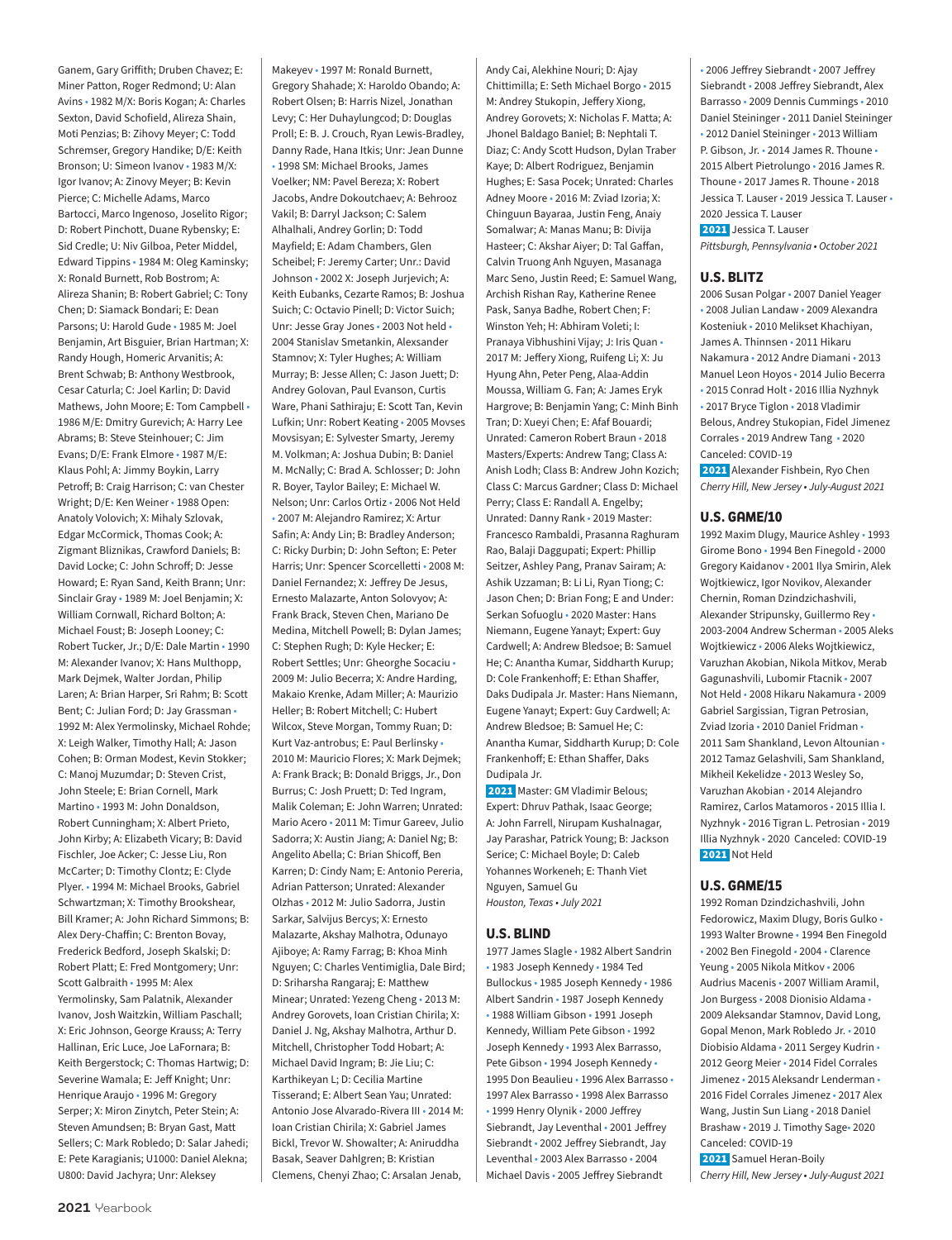Ganem, Gary Griffith; Druben Chavez; E: Miner Patton, Roger Redmond; U: Alan Avins • 1982 M/X: Boris Kogan; A: Charles Sexton, David Schofield, Alireza Shain, Moti Penzias; B: Zihovy Meyer; C: Todd Schremser, Gregory Handike; D/E: Keith Bronson; U: Simeon Ivanov • 1983 M/X: Igor Ivanov; A: Zinovy Meyer; B: Kevin Pierce; C: Michelle Adams, Marco Bartocci, Marco Ingenoso, Joselito Rigor; D: Robert Pinchott, Duane Rybensky; E: Sid Credle; U: Niv Gilboa, Peter Middel, Edward Tippins • 1984 M: Oleg Kaminsky; X: Ronald Burnett, Rob Bostrom; A: Alireza Shanin; B: Robert Gabriel; C: Tony Chen; D: Siamack Bondari; E: Dean Parsons; U: Harold Gude • 1985 M: Joel Benjamin, Art Bisguier, Brian Hartman; X: Randy Hough, Homeric Arvanitis; A: Brent Schwab; B: Anthony Westbrook, Cesar Caturla; C: Joel Karlin; D: David Mathews, John Moore; E: Tom Campbell • 1986 M/E: Dmitry Gurevich; A: Harry Lee Abrams; B: Steve Steinhouer; C: Jim Evans; D/E: Frank Elmore • 1987 M/E: Klaus Pohl; A: Jimmy Boykin, Larry Petroff; B: Craig Harrison; C: van Chester Wright; D/E: Ken Weiner • 1988 Open: Anatoly Volovich; X: Mihaly Szlovak, Edgar McCormick, Thomas Cook; A: Zigmant Bliznikas, Crawford Daniels; B: David Locke; C: John Schroff; D: Jesse Howard; E: Ryan Sand, Keith Brann; Unr: Sinclair Gray • 1989 M: Joel Benjamin; X: William Cornwall, Richard Bolton; A: Michael Foust; B: Joseph Looney; C: Robert Tucker, Jr.; D/E: Dale Martin • 1990 M: Alexander Ivanov; X: Hans Multhopp, Mark Dejmek, Walter Jordan, Philip Laren; A: Brian Harper, Sri Rahm; B: Scott Bent; C: Julian Ford; D: Jay Grassman • 1992 M: Alex Yermolinsky, Michael Rohde; X: Leigh Walker, Timothy Hall; A: Jason Cohen; B: Orman Modest, Kevin Stokker; C: Manoj Muzumdar; D: Steven Crist, John Steele; E: Brian Cornell, Mark Martino • 1993 M: John Donaldson, Robert Cunningham; X: Albert Prieto, John Kirby; A: Elizabeth Vicary; B: David Fischler, Joe Acker; C: Jesse Liu, Ron McCarter; D: Timothy Clontz; E: Clyde Plyer. • 1994 M: Michael Brooks, Gabriel Schwartzman; X: Timothy Brookshear, Bill Kramer; A: John Richard Simmons; B: Alex Dery-Chaffin; C: Brenton Bovay, Frederick Bedford, Joseph Skalski; D: Robert Platt; E: Fred Montgomery; Unr: Scott Galbraith • 1995 M: Alex Yermolinsky, Sam Palatnik, Alexander Ivanov, Josh Waitzkin, William Paschall; X: Eric Johnson, George Krauss; A: Terry Hallinan, Eric Luce, Joe LaFornara; B: Keith Bergerstock; C: Thomas Hartwig; D: Severine Wamala; E: Jeff Knight; Unr: Henrique Araujo • 1996 M: Gregory Serper; X: Miron Zinytch, Peter Stein; A: Steven Amundsen; B: Bryan Gast, Matt Sellers; C: Mark Robledo; D: Salar Jahedi; E: Pete Karagianis; U1000: Daniel Alekna; U800: David Jachyra; Unr: Aleksey

Makeyev • 1997 M: Ronald Burnett, Gregory Shahade; X: Haroldo Obando; A: Robert Olsen; B: Harris Nizel, Jonathan Levy; C: Her Duhaylungcod; D: Douglas Proll; E: B. J. Crouch, Ryan Lewis-Bradley, Danny Rade, Hana Itkis; Unr: Jean Dunne • 1998 SM: Michael Brooks, James Voelker; NM: Pavel Bereza; X: Robert Jacobs, Andre Dokoutchaev; A: Behrooz Vakil; B: Darryl Jackson; C: Salem Alhalhali, Andrey Gorlin; D: Todd Mayfield; E: Adam Chambers, Glen Scheibel; F: Jeremy Carter; Unr.: David Johnson • 2002 X: Joseph Jurjevich; A: Keith Eubanks, Cezarte Ramos; B: Joshua Suich; C: Octavio Pinell; D: Victor Suich; Unr: Jesse Gray Jones • 2003 Not held • 2004 Stanislav Smetankin, Alexsander Stamnov; X: Tyler Hughes; A: William Murray; B: Jesse Allen; C: Jason Juett; D: Andrey Golovan, Paul Evanson, Curtis Ware, Phani Sathiraju; E: Scott Tan, Kevin Lufkin; Unr: Robert Keating • 2005 Movses Movsisyan; E: Sylvester Smarty, Jeremy M. Volkman; A: Joshua Dubin; B: Daniel M. McNally; C: Brad A. Schlosser; D: John R. Boyer, Taylor Bailey; E: Michael W. Nelson; Unr: Carlos Ortiz • 2006 Not Held • 2007 M: Alejandro Ramirez; X: Artur Safin; A: Andy Lin; B: Bradley Anderson; C: Ricky Durbin; D: John Sefton; E: Peter Harris; Unr: Spencer Scorcelletti • 2008 M: Daniel Fernandez; X: Jeffrey De Jesus, Ernesto Malazarte, Anton Solovyov; A: Frank Brack, Steven Chen, Mariano De Medina, Mitchell Powell; B: Dylan James; C: Stephen Rugh; D: Kyle Hecker; E: Robert Settles; Unr: Gheorghe Socaciu • 2009 M: Julio Becerra; X: Andre Harding, Makaio Krenke, Adam Miller; A: Maurizio Heller; B: Robert Mitchell; C: Hubert Wilcox, Steve Morgan, Tommy Ruan; D: Kurt Vaz-antrobus; E: Paul Berlinsky • 2010 M: Mauricio Flores; X: Mark Dejmek; A: Frank Brack; B: Donald Briggs, Jr., Don Burrus; C: Josh Pruett; D: Ted Ingram, Malik Coleman; E: John Warren; Unrated: Mario Acero • 2011 M: Timur Gareev, Julio Sadorra; X: Austin Jiang; A: Daniel Ng; B: Angelito Abella; C: Brian Shicoff, Ben Karren; D: Cindy Nam; E: Antonio Pereria, Adrian Patterson; Unrated: Alexander Olzhas • 2012 M: Julio Sadorra, Justin Sarkar, Salvijus Bercys; X: Ernesto Malazarte, Akshay Malhotra, Odunayo Ajiboye; A: Ramy Farrag; B: Khoa Minh Nguyen; C: Charles Ventimiglia, Dale Bird; D: Sriharsha Rangaraj; E: Matthew Minear; Unrated: Yezeng Cheng • 2013 M: Andrey Gorovets, Ioan Cristian Chirila; X: Daniel J. Ng, Akshay Malhotra, Arthur D. Mitchell, Christopher Todd Hobart; A: Michael David Ingram; B: Jie Liu; C: Karthikeyan L; D: Cecilia Martine Tisserand; E: Albert Sean Yau; Unrated: Antonio Jose Alvarado-Rivera III • 2014 M: Ioan Cristian Chirila; X: Gabriel James Bickl, Trevor W. Showalter; A: Aniruddha Basak, Seaver Dahlgren; B: Kristian

Clemens, Chenyi Zhao; C: Arsalan Jenab,

Chittimilla; E: Seth Michael Borgo • 2015 M: Andrey Stukopin, Jeffery Xiong, Andrey Gorovets; X: Nicholas F. Matta; A: Jhonel Baldago Baniel; B: Nephtali T. Diaz; C: Andy Scott Hudson, Dylan Traber Kaye; D: Albert Rodriguez, Benjamin Hughes; E: Sasa Pocek; Unrated: Charles Adney Moore • 2016 M: Zviad Izoria; X: Chinguun Bayaraa, Justin Feng, Anaiy Somalwar; A: Manas Manu; B: Divija Hasteer; C: Akshar Aiyer; D: Tal Gaffan, Calvin Truong Anh Nguyen, Masanaga Marc Seno, Justin Reed; E: Samuel Wang, Archish Rishan Ray, Katherine Renee Pask, Sanya Badhe, Robert Chen; F: Winston Yeh; H: Abhiram Voleti; I: Pranaya Vibhushini Vijay; J: Iris Quan • 2017 M: Jeffery Xiong, Ruifeng Li; X: Ju Hyung Ahn, Peter Peng, Alaa-Addin Moussa, William G. Fan; A: James Eryk Hargrove; B: Benjamin Yang; C: Minh Binh Tran; D: Xueyi Chen; E: Afaf Bouardi; Unrated: Cameron Robert Braun • 2018 Masters/Experts: Andrew Tang; Class A: Anish Lodh; Class B: Andrew John Kozich; Class C: Marcus Gardner; Class D: Michael Perry; Class E: Randall A. Engelby; Unrated: Danny Rank • 2019 Master: Francesco Rambaldi, Prasanna Raghuram Rao, Balaji Daggupati; Expert: Phillip Seitzer, Ashley Pang, Pranav Sairam; A: Ashik Uzzaman; B: Li Li, Ryan Tiong; C: Jason Chen; D: Brian Fong; E and Under: Serkan Sofuoglu • 2020 Master: Hans Niemann, Eugene Yanayt; Expert: Guy Cardwell; A: Andrew Bledsoe; B: Samuel He; C: Anantha Kumar, Siddharth Kurup; D: Cole Frankenhoff; E: Ethan Shaffer, Daks Dudipala Jr. Master: Hans Niemann, Eugene Yanayt; Expert: Guy Cardwell; A: Andrew Bledsoe; B: Samuel He; C: Anantha Kumar, Siddharth Kurup; D: Cole Frankenhoff; E: Ethan Shaffer, Daks Dudipala Jr. 2021 Master: GM Vladimir Belous; Expert: Dhruv Pathak, Isaac George; A: John Farrell, Nirupam Kushalnagar, Jay Parashar, Patrick Young; B: Jackson Serice; C: Michael Boyle; D: Caleb Yohannes Workeneh; E: Thanh Viet Nguyen, Samuel Gu *Houston, Texas • July 2021* **U.S. BLIND** 1977 James Slagle • 1982 Albert Sandrin • 1983 Joseph Kennedy • 1984 Ted Bullockus • 1985 Joseph Kennedy • 1986 Albert Sandrin • 1987 Joseph Kennedy

Andy Cai, Alekhine Nouri; D: Ajay

• 1988 William Gibson • 1991 Joseph Kennedy, William Pete Gibson • 1992 Joseph Kennedy • 1993 Alex Barrasso, Pete Gibson • 1994 Joseph Kennedy • 1995 Don Beaulieu • 1996 Alex Barrasso • 1997 Alex Barrasso • 1998 Alex Barrasso • 1999 Henry Olynik • 2000 Jeffrey Siebrandt, Jay Leventhal • 2001 Jeffrey Siebrandt • 2002 Jeffrey Siebrandt, Jay Leventhal • 2003 Alex Barrasso • 2004 Michael Davis • 2005 Jeffrey Siebrandt

• 2006 Jeffrey Siebrandt • 2007 Jeffrey Siebrandt • 2008 Jeffrey Siebrandt, Alex Barrasso • 2009 Dennis Cummings • 2010 Daniel Steininger • 2011 Daniel Steininger • 2012 Daniel Steininger • 2013 William P. Gibson, Jr. • 2014 James R. Thoune • 2015 Albert Pietrolungo • 2016 James R. Thoune • 2017 James R. Thoune • 2018 Jessica T. Lauser • 2019 Jessica T. Lauser • 2020 Jessica T. Lauser 2021 Jessica T. Lauser

*Pittsburgh, Pennsylvania • October 2021*

### **U.S. BLITZ**

2006 Susan Polgar • 2007 Daniel Yeager • 2008 Julian Landaw • 2009 Alexandra Kosteniuk • 2010 Melikset Khachiyan, James A. Thinnsen • 2011 Hikaru Nakamura • 2012 Andre Diamani • 2013 Manuel Leon Hoyos • 2014 Julio Becerra • 2015 Conrad Holt • 2016 Illia Nyzhnyk • 2017 Bryce Tiglon • 2018 Vladimir Belous, Andrey Stukopian, Fidel Jimenez Corrales • 2019 Andrew Tang • 2020 Canceled: COVID-19

 2021 Alexander Fishbein, Ryo Chen *Cherry Hill, New Jersey • July-August 2021*

### **U.S. GAME/10**

1992 Maxim Dlugy, Maurice Ashley • 1993 Girome Bono • 1994 Ben Finegold • 2000 Gregory Kaidanov • 2001 Ilya Smirin, Alek Wojtkiewicz, Igor Novikov, Alexander Chernin, Roman Dzindzichashvili, Alexander Stripunsky, Guillermo Rey • 2003-2004 Andrew Scherman • 2005 Aleks Wojtkiewicz • 2006 Aleks Wojtkiewicz, Varuzhan Akobian, Nikola Mitkov, Merab Gagunashvili, Lubomir Ftacnik • 2007 Not Held • 2008 Hikaru Nakamura • 2009 Gabriel Sargissian, Tigran Petrosian, Zviad Izoria • 2010 Daniel Fridman • 2011 Sam Shankland, Levon Altounian • 2012 Tamaz Gelashvili, Sam Shankland, Mikheil Kekelidze • 2013 Wesley So, Varuzhan Akobian • 2014 Alejandro Ramirez, Carlos Matamoros • 2015 Illia I. Nyzhnyk • 2016 Tigran L. Petrosian • 2019 Illia Nyzhnyk • 2020 Canceled: COVID-19 2021 Not Held

### **U.S. GAME/15**

1992 Roman Dzindzichashvili, John Fedorowicz, Maxim Dlugy, Boris Gulko • 1993 Walter Browne • 1994 Ben Finegold • 2002 Ben Finegold • 2004 • Clarence Yeung • 2005 Nikola Mitkov • 2006 Audrius Macenis • 2007 William Aramil, Jon Burgess • 2008 Dionisio Aldama • 2009 Aleksandar Stamnov, David Long, Gopal Menon, Mark Robledo Jr. • 2010 Diobisio Aldama • 2011 Sergey Kudrin • 2012 Georg Meier • 2014 Fidel Corrales Jimenez • 2015 Aleksandr Lenderman • 2016 Fidel Corrales Jimenez • 2017 Alex Wang, Justin Sun Liang • 2018 Daniel Brashaw • 2019 J. Timothy Sage• 2020 Canceled: COVID-19 2021 Samuel Heran-Boily *Cherry Hill, New Jersey • July-August 2021*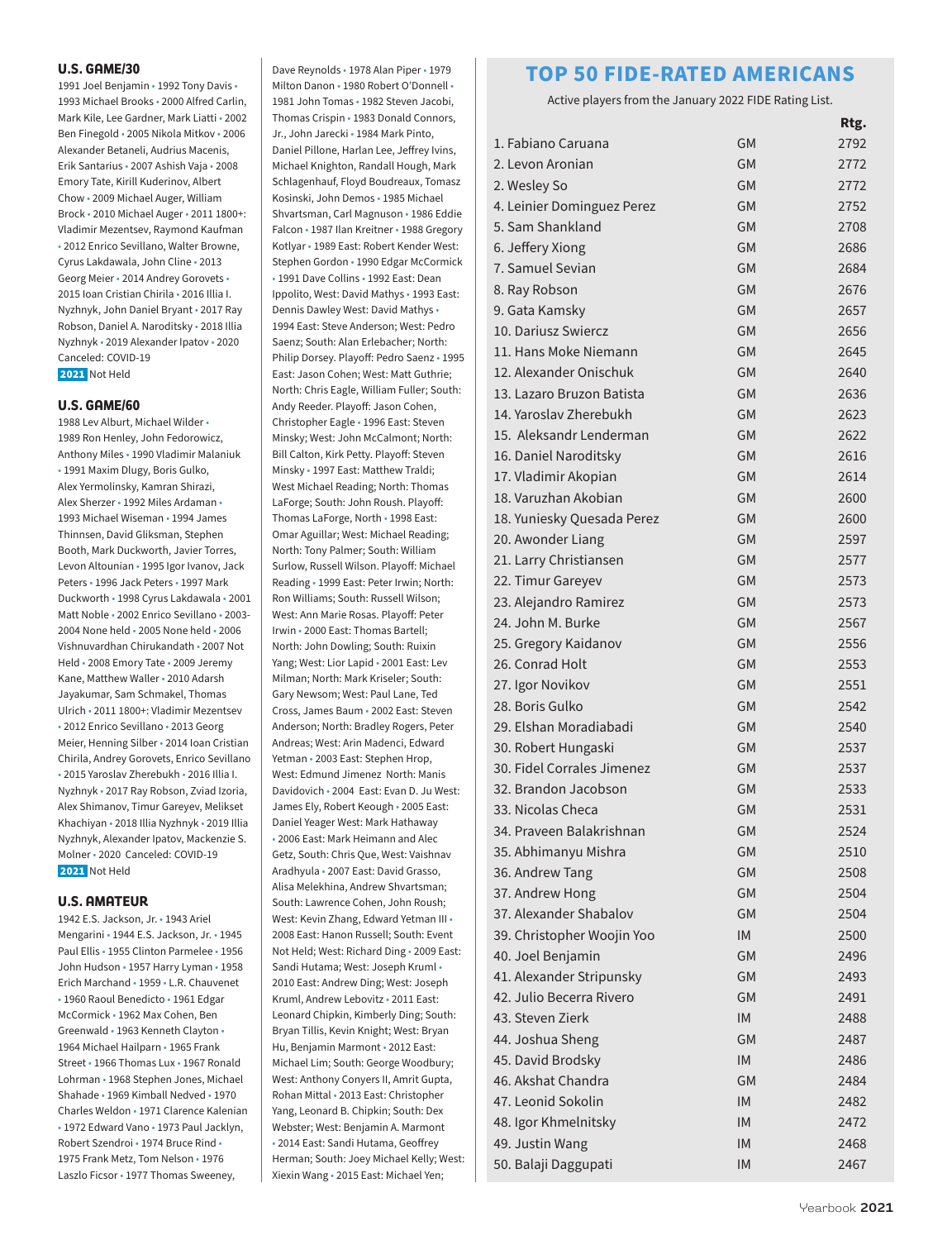### **U.S. GAME/30**

1991 Joel Benjamin • 1992 Tony Davis • 1993 Michael Brooks • 2000 Alfred Carlin, Mark Kile, Lee Gardner, Mark Liatti • 2002 Ben Finegold • 2005 Nikola Mitkov • 2006 Alexander Betaneli, Audrius Macenis, Erik Santarius • 2007 Ashish Vaja • 2008 Emory Tate, Kirill Kuderinov, Albert Chow • 2009 Michael Auger, William Brock • 2010 Michael Auger • 2011 1800+: Vladimir Mezentsev, Raymond Kaufman • 2012 Enrico Sevillano, Walter Browne, Cyrus Lakdawala, John Cline • 2013 Georg Meier • 2014 Andrey Gorovets • 2015 Ioan Cristian Chirila • 2016 Illia I. Nyzhnyk, John Daniel Bryant • 2017 Ray Robson, Daniel A. Naroditsky • 2018 Illia Nyzhnyk • 2019 Alexander Ipatov • 2020 Canceled: COVID-19 2021 Not Held

#### **U.S. GAME/60**

1988 Lev Alburt, Michael Wilder • 1989 Ron Henley, John Fedorowicz, Anthony Miles • 1990 Vladimir Malaniuk • 1991 Maxim Dlugy, Boris Gulko, Alex Yermolinsky, Kamran Shirazi, Alex Sherzer • 1992 Miles Ardaman • 1993 Michael Wiseman • 1994 James Thinnsen, David Gliksman, Stephen Booth, Mark Duckworth, Javier Torres, Levon Altounian • 1995 Igor Ivanov, Jack Peters • 1996 Jack Peters • 1997 Mark Duckworth • 1998 Cyrus Lakdawala • 2001 Matt Noble • 2002 Enrico Sevillano • 2003- 2004 None held • 2005 None held • 2006 Vishnuvardhan Chirukandath • 2007 Not Held • 2008 Emory Tate • 2009 Jeremy Kane, Matthew Waller • 2010 Adarsh Jayakumar, Sam Schmakel, Thomas Ulrich • 2011 1800+: Vladimir Mezentsev • 2012 Enrico Sevillano • 2013 Georg Meier, Henning Silber • 2014 Ioan Cristian Chirila, Andrey Gorovets, Enrico Sevillano • 2015 Yaroslav Zherebukh • 2016 Illia I. Nyzhnyk • 2017 Ray Robson, Zviad Izoria, Alex Shimanov, Timur Gareyev, Melikset Khachiyan • 2018 Illia Nyzhnyk • 2019 Illia Nyzhnyk, Alexander Ipatov, Mackenzie S. Molner • 2020 Canceled: COVID-19 2021 Not Held

### **U.S. AMATEUR**

1942 E.S. Jackson, Jr. • 1943 Ariel Mengarini • 1944 E.S. Jackson, Jr. • 1945 Paul Ellis • 1955 Clinton Parmelee • 1956 John Hudson • 1957 Harry Lyman • 1958 Erich Marchand • 1959 • L.R. Chauvenet • 1960 Raoul Benedicto • 1961 Edgar McCormick • 1962 Max Cohen, Ben Greenwald • 1963 Kenneth Clayton • 1964 Michael Hailparn • 1965 Frank Street • 1966 Thomas Lux • 1967 Ronald Lohrman • 1968 Stephen Jones, Michael Shahade • 1969 Kimball Nedved • 1970 Charles Weldon • 1971 Clarence Kalenian • 1972 Edward Vano • 1973 Paul Jacklyn, Robert Szendroi • 1974 Bruce Rind • 1975 Frank Metz, Tom Nelson • 1976 Laszlo Ficsor • 1977 Thomas Sweeney,

Milton Danon • 1980 Robert O'Donnell • 1981 John Tomas • 1982 Steven Jacobi, Thomas Crispin • 1983 Donald Connors, Jr., John Jarecki • 1984 Mark Pinto, Daniel Pillone, Harlan Lee, Jeffrey Ivins, Michael Knighton, Randall Hough, Mark Schlagenhauf, Floyd Boudreaux, Tomasz Kosinski, John Demos • 1985 Michael Shvartsman, Carl Magnuson • 1986 Eddie Falcon • 1987 Ilan Kreitner • 1988 Gregory Kotlyar • 1989 East: Robert Kender West: Stephen Gordon • 1990 Edgar McCormick • 1991 Dave Collins • 1992 East: Dean Ippolito, West: David Mathys • 1993 East: Dennis Dawley West: David Mathys • 1994 East: Steve Anderson; West: Pedro Saenz; South: Alan Erlebacher; North: Philip Dorsey. Playoff: Pedro Saenz • 1995 East: Jason Cohen; West: Matt Guthrie; North: Chris Eagle, William Fuller; South: Andy Reeder. Playoff: Jason Cohen, Christopher Eagle • 1996 East: Steven Minsky; West: John McCalmont; North: Bill Calton, Kirk Petty. Playoff: Steven Minsky • 1997 East: Matthew Traldi; West Michael Reading; North: Thomas LaForge; South: John Roush. Playoff: Thomas LaForge, North • 1998 East: Omar Aguillar; West: Michael Reading; North: Tony Palmer; South: William Surlow, Russell Wilson. Playoff: Michael Reading • 1999 East: Peter Irwin; North: Ron Williams; South: Russell Wilson; West: Ann Marie Rosas. Playoff: Peter Irwin • 2000 East: Thomas Bartell; North: John Dowling; South: Ruixin Yang; West: Lior Lapid • 2001 East: Lev Milman; North: Mark Kriseler; South: Gary Newsom; West: Paul Lane, Ted Cross, James Baum • 2002 East: Steven Anderson; North: Bradley Rogers, Peter Andreas; West: Arin Madenci, Edward Yetman • 2003 East: Stephen Hrop, West: Edmund Jimenez North: Manis Davidovich • 2004 East: Evan D. Ju West: James Ely, Robert Keough • 2005 East: Daniel Yeager West: Mark Hathaway • 2006 East: Mark Heimann and Alec Getz, South: Chris Que, West: Vaishnav Aradhyula • 2007 East: David Grasso, Alisa Melekhina, Andrew Shvartsman; South: Lawrence Cohen, John Roush; West: Kevin Zhang, Edward Yetman III • 2008 East: Hanon Russell; South: Event Not Held; West: Richard Ding • 2009 East: Sandi Hutama; West: Joseph Kruml • 2010 East: Andrew Ding; West: Joseph Kruml, Andrew Lebovitz • 2011 East: Leonard Chipkin, Kimberly Ding; South: Bryan Tillis, Kevin Knight; West: Bryan Hu, Benjamin Marmont • 2012 East: Michael Lim; South: George Woodbury; West: Anthony Conyers II, Amrit Gupta, Rohan Mittal • 2013 East: Christopher Yang, Leonard B. Chipkin; South: Dex Webster; West: Benjamin A. Marmont • 2014 East: Sandi Hutama, Geoffrey Herman; South: Joey Michael Kelly; West: Xiexin Wang • 2015 East: Michael Yen;

Dave Reynolds • 1978 Alan Piper • 1979

### **TOP 50 FIDE-RATED AMERICANS**

Active players from the January 2022 FIDE Rating List.

|                            |           | Rtg. |
|----------------------------|-----------|------|
| 1. Fabiano Caruana         | GM        | 2792 |
| 2. Levon Aronian           | <b>GM</b> | 2772 |
| 2. Wesley So               | <b>GM</b> | 2772 |
| 4. Leinier Dominguez Perez | <b>GM</b> | 2752 |
| 5. Sam Shankland           | <b>GM</b> | 2708 |
| 6. Jeffery Xiong           | <b>GM</b> | 2686 |
| 7. Samuel Sevian           | <b>GM</b> | 2684 |
| 8. Ray Robson              | <b>GM</b> | 2676 |
| 9. Gata Kamsky             | <b>GM</b> | 2657 |
| 10. Dariusz Swiercz        | <b>GM</b> | 2656 |
| 11. Hans Moke Niemann      | <b>GM</b> | 2645 |
| 12. Alexander Onischuk     | <b>GM</b> | 2640 |
| 13. Lazaro Bruzon Batista  | <b>GM</b> | 2636 |
| 14. Yaroslav Zherebukh     | <b>GM</b> | 2623 |
| 15. Aleksandr Lenderman    | <b>GM</b> | 2622 |
| 16. Daniel Naroditsky      | <b>GM</b> | 2616 |
| 17. Vladimir Akopian       | <b>GM</b> | 2614 |
| 18. Varuzhan Akobian       | <b>GM</b> | 2600 |
| 18. Yuniesky Quesada Perez | <b>GM</b> | 2600 |
| 20. Awonder Liang          | <b>GM</b> | 2597 |
| 21. Larry Christiansen     | <b>GM</b> | 2577 |
| 22. Timur Gareyev          | <b>GM</b> | 2573 |
| 23. Alejandro Ramirez      | <b>GM</b> | 2573 |
| 24. John M. Burke          | <b>GM</b> | 2567 |
| 25. Gregory Kaidanov       | <b>GM</b> | 2556 |
| 26. Conrad Holt            | <b>GM</b> | 2553 |
| 27. Igor Novikov           | <b>GM</b> | 2551 |
| 28. Boris Gulko            | GM        | 2542 |
| 29. Elshan Moradiabadi     | <b>GM</b> | 2540 |
| 30. Robert Hungaski        | <b>GM</b> | 2537 |
| 30. Fidel Corrales Jimenez | <b>GM</b> | 2537 |
| 32. Brandon Jacobson       | GM        | 2533 |
| 33. Nicolas Checa          | <b>GM</b> | 2531 |
| 34. Praveen Balakrishnan   | GM        | 2524 |
| 35. Abhimanyu Mishra       | GМ        | 2510 |
| 36. Andrew Tang            | <b>GM</b> | 2508 |
| 37. Andrew Hong            | GM        | 2504 |
| 37. Alexander Shabalov     | GM        | 2504 |
| 39. Christopher Woojin Yoo | <b>IM</b> | 2500 |
| 40. Joel Benjamin          | GM        | 2496 |
| 41. Alexander Stripunsky   | <b>GM</b> | 2493 |
| 42. Julio Becerra Rivero   | <b>GM</b> | 2491 |
| 43. Steven Zierk           | <b>IM</b> | 2488 |
| 44. Joshua Sheng           | <b>GM</b> | 2487 |
| 45. David Brodsky          | <b>IM</b> | 2486 |
| 46. Akshat Chandra         | GM        | 2484 |
| 47. Leonid Sokolin         | <b>IM</b> | 2482 |
| 48. Igor Khmelnitsky       | <b>IM</b> | 2472 |
| 49. Justin Wang            | <b>IM</b> | 2468 |
| 50. Balaji Daggupati       | IM        | 2467 |
|                            |           |      |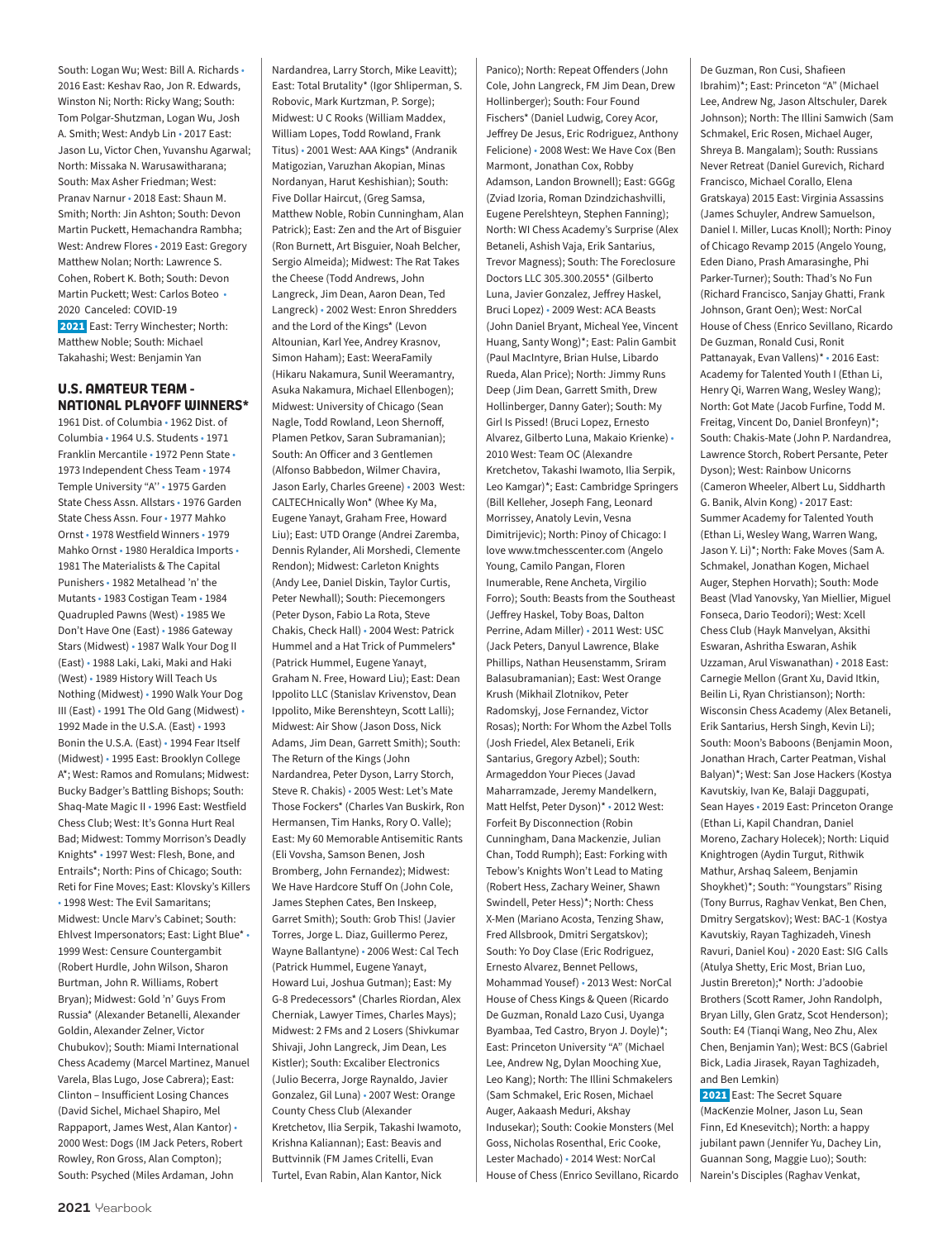South: Logan Wu; West: Bill A. Richards • 2016 East: Keshav Rao, Jon R. Edwards, Winston Ni; North: Ricky Wang; South: Tom Polgar-Shutzman, Logan Wu, Josh A. Smith; West: Andyb Lin • 2017 East: Jason Lu, Victor Chen, Yuvanshu Agarwal; North: Missaka N. Warusawitharana; South: Max Asher Friedman; West: Pranav Narnur • 2018 East: Shaun M. Smith; North: Jin Ashton; South: Devon Martin Puckett, Hemachandra Rambha; West: Andrew Flores • 2019 East: Gregory Matthew Nolan; North: Lawrence S. Cohen, Robert K. Both; South: Devon Martin Puckett; West: Carlos Boteo • 2020 Canceled: COVID-19 2021 East: Terry Winchester; North: Matthew Noble; South: Michael Takahashi; West: Benjamin Yan

### **U.S. AMATEUR TEAM - NATIONAL PLAYOFF WINNERS\***

1961 Dist. of Columbia • 1962 Dist. of Columbia • 1964 U.S. Students • 1971 Franklin Mercantile • 1972 Penn State • 1973 Independent Chess Team • 1974 Temple University "A'' • 1975 Garden State Chess Assn. Allstars • 1976 Garden State Chess Assn. Four • 1977 Mahko Ornst • 1978 Westfield Winners • 1979 Mahko Ornst • 1980 Heraldica Imports • 1981 The Materialists & The Capital Punishers • 1982 Metalhead 'n' the Mutants • 1983 Costigan Team • 1984 Quadrupled Pawns (West) • 1985 We Don't Have One (East) • 1986 Gateway Stars (Midwest) • 1987 Walk Your Dog II (East) • 1988 Laki, Laki, Maki and Haki (West) • 1989 History Will Teach Us Nothing (Midwest) • 1990 Walk Your Dog III (East) • 1991 The Old Gang (Midwest) • 1992 Made in the U.S.A. (East) • 1993 Bonin the U.S.A. (East) • 1994 Fear Itself (Midwest) • 1995 East: Brooklyn College A\*; West: Ramos and Romulans; Midwest: Bucky Badger's Battling Bishops; South: Shaq-Mate Magic II • 1996 East: Westfield Chess Club; West: It's Gonna Hurt Real Bad; Midwest: Tommy Morrison's Deadly Knights\* • 1997 West: Flesh, Bone, and Entrails\*; North: Pins of Chicago; South: Reti for Fine Moves; East: Klovsky's Killers • 1998 West: The Evil Samaritans; Midwest: Uncle Marv's Cabinet; South: Ehlvest Impersonators; East: Light Blue\* • 1999 West: Censure Countergambit (Robert Hurdle, John Wilson, Sharon Burtman, John R. Williams, Robert Bryan); Midwest: Gold 'n' Guys From Russia\* (Alexander Betanelli, Alexander Goldin, Alexander Zelner, Victor Chubukov); South: Miami International Chess Academy (Marcel Martinez, Manuel Varela, Blas Lugo, Jose Cabrera); East: Clinton – Insufficient Losing Chances (David Sichel, Michael Shapiro, Mel Rappaport, James West, Alan Kantor) • 2000 West: Dogs (IM Jack Peters, Robert Rowley, Ron Gross, Alan Compton); South: Psyched (Miles Ardaman, John

Nardandrea, Larry Storch, Mike Leavitt); East: Total Brutality\* (Igor Shliperman, S. Robovic, Mark Kurtzman, P. Sorge); Midwest: U C Rooks (William Maddex, William Lopes, Todd Rowland, Frank Titus) • 2001 West: AAA Kings\* (Andranik Matigozian, Varuzhan Akopian, Minas Nordanyan, Harut Keshishian); South: Five Dollar Haircut, (Greg Samsa, Matthew Noble, Robin Cunningham, Alan Patrick); East: Zen and the Art of Bisguier (Ron Burnett, Art Bisguier, Noah Belcher, Sergio Almeida); Midwest: The Rat Takes the Cheese (Todd Andrews, John Langreck, Jim Dean, Aaron Dean, Ted Langreck) • 2002 West: Enron Shredders and the Lord of the Kings\* (Levon Altounian, Karl Yee, Andrey Krasnov, Simon Haham); East: WeeraFamily (Hikaru Nakamura, Sunil Weeramantry, Asuka Nakamura, Michael Ellenbogen); Midwest: University of Chicago (Sean Nagle, Todd Rowland, Leon Shernoff, Plamen Petkov, Saran Subramanian); South: An Officer and 3 Gentlemen (Alfonso Babbedon, Wilmer Chavira, Jason Early, Charles Greene) • 2003 West: CALTECHnically Won\* (Whee Ky Ma, Eugene Yanayt, Graham Free, Howard Liu); East: UTD Orange (Andrei Zaremba, Dennis Rylander, Ali Morshedi, Clemente Rendon); Midwest: Carleton Knights (Andy Lee, Daniel Diskin, Taylor Curtis, Peter Newhall); South: Piecemongers (Peter Dyson, Fabio La Rota, Steve Chakis, Check Hall) • 2004 West: Patrick Hummel and a Hat Trick of Pummelers\* (Patrick Hummel, Eugene Yanayt, Graham N. Free, Howard Liu); East: Dean Ippolito LLC (Stanislav Krivenstov, Dean Ippolito, Mike Berenshteyn, Scott Lalli); Midwest: Air Show (Jason Doss, Nick Adams, Jim Dean, Garrett Smith); South: The Return of the Kings (John Nardandrea, Peter Dyson, Larry Storch, Steve R. Chakis) • 2005 West: Let's Mate Those Fockers\* (Charles Van Buskirk, Ron Hermansen, Tim Hanks, Rory O. Valle); East: My 60 Memorable Antisemitic Rants (Eli Vovsha, Samson Benen, Josh Bromberg, John Fernandez); Midwest: We Have Hardcore Stuff On (John Cole, James Stephen Cates, Ben Inskeep, Garret Smith); South: Grob This! (Javier Torres, Jorge L. Diaz, Guillermo Perez, Wayne Ballantyne) • 2006 West: Cal Tech (Patrick Hummel, Eugene Yanayt, Howard Lui, Joshua Gutman); East: My G-8 Predecessors\* (Charles Riordan, Alex Cherniak, Lawyer Times, Charles Mays); Midwest: 2 FMs and 2 Losers (Shivkumar Shivaji, John Langreck, Jim Dean, Les Kistler); South: Excaliber Electronics (Julio Becerra, Jorge Raynaldo, Javier Gonzalez, Gil Luna) • 2007 West: Orange County Chess Club (Alexander Kretchetov, Ilia Serpik, Takashi Iwamoto, Krishna Kaliannan); East: Beavis and Buttvinnik (FM James Critelli, Evan Turtel, Evan Rabin, Alan Kantor, Nick

Panico); North: Repeat Offenders (John Cole, John Langreck, FM Jim Dean, Drew Hollinberger); South: Four Found Fischers\* (Daniel Ludwig, Corey Acor, Jeffrey De Jesus, Eric Rodriguez, Anthony Felicione) • 2008 West: We Have Cox (Ben Marmont, Jonathan Cox, Robby Adamson, Landon Brownell); East: GGGg (Zviad Izoria, Roman Dzindzichashvilli, Eugene Perelshteyn, Stephen Fanning); North: WI Chess Academy's Surprise (Alex Betaneli, Ashish Vaja, Erik Santarius, Trevor Magness); South: The Foreclosure Doctors LLC 305.300.2055\* (Gilberto Luna, Javier Gonzalez, Jeffrey Haskel, Bruci Lopez) • 2009 West: ACA Beasts (John Daniel Bryant, Micheal Yee, Vincent Huang, Santy Wong)\*; East: Palin Gambit (Paul MacIntyre, Brian Hulse, Libardo Rueda, Alan Price); North: Jimmy Runs Deep (Jim Dean, Garrett Smith, Drew Hollinberger, Danny Gater); South: My Girl Is Pissed! (Bruci Lopez, Ernesto Alvarez, Gilberto Luna, Makaio Krienke) • 2010 West: Team OC (Alexandre Kretchetov, Takashi Iwamoto, Ilia Serpik, Leo Kamgar)\*; East: Cambridge Springers (Bill Kelleher, Joseph Fang, Leonard Morrissey, Anatoly Levin, Vesna Dimitrijevic); North: Pinoy of Chicago: I love www.tmchesscenter.com (Angelo Young, Camilo Pangan, Floren Inumerable, Rene Ancheta, Virgilio Forro); South: Beasts from the Southeast (Jeffrey Haskel, Toby Boas, Dalton Perrine, Adam Miller) • 2011 West: USC (Jack Peters, Danyul Lawrence, Blake Phillips, Nathan Heusenstamm, Sriram Balasubramanian); East: West Orange Krush (Mikhail Zlotnikov, Peter Radomskyj, Jose Fernandez, Victor Rosas); North: For Whom the Azbel Tolls (Josh Friedel, Alex Betaneli, Erik Santarius, Gregory Azbel); South: Armageddon Your Pieces (Javad Maharramzade, Jeremy Mandelkern, Matt Helfst, Peter Dyson)\* • 2012 West: Forfeit By Disconnection (Robin Cunningham, Dana Mackenzie, Julian Chan, Todd Rumph); East: Forking with Tebow's Knights Won't Lead to Mating (Robert Hess, Zachary Weiner, Shawn Swindell, Peter Hess)\*; North: Chess X-Men (Mariano Acosta, Tenzing Shaw, Fred Allsbrook, Dmitri Sergatskov); South: Yo Doy Clase (Eric Rodriguez, Ernesto Alvarez, Bennet Pellows, Mohammad Yousef) • 2013 West: NorCal House of Chess Kings & Queen (Ricardo De Guzman, Ronald Lazo Cusi, Uyanga Byambaa, Ted Castro, Bryon J. Doyle)\*; East: Princeton University "A" (Michael Lee, Andrew Ng, Dylan Mooching Xue, Leo Kang); North: The Illini Schmakelers (Sam Schmakel, Eric Rosen, Michael Auger, Aakaash Meduri, Akshay Indusekar); South: Cookie Monsters (Mel Goss, Nicholas Rosenthal, Eric Cooke, Lester Machado) • 2014 West: NorCal House of Chess (Enrico Sevillano, Ricardo

De Guzman, Ron Cusi, Shafieen Ibrahim)\*; East: Princeton "A" (Michael Lee, Andrew Ng, Jason Altschuler, Darek Johnson); North: The Illini Samwich (Sam Schmakel, Eric Rosen, Michael Auger, Shreya B. Mangalam); South: Russians Never Retreat (Daniel Gurevich, Richard Francisco, Michael Corallo, Elena Gratskaya) 2015 East: Virginia Assassins (James Schuyler, Andrew Samuelson, Daniel I. Miller, Lucas Knoll); North: Pinoy of Chicago Revamp 2015 (Angelo Young, Eden Diano, Prash Amarasinghe, Phi Parker-Turner); South: Thad's No Fun (Richard Francisco, Sanjay Ghatti, Frank Johnson, Grant Oen); West: NorCal House of Chess (Enrico Sevillano, Ricardo De Guzman, Ronald Cusi, Ronit Pattanayak, Evan Vallens)\* • 2016 East: Academy for Talented Youth I (Ethan Li, Henry Qi, Warren Wang, Wesley Wang); North: Got Mate (Jacob Furfine, Todd M. Freitag, Vincent Do, Daniel Bronfeyn)\*; South: Chakis-Mate (John P. Nardandrea, Lawrence Storch, Robert Persante, Peter Dyson); West: Rainbow Unicorns (Cameron Wheeler, Albert Lu, Siddharth G. Banik, Alvin Kong) • 2017 East: Summer Academy for Talented Youth (Ethan Li, Wesley Wang, Warren Wang, Jason Y. Li)\*; North: Fake Moves (Sam A. Schmakel, Jonathan Kogen, Michael Auger, Stephen Horvath); South: Mode Beast (Vlad Yanovsky, Yan Miellier, Miguel Fonseca, Dario Teodori); West: Xcell Chess Club (Hayk Manvelyan, Aksithi Eswaran, Ashritha Eswaran, Ashik Uzzaman, Arul Viswanathan) • 2018 East: Carnegie Mellon (Grant Xu, David Itkin, Beilin Li, Ryan Christianson); North: Wisconsin Chess Academy (Alex Betaneli, Erik Santarius, Hersh Singh, Kevin Li); South: Moon's Baboons (Benjamin Moon, Jonathan Hrach, Carter Peatman, Vishal Balyan)\*; West: San Jose Hackers (Kostya Kavutskiy, Ivan Ke, Balaji Daggupati, Sean Hayes • 2019 East: Princeton Orange (Ethan Li, Kapil Chandran, Daniel Moreno, Zachary Holecek); North: Liquid Knightrogen (Aydin Turgut, Rithwik Mathur, Arshaq Saleem, Benjamin Shoykhet)\*; South: "Youngstars" Rising (Tony Burrus, Raghav Venkat, Ben Chen, Dmitry Sergatskov); West: BAC-1 (Kostya Kavutskiy, Rayan Taghizadeh, Vinesh Ravuri, Daniel Kou) • 2020 East: SIG Calls (Atulya Shetty, Eric Most, Brian Luo, Justin Brereton);\* North: J'adoobie Brothers (Scott Ramer, John Randolph, Bryan Lilly, Glen Gratz, Scot Henderson); South: E4 (Tianqi Wang, Neo Zhu, Alex Chen, Benjamin Yan); West: BCS (Gabriel Bick, Ladia Jirasek, Rayan Taghizadeh, and Ben Lemkin)

2021 East: The Secret Square (MacKenzie Molner, Jason Lu, Sean Finn, Ed Knesevitch); North: a happy jubilant pawn (Jennifer Yu, Dachey Lin, Guannan Song, Maggie Luo); South: Narein's Disciples (Raghav Venkat,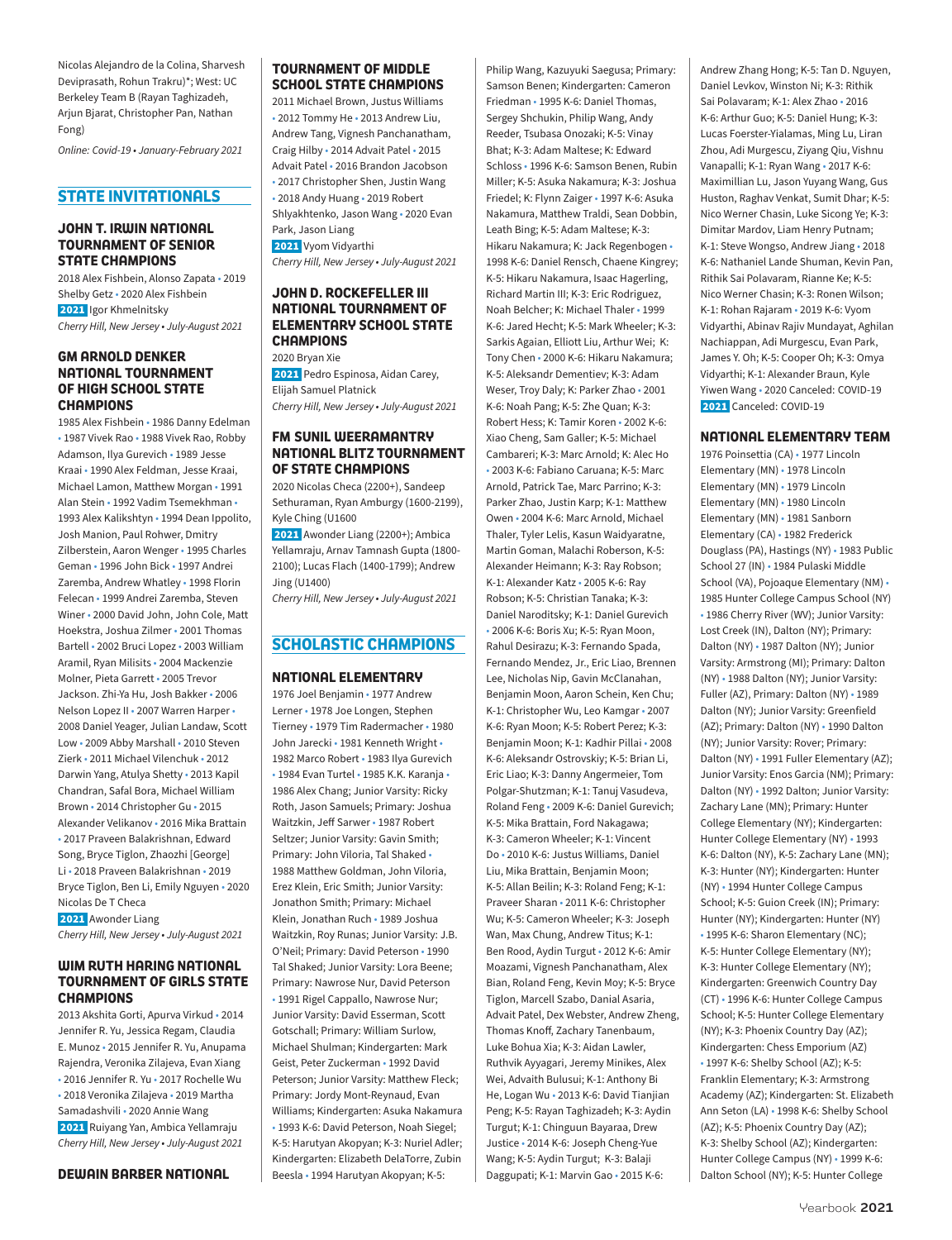Nicolas Alejandro de la Colina, Sharvesh Deviprasath, Rohun Trakru)\*; West: UC Berkeley Team B (Rayan Taghizadeh, Arjun Bjarat, Christopher Pan, Nathan Fong)

*Online: Covid-19 • January-February 2021*

### **STATE INVITATIONALS**

### **JOHN T. IRWIN NATIONAL TOURNAMENT OF SENIOR STATE CHAMPIONS**

2018 Alex Fishbein, Alonso Zapata • 2019 Shelby Getz • 2020 Alex Fishbein 2021 Igor Khmelnitsky *Cherry Hill, New Jersey • July-August 2021*

### **GM ARNOLD DENKER NATIONAL TOURNAMENT OF HIGH SCHOOL STATE CHAMPIONS**

1985 Alex Fishbein • 1986 Danny Edelman • 1987 Vivek Rao • 1988 Vivek Rao, Robby Adamson, Ilya Gurevich • 1989 Jesse Kraai • 1990 Alex Feldman, Jesse Kraai, Michael Lamon, Matthew Morgan • 1991 Alan Stein • 1992 Vadim Tsemekhman • 1993 Alex Kalikshtyn • 1994 Dean Ippolito, Josh Manion, Paul Rohwer, Dmitry Zilberstein, Aaron Wenger • 1995 Charles Geman • 1996 John Bick • 1997 Andrei Zaremba, Andrew Whatley • 1998 Florin Felecan • 1999 Andrei Zaremba, Steven Winer • 2000 David John, John Cole, Matt Hoekstra, Joshua Zilmer • 2001 Thomas Bartell • 2002 Bruci Lopez • 2003 William Aramil, Ryan Milisits • 2004 Mackenzie Molner, Pieta Garrett • 2005 Trevor Jackson. Zhi-Ya Hu, Josh Bakker • 2006 Nelson Lopez II • 2007 Warren Harper • 2008 Daniel Yeager, Julian Landaw, Scott Low • 2009 Abby Marshall • 2010 Steven Zierk • 2011 Michael Vilenchuk • 2012 Darwin Yang, Atulya Shetty • 2013 Kapil Chandran, Safal Bora, Michael William Brown • 2014 Christopher Gu • 2015 Alexander Velikanov • 2016 Mika Brattain • 2017 Praveen Balakrishnan, Edward Song, Bryce Tiglon, Zhaozhi [George] Li • 2018 Praveen Balakrishnan • 2019 Bryce Tiglon, Ben Li, Emily Nguyen • 2020 Nicolas De T Checa

 2021 Awonder Liang *Cherry Hill, New Jersey • July-August 2021*

### **WIM RUTH HARING NATIONAL TOURNAMENT OF GIRLS STATE CHAMPIONS**

2013 Akshita Gorti, Apurva Virkud • 2014 Jennifer R. Yu, Jessica Regam, Claudia E. Munoz • 2015 Jennifer R. Yu, Anupama Rajendra, Veronika Zilajeva, Evan Xiang • 2016 Jennifer R. Yu • 2017 Rochelle Wu • 2018 Veronika Zilajeva • 2019 Martha Samadashvili • 2020 Annie Wang 2021 Ruiyang Yan, Ambica Yellamraju *Cherry Hill, New Jersey • July-August 2021*

### **DEWAIN BARBER NATIONAL**

### **TOURNAMENT OF MIDDLE SCHOOL STATE CHAMPIONS**

2011 Michael Brown, Justus Williams • 2012 Tommy He • 2013 Andrew Liu, Andrew Tang, Vignesh Panchanatham, Craig Hilby • 2014 Advait Patel • 2015 Advait Patel • 2016 Brandon Jacobson • 2017 Christopher Shen, Justin Wang • 2018 Andy Huang • 2019 Robert Shlyakhtenko, Jason Wang • 2020 Evan Park, Jason Liang 2021 Vyom Vidyarthi *Cherry Hill, New Jersey • July-August 2021*

### **JOHN D. ROCKEFELLER III NATIONAL TOURNAMENT OF ELEMENTARY SCHOOL STATE CHAMPIONS**

2020 Bryan Xie 2021 Pedro Espinosa, Aidan Carey, Elijah Samuel Platnick *Cherry Hill, New Jersey • July-August 2021*

### **FM SUNIL WEERAMANTRY NATIONAL BLITZ TOURNAMENT OF STATE CHAMPIONS**

2020 Nicolas Checa (2200+), Sandeep Sethuraman, Ryan Amburgy (1600-2199), Kyle Ching (U1600

 2021 Awonder Liang (2200+); Ambica Yellamraju, Arnav Tamnash Gupta (1800- 2100); Lucas Flach (1400-1799); Andrew Jing (U1400)

*Cherry Hill, New Jersey • July-August 2021*

### **SCHOLASTIC CHAMPIONS**

#### **NATIONAL ELEMENTARY**

1976 Joel Benjamin • 1977 Andrew Lerner • 1978 Joe Longen, Stephen Tierney • 1979 Tim Radermacher • 1980 John Jarecki • 1981 Kenneth Wright • 1982 Marco Robert • 1983 Ilya Gurevich • 1984 Evan Turtel • 1985 K.K. Karanja • 1986 Alex Chang; Junior Varsity: Ricky Roth, Jason Samuels; Primary: Joshua Waitzkin, Jeff Sarwer • 1987 Robert Seltzer; Junior Varsity: Gavin Smith; Primary: John Viloria, Tal Shaked • 1988 Matthew Goldman, John Viloria, Erez Klein, Eric Smith; Junior Varsity: Jonathon Smith; Primary: Michael Klein, Jonathan Ruch • 1989 Joshua Waitzkin, Roy Runas; Junior Varsity: J.B. O'Neil; Primary: David Peterson • 1990 Tal Shaked; Junior Varsity: Lora Beene; Primary: Nawrose Nur, David Peterson • 1991 Rigel Cappallo, Nawrose Nur; Junior Varsity: David Esserman, Scott Gotschall; Primary: William Surlow, Michael Shulman; Kindergarten: Mark Geist, Peter Zuckerman • 1992 David Peterson; Junior Varsity: Matthew Fleck; Primary: Jordy Mont-Reynaud, Evan Williams; Kindergarten: Asuka Nakamura • 1993 K-6: David Peterson, Noah Siegel; K-5: Harutyan Akopyan; K-3: Nuriel Adler; Kindergarten: Elizabeth DelaTorre, Zubin Beesla • 1994 Harutyan Akopyan; K-5:

Philip Wang, Kazuyuki Saegusa; Primary: Samson Benen; Kindergarten: Cameron Friedman • 1995 K-6: Daniel Thomas, Sergey Shchukin, Philip Wang, Andy Reeder, Tsubasa Onozaki; K-5: Vinay Bhat; K-3: Adam Maltese; K: Edward Schloss • 1996 K-6: Samson Benen, Rubin Miller; K-5: Asuka Nakamura; K-3: Joshua Friedel; K: Flynn Zaiger • 1997 K-6: Asuka Nakamura, Matthew Traldi, Sean Dobbin, Leath Bing; K-5: Adam Maltese; K-3: Hikaru Nakamura; K: Jack Regenbogen • 1998 K-6: Daniel Rensch, Chaene Kingrey; K-5: Hikaru Nakamura, Isaac Hagerling, Richard Martin III; K-3: Eric Rodriguez, Noah Belcher; K: Michael Thaler • 1999 K-6: Jared Hecht; K-5: Mark Wheeler; K-3: Sarkis Agaian, Elliott Liu, Arthur Wei; K: Tony Chen • 2000 K-6: Hikaru Nakamura; K-5: Aleksandr Dementiev; K-3: Adam Weser, Troy Daly; K: Parker Zhao • 2001 K-6: Noah Pang; K-5: Zhe Quan; K-3: Robert Hess; K: Tamir Koren • 2002 K-6: Xiao Cheng, Sam Galler; K-5: Michael Cambareri; K-3: Marc Arnold; K: Alec Ho • 2003 K-6: Fabiano Caruana; K-5: Marc Arnold, Patrick Tae, Marc Parrino; K-3: Parker Zhao, Justin Karp; K-1: Matthew Owen • 2004 K-6: Marc Arnold, Michael Thaler, Tyler Lelis, Kasun Waidyaratne, Martin Goman, Malachi Roberson, K-5: Alexander Heimann; K-3: Ray Robson; K-1: Alexander Katz • 2005 K-6: Ray Robson; K-5: Christian Tanaka; K-3: Daniel Naroditsky; K-1: Daniel Gurevich • 2006 K-6: Boris Xu; K-5: Ryan Moon, Rahul Desirazu; K-3: Fernando Spada, Fernando Mendez, Jr., Eric Liao, Brennen Lee, Nicholas Nip, Gavin McClanahan, Benjamin Moon, Aaron Schein, Ken Chu; K-1: Christopher Wu, Leo Kamgar • 2007 K-6: Ryan Moon; K-5: Robert Perez; K-3: Benjamin Moon; K-1: Kadhir Pillai • 2008 K-6: Aleksandr Ostrovskiy; K-5: Brian Li, Eric Liao; K-3: Danny Angermeier, Tom Polgar-Shutzman; K-1: Tanuj Vasudeva, Roland Feng • 2009 K-6: Daniel Gurevich; K-5: Mika Brattain, Ford Nakagawa; K-3: Cameron Wheeler; K-1: Vincent Do • 2010 K-6: Justus Williams, Daniel Liu, Mika Brattain, Benjamin Moon; K-5: Allan Beilin; K-3: Roland Feng; K-1: Praveer Sharan • 2011 K-6: Christopher Wu; K-5: Cameron Wheeler; K-3: Joseph Wan, Max Chung, Andrew Titus; K-1: Ben Rood, Aydin Turgut • 2012 K-6: Amir Moazami, Vignesh Panchanatham, Alex Bian, Roland Feng, Kevin Moy; K-5: Bryce Tiglon, Marcell Szabo, Danial Asaria, Advait Patel, Dex Webster, Andrew Zheng, Thomas Knoff, Zachary Tanenbaum, Luke Bohua Xia; K-3: Aidan Lawler, Ruthvik Ayyagari, Jeremy Minikes, Alex Wei, Advaith Bulusui; K-1: Anthony Bi He, Logan Wu • 2013 K-6: David Tianjian Peng; K-5: Rayan Taghizadeh; K-3: Aydin Turgut; K-1: Chinguun Bayaraa, Drew Justice • 2014 K-6: Joseph Cheng-Yue Wang; K-5: Aydin Turgut; K-3: Balaji Daggupati; K-1: Marvin Gao • 2015 K-6:

Andrew Zhang Hong; K-5: Tan D. Nguyen, Daniel Levkov, Winston Ni; K-3: Rithik Sai Polavaram; K-1: Alex Zhao • 2016 K-6: Arthur Guo; K-5: Daniel Hung; K-3: Lucas Foerster-Yialamas, Ming Lu, Liran Zhou, Adi Murgescu, Ziyang Qiu, Vishnu Vanapalli; K-1: Ryan Wang • 2017 K-6: Maximillian Lu, Jason Yuyang Wang, Gus Huston, Raghav Venkat, Sumit Dhar; K-5: Nico Werner Chasin, Luke Sicong Ye; K-3: Dimitar Mardov, Liam Henry Putnam; K-1: Steve Wongso, Andrew Jiang • 2018 K-6: Nathaniel Lande Shuman, Kevin Pan, Rithik Sai Polavaram, Rianne Ke; K-5: Nico Werner Chasin; K-3: Ronen Wilson; K-1: Rohan Rajaram • 2019 K-6: Vyom Vidyarthi, Abinav Rajiv Mundayat, Aghilan Nachiappan, Adi Murgescu, Evan Park, James Y. Oh; K-5: Cooper Oh; K-3: Omya Vidyarthi; K-1: Alexander Braun, Kyle Yiwen Wang • 2020 Canceled: COVID-19 2021 Canceled: COVID-19

### **NATIONAL ELEMENTARY TEAM**

1976 Poinsettia (CA) • 1977 Lincoln Elementary (MN) • 1978 Lincoln Elementary (MN) • 1979 Lincoln Elementary (MN) • 1980 Lincoln Elementary (MN) • 1981 Sanborn Elementary (CA) • 1982 Frederick Douglass (PA), Hastings (NY) • 1983 Public School 27 (IN) • 1984 Pulaski Middle School (VA), Pojoaque Elementary (NM) • 1985 Hunter College Campus School (NY) • 1986 Cherry River (WV); Junior Varsity: Lost Creek (IN), Dalton (NY); Primary: Dalton (NY) • 1987 Dalton (NY); Junior Varsity: Armstrong (MI); Primary: Dalton (NY) • 1988 Dalton (NY); Junior Varsity: Fuller (AZ), Primary: Dalton (NY) • 1989 Dalton (NY); Junior Varsity: Greenfield (AZ); Primary: Dalton (NY) • 1990 Dalton (NY); Junior Varsity: Rover; Primary: Dalton (NY) • 1991 Fuller Elementary (AZ); Junior Varsity: Enos Garcia (NM); Primary: Dalton (NY) • 1992 Dalton; Junior Varsity: Zachary Lane (MN); Primary: Hunter College Elementary (NY); Kindergarten: Hunter College Elementary (NY) • 1993 K-6: Dalton (NY), K-5: Zachary Lane (MN); K-3: Hunter (NY); Kindergarten: Hunter (NY) • 1994 Hunter College Campus School; K-5: Guion Creek (IN); Primary: Hunter (NY); Kindergarten: Hunter (NY) • 1995 K-6: Sharon Elementary (NC); K-5: Hunter College Elementary (NY); K-3: Hunter College Elementary (NY); Kindergarten: Greenwich Country Day (CT) • 1996 K-6: Hunter College Campus School; K-5: Hunter College Elementary (NY); K-3: Phoenix Country Day (AZ); Kindergarten: Chess Emporium (AZ) • 1997 K-6: Shelby School (AZ); K-5: Franklin Elementary; K-3: Armstrong Academy (AZ); Kindergarten: St. Elizabeth Ann Seton (LA) • 1998 K-6: Shelby School (AZ); K-5: Phoenix Country Day (AZ); K-3: Shelby School (AZ); Kindergarten: Hunter College Campus (NY) • 1999 K-6: Dalton School (NY); K-5: Hunter College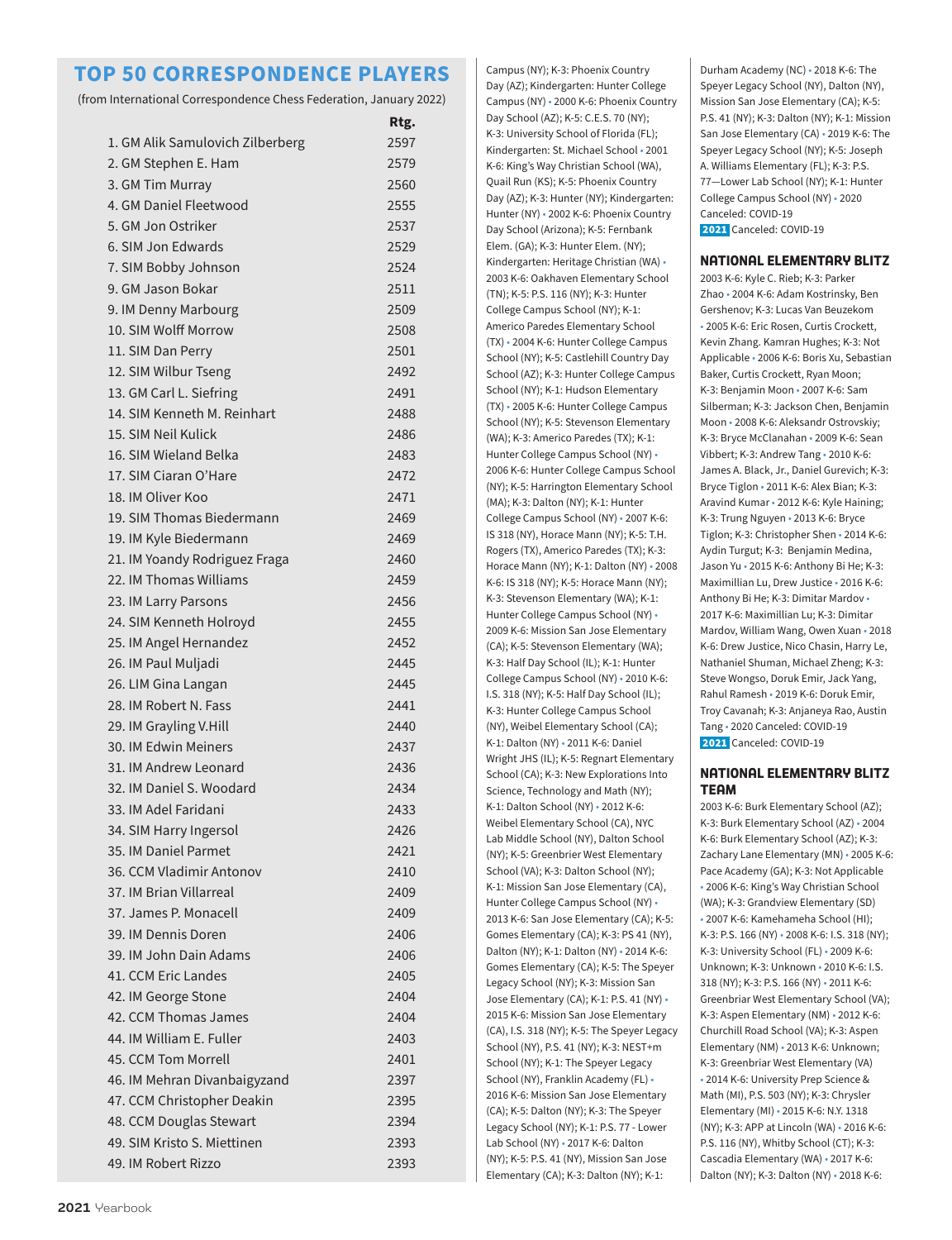### **TOP 50 CORRESPONDENCE PLAYERS**

(from International Correspondence Chess Federation, January 2022)

|                                  | Rtg. |
|----------------------------------|------|
| 1. GM Alik Samulovich Zilberberg | 2597 |
| 2. GM Stephen E. Ham             | 2579 |
| 3. GM Tim Murray                 | 2560 |
| 4. GM Daniel Fleetwood           | 2555 |
| 5. GM Jon Ostriker               | 2537 |
| 6. SIM Jon Edwards               | 2529 |
| 7. SIM Bobby Johnson             | 2524 |
| 9. GM Jason Bokar                | 2511 |
| 9. IM Denny Marbourg             | 2509 |
| 10. SIM Wolff Morrow             | 2508 |
| 11. SIM Dan Perry                | 2501 |
| 12. SIM Wilbur Tseng             | 2492 |
| 13. GM Carl L. Siefring          | 2491 |
| 14. SIM Kenneth M. Reinhart      | 2488 |
| 15. SIM Neil Kulick              | 2486 |
| 16. SIM Wieland Belka            | 2483 |
| 17. SIM Ciaran O'Hare            | 2472 |
| 18. IM Oliver Koo                | 2471 |
| 19. SIM Thomas Biedermann        | 2469 |
| 19. IM Kyle Biedermann           | 2469 |
| 21. IM Yoandy Rodriguez Fraga    | 2460 |
| 22. IM Thomas Williams           | 2459 |
| 23. IM Larry Parsons             | 2456 |
| 24. SIM Kenneth Holroyd          | 2455 |
| 25. IM Angel Hernandez           | 2452 |
| 26. IM Paul Muljadi              | 2445 |
| 26. LIM Gina Langan              | 2445 |
| 28. IM Robert N. Fass            | 2441 |
| 29. IM Grayling V.Hill           | 2440 |
| 30. IM Edwin Meiners             | 2437 |
| 31. IM Andrew Leonard            | 2436 |
| 32. IM Daniel S. Woodard         | 2434 |
| 33. IM Adel Faridani             | 2433 |
| 34. SIM Harry Ingersol           | 2426 |
| 35. IM Daniel Parmet             | 2421 |
| 36. CCM Vladimir Antonov         | 2410 |
| 37. IM Brian Villarreal          | 2409 |
| 37. James P. Monacell            | 2409 |
| 39. IM Dennis Doren              | 2406 |
| 39. IM John Dain Adams           | 2406 |
| 41. CCM Eric Landes              | 2405 |
| 42. IM George Stone              | 2404 |
| 42. CCM Thomas James             | 2404 |
| 44. IM William E. Fuller         | 2403 |
| 45. CCM Tom Morrell              | 2401 |
| 46. IM Mehran Divanbaigyzand     | 2397 |
| 47. CCM Christopher Deakin       | 2395 |
| 48. CCM Douglas Stewart          | 2394 |
| 49. SIM Kristo S. Miettinen      | 2393 |
| 49. IM Robert Rizzo              |      |
|                                  | 2393 |

Campus (NY); K-3: Phoenix Country Day (AZ); Kindergarten: Hunter College Campus (NY) • 2000 K-6: Phoenix Country Day School (AZ); K-5: C.E.S. 70 (NY); K-3: University School of Florida (FL); Kindergarten: St. Michael School • 2001 K-6: King's Way Christian School (WA), Quail Run (KS); K-5: Phoenix Country Day (AZ); K-3: Hunter (NY); Kindergarten: Hunter (NY) • 2002 K-6: Phoenix Country Day School (Arizona); K-5: Fernbank Elem. (GA); K-3: Hunter Elem. (NY); Kindergarten: Heritage Christian (WA) • 2003 K-6: Oakhaven Elementary School (TN); K-5: P.S. 116 (NY); K-3: Hunter College Campus School (NY); K-1: Americo Paredes Elementary School (TX) • 2004 K-6: Hunter College Campus School (NY); K-5: Castlehill Country Day School (AZ); K-3: Hunter College Campus School (NY); K-1: Hudson Elementary (TX) • 2005 K-6: Hunter College Campus School (NY); K-5: Stevenson Elementary (WA); K-3: Americo Paredes (TX); K-1: Hunter College Campus School (NY) • 2006 K-6: Hunter College Campus School (NY); K-5: Harrington Elementary School (MA); K-3: Dalton (NY); K-1: Hunter College Campus School (NY) • 2007 K-6: IS 318 (NY), Horace Mann (NY); K-5: T.H. Rogers (TX), Americo Paredes (TX); K-3: Horace Mann (NY); K-1: Dalton (NY) • 2008 K-6: IS 318 (NY); K-5: Horace Mann (NY); K-3: Stevenson Elementary (WA); K-1: Hunter College Campus School (NY) • 2009 K-6: Mission San Jose Elementary (CA); K-5: Stevenson Elementary (WA); K-3: Half Day School (IL); K-1: Hunter College Campus School (NY) • 2010 K-6: I.S. 318 (NY); K-5: Half Day School (IL); K-3: Hunter College Campus School (NY), Weibel Elementary School (CA); K-1: Dalton (NY) • 2011 K-6: Daniel Wright JHS (IL); K-5: Regnart Elementary School (CA); K-3: New Explorations Into Science, Technology and Math (NY); K-1: Dalton School (NY) • 2012 K-6: Weibel Elementary School (CA), NYC Lab Middle School (NY), Dalton School (NY); K-5: Greenbrier West Elementary School (VA); K-3: Dalton School (NY); K-1: Mission San Jose Elementary (CA), Hunter College Campus School (NY) • 2013 K-6: San Jose Elementary (CA); K-5: Gomes Elementary (CA); K-3: PS 41 (NY), Dalton (NY); K-1: Dalton (NY) • 2014 K-6: Gomes Elementary (CA); K-5: The Speyer Legacy School (NY); K-3: Mission San Jose Elementary (CA); K-1: P.S. 41 (NY) • 2015 K-6: Mission San Jose Elementary (CA), I.S. 318 (NY); K-5: The Speyer Legacy School (NY), P.S. 41 (NY); K-3: NEST+m School (NY); K-1: The Speyer Legacy School (NY), Franklin Academy (FL) • 2016 K-6: Mission San Jose Elementary (CA); K-5: Dalton (NY); K-3: The Speyer Legacy School (NY); K-1: P.S. 77 - Lower Lab School (NY) • 2017 K-6: Dalton (NY); K-5: P.S. 41 (NY), Mission San Jose Elementary (CA); K-3: Dalton (NY); K-1:

Durham Academy (NC) • 2018 K-6: The Speyer Legacy School (NY), Dalton (NY), Mission San Jose Elementary (CA); K-5: P.S. 41 (NY); K-3: Dalton (NY); K-1: Mission San Jose Elementary (CA) • 2019 K-6: The Speyer Legacy School (NY); K-5: Joseph A. Williams Elementary (FL); K-3: P.S. 77—Lower Lab School (NY); K-1: Hunter College Campus School (NY) • 2020 Canceled: COVID-19 2021 Canceled: COVID-19

**NATIONAL ELEMENTARY BLITZ**

2003 K-6: Kyle C. Rieb; K-3: Parker Zhao • 2004 K-6: Adam Kostrinsky, Ben Gershenov; K-3: Lucas Van Beuzekom • 2005 K-6: Eric Rosen, Curtis Crockett, Kevin Zhang. Kamran Hughes; K-3: Not Applicable • 2006 K-6: Boris Xu, Sebastian Baker, Curtis Crockett, Ryan Moon; K-3: Benjamin Moon • 2007 K-6: Sam Silberman; K-3: Jackson Chen, Benjamin Moon • 2008 K-6: Aleksandr Ostrovskiy; K-3: Bryce McClanahan • 2009 K-6: Sean Vibbert; K-3: Andrew Tang • 2010 K-6: James A. Black, Jr., Daniel Gurevich; K-3: Bryce Tiglon • 2011 K-6: Alex Bian; K-3: Aravind Kumar • 2012 K-6: Kyle Haining; K-3: Trung Nguyen • 2013 K-6: Bryce Tiglon; K-3: Christopher Shen • 2014 K-6: Aydin Turgut; K-3: Benjamin Medina, Jason Yu • 2015 K-6: Anthony Bi He; K-3: Maximillian Lu, Drew Justice • 2016 K-6: Anthony Bi He; K-3: Dimitar Mardov • 2017 K-6: Maximillian Lu; K-3: Dimitar Mardov, William Wang, Owen Xuan • 2018 K-6: Drew Justice, Nico Chasin, Harry Le, Nathaniel Shuman, Michael Zheng; K-3: Steve Wongso, Doruk Emir, Jack Yang, Rahul Ramesh • 2019 K-6: Doruk Emir, Troy Cavanah; K-3: Anjaneya Rao, Austin Tang • 2020 Canceled: COVID-19 2021 Canceled: COVID-19

### **NATIONAL ELEMENTARY BLITZ TEAM**

2003 K-6: Burk Elementary School (AZ); K-3: Burk Elementary School (AZ) • 2004 K-6: Burk Elementary School (AZ); K-3: Zachary Lane Elementary (MN) • 2005 K-6: Pace Academy (GA); K-3: Not Applicable • 2006 K-6: King's Way Christian School (WA); K-3: Grandview Elementary (SD) • 2007 K-6: Kamehameha School (HI); K-3: P.S. 166 (NY) • 2008 K-6: I.S. 318 (NY); K-3: University School (FL) • 2009 K-6: Unknown; K-3: Unknown • 2010 K-6: I.S. 318 (NY); K-3: P.S. 166 (NY) • 2011 K-6: Greenbriar West Elementary School (VA); K-3: Aspen Elementary (NM) • 2012 K-6: Churchill Road School (VA); K-3: Aspen Elementary (NM) • 2013 K-6: Unknown; K-3: Greenbriar West Elementary (VA) • 2014 K-6: University Prep Science & Math (MI), P.S. 503 (NY); K-3: Chrysler Elementary (MI) • 2015 K-6: N.Y. 1318 (NY); K-3: APP at Lincoln (WA) • 2016 K-6: P.S. 116 (NY), Whitby School (CT); K-3: Cascadia Elementary (WA) • 2017 K-6: Dalton (NY); K-3: Dalton (NY) • 2018 K-6: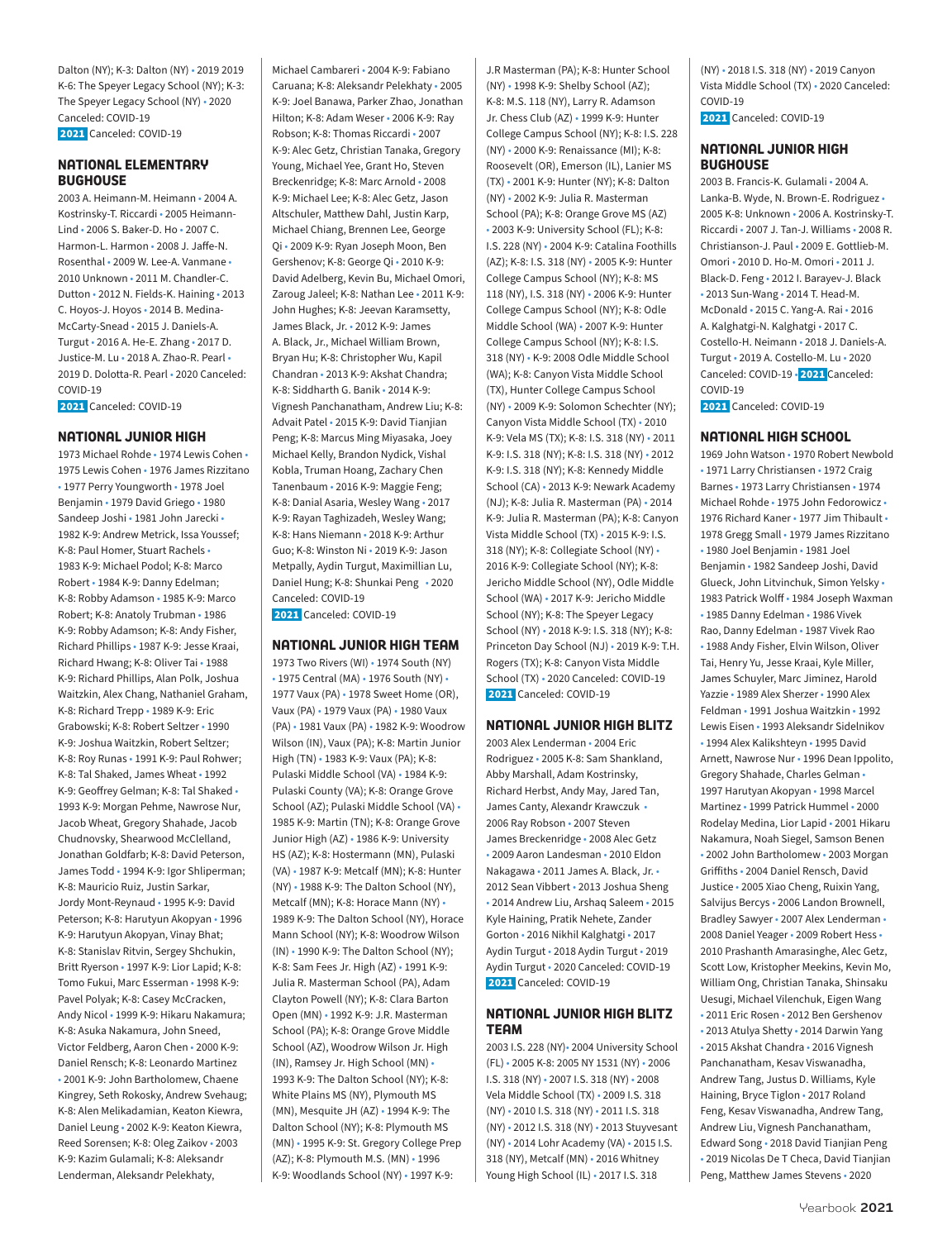Dalton (NY); K-3: Dalton (NY) • 2019 2019 K-6: The Speyer Legacy School (NY); K-3: The Speyer Legacy School (NY) • 2020 Canceled: COVID-19 2021 Canceled: COVID-19

### **NATIONAL ELEMENTARY BUGHOUSE**

2003 A. Heimann-M. Heimann • 2004 A. Kostrinsky-T. Riccardi • 2005 Heimann-Lind • 2006 S. Baker-D. Ho • 2007 C. Harmon-L. Harmon • 2008 J. Jaffe-N. Rosenthal • 2009 W. Lee-A. Vanmane • 2010 Unknown • 2011 M. Chandler-C. Dutton • 2012 N. Fields-K. Haining • 2013 C. Hoyos-J. Hoyos • 2014 B. Medina-McCarty-Snead • 2015 J. Daniels-A. Turgut • 2016 A. He-E. Zhang • 2017 D. Justice-M. Lu • 2018 A. Zhao-R. Pearl • 2019 D. Dolotta-R. Pearl • 2020 Canceled: COVID-19 2021 Canceled: COVID-19

### **NATIONAL JUNIOR HIGH**

1973 Michael Rohde • 1974 Lewis Cohen • 1975 Lewis Cohen • 1976 James Rizzitano • 1977 Perry Youngworth • 1978 Joel Benjamin • 1979 David Griego • 1980 Sandeep Joshi • 1981 John Jarecki • 1982 K-9: Andrew Metrick, Issa Youssef; K-8: Paul Homer, Stuart Rachels • 1983 K-9: Michael Podol; K-8: Marco Robert • 1984 K-9: Danny Edelman; K-8: Robby Adamson • 1985 K-9: Marco Robert; K-8: Anatoly Trubman • 1986 K-9: Robby Adamson; K-8: Andy Fisher, Richard Phillips • 1987 K-9: Jesse Kraai, Richard Hwang; K-8: Oliver Tai • 1988 K-9: Richard Phillips, Alan Polk, Joshua Waitzkin, Alex Chang, Nathaniel Graham, K-8: Richard Trepp • 1989 K-9: Eric Grabowski; K-8: Robert Seltzer • 1990 K-9: Joshua Waitzkin, Robert Seltzer; K-8: Roy Runas • 1991 K-9: Paul Rohwer; K-8: Tal Shaked, James Wheat • 1992 K-9: Geoffrey Gelman; K-8: Tal Shaked • 1993 K-9: Morgan Pehme, Nawrose Nur, Jacob Wheat, Gregory Shahade, Jacob Chudnovsky, Shearwood McClelland, Jonathan Goldfarb; K-8: David Peterson, James Todd • 1994 K-9: Igor Shliperman; K-8: Mauricio Ruiz, Justin Sarkar, Jordy Mont-Reynaud • 1995 K-9: David Peterson; K-8: Harutyun Akopyan • 1996 K-9: Harutyun Akopyan, Vinay Bhat; K-8: Stanislav Ritvin, Sergey Shchukin, Britt Ryerson • 1997 K-9: Lior Lapid; K-8: Tomo Fukui, Marc Esserman • 1998 K-9: Pavel Polyak; K-8: Casey McCracken, Andy Nicol • 1999 K-9: Hikaru Nakamura; K-8: Asuka Nakamura, John Sneed, Victor Feldberg, Aaron Chen • 2000 K-9: Daniel Rensch; K-8: Leonardo Martinez • 2001 K-9: John Bartholomew, Chaene Kingrey, Seth Rokosky, Andrew Svehaug; K-8: Alen Melikadamian, Keaton Kiewra, Daniel Leung • 2002 K-9: Keaton Kiewra, Reed Sorensen; K-8: Oleg Zaikov • 2003 K-9: Kazim Gulamali; K-8: Aleksandr Lenderman, Aleksandr Pelekhaty,

Michael Cambareri • 2004 K-9: Fabiano Caruana; K-8: Aleksandr Pelekhaty • 2005 K-9: Joel Banawa, Parker Zhao, Jonathan Hilton; K-8: Adam Weser • 2006 K-9: Ray Robson; K-8: Thomas Riccardi • 2007 K-9: Alec Getz, Christian Tanaka, Gregory Young, Michael Yee, Grant Ho, Steven Breckenridge; K-8: Marc Arnold • 2008 K-9: Michael Lee; K-8: Alec Getz, Jason Altschuler, Matthew Dahl, Justin Karp, Michael Chiang, Brennen Lee, George Qi • 2009 K-9: Ryan Joseph Moon, Ben Gershenov; K-8: George Qi • 2010 K-9: David Adelberg, Kevin Bu, Michael Omori, Zaroug Jaleel; K-8: Nathan Lee • 2011 K-9: John Hughes; K-8: Jeevan Karamsetty, James Black, Jr. • 2012 K-9: James A. Black, Jr., Michael William Brown, Bryan Hu; K-8: Christopher Wu, Kapil Chandran • 2013 K-9: Akshat Chandra; K-8: Siddharth G. Banik • 2014 K-9: Vignesh Panchanatham, Andrew Liu; K-8: Advait Patel • 2015 K-9: David Tianjian Peng; K-8: Marcus Ming Miyasaka, Joey Michael Kelly, Brandon Nydick, Vishal Kobla, Truman Hoang, Zachary Chen Tanenbaum • 2016 K-9: Maggie Feng; K-8: Danial Asaria, Wesley Wang • 2017 K-9: Rayan Taghizadeh, Wesley Wang; K-8: Hans Niemann • 2018 K-9: Arthur Guo; K-8: Winston Ni • 2019 K-9: Jason Metpally, Aydin Turgut, Maximillian Lu, Daniel Hung; K-8: Shunkai Peng • 2020 Canceled: COVID-19

2021 Canceled: COVID-19

### **NATIONAL JUNIOR HIGH TEAM**

1973 Two Rivers (WI) • 1974 South (NY) • 1975 Central (MA) • 1976 South (NY) • 1977 Vaux (PA) • 1978 Sweet Home (OR), Vaux (PA) • 1979 Vaux (PA) • 1980 Vaux (PA) • 1981 Vaux (PA) • 1982 K-9: Woodrow Wilson (IN), Vaux (PA); K-8: Martin Junior High (TN) • 1983 K-9: Vaux (PA); K-8: Pulaski Middle School (VA) • 1984 K-9: Pulaski County (VA); K-8: Orange Grove School (AZ); Pulaski Middle School (VA) • 1985 K-9: Martin (TN); K-8: Orange Grove Junior High (AZ) • 1986 K-9: University HS (AZ); K-8: Hostermann (MN), Pulaski (VA) • 1987 K-9: Metcalf (MN); K-8: Hunter (NY) • 1988 K-9: The Dalton School (NY), Metcalf (MN); K-8: Horace Mann (NY) • 1989 K-9: The Dalton School (NY), Horace Mann School (NY); K-8: Woodrow Wilson (IN) • 1990 K-9: The Dalton School (NY); K-8: Sam Fees Jr. High (AZ) • 1991 K-9: Julia R. Masterman School (PA), Adam Clayton Powell (NY); K-8: Clara Barton Open (MN) • 1992 K-9: J.R. Masterman School (PA); K-8: Orange Grove Middle School (AZ), Woodrow Wilson Jr. High (IN), Ramsey Jr. High School (MN) • 1993 K-9: The Dalton School (NY); K-8: White Plains MS (NY), Plymouth MS (MN), Mesquite JH (AZ) • 1994 K-9: The Dalton School (NY); K-8: Plymouth MS (MN) • 1995 K-9: St. Gregory College Prep (AZ); K-8: Plymouth M.S. (MN) • 1996 K-9: Woodlands School (NY) • 1997 K-9:

J.R Masterman (PA); K-8: Hunter School (NY) • 1998 K-9: Shelby School (AZ); K-8: M.S. 118 (NY), Larry R. Adamson Jr. Chess Club (AZ) • 1999 K-9: Hunter College Campus School (NY); K-8: I.S. 228 (NY) • 2000 K-9: Renaissance (MI); K-8: Roosevelt (OR), Emerson (IL), Lanier MS (TX) • 2001 K-9: Hunter (NY); K-8: Dalton (NY) • 2002 K-9: Julia R. Masterman School (PA); K-8: Orange Grove MS (AZ) • 2003 K-9: University School (FL); K-8: I.S. 228 (NY) • 2004 K-9: Catalina Foothills (AZ); K-8: I.S. 318 (NY) • 2005 K-9: Hunter College Campus School (NY); K-8: MS 118 (NY), I.S. 318 (NY) • 2006 K-9: Hunter College Campus School (NY); K-8: Odle Middle School (WA) • 2007 K-9: Hunter College Campus School (NY); K-8: I.S. 318 (NY) • K-9: 2008 Odle Middle School (WA); K-8: Canyon Vista Middle School (TX), Hunter College Campus School (NY) • 2009 K-9: Solomon Schechter (NY); Canyon Vista Middle School (TX) • 2010 K-9: Vela MS (TX); K-8: I.S. 318 (NY) • 2011 K-9: I.S. 318 (NY); K-8: I.S. 318 (NY) • 2012 K-9: I.S. 318 (NY); K-8: Kennedy Middle School (CA) • 2013 K-9: Newark Academy (NJ); K-8: Julia R. Masterman (PA) • 2014 K-9: Julia R. Masterman (PA); K-8: Canyon Vista Middle School (TX) • 2015 K-9: I.S. 318 (NY); K-8: Collegiate School (NY) • 2016 K-9: Collegiate School (NY); K-8: Jericho Middle School (NY), Odle Middle School (WA) • 2017 K-9: Jericho Middle School (NY); K-8: The Speyer Legacy School (NY) • 2018 K-9: I.S. 318 (NY); K-8: Princeton Day School (NJ) • 2019 K-9: T.H. Rogers (TX); K-8: Canyon Vista Middle School (TX) • 2020 Canceled: COVID-19 2021 Canceled: COVID-19

### **NATIONAL JUNIOR HIGH BLITZ**

2003 Alex Lenderman • 2004 Eric Rodriguez • 2005 K-8: Sam Shankland, Abby Marshall, Adam Kostrinsky, Richard Herbst, Andy May, Jared Tan, James Canty, Alexandr Krawczuk • 2006 Ray Robson • 2007 Steven James Breckenridge • 2008 Alec Getz • 2009 Aaron Landesman • 2010 Eldon Nakagawa • 2011 James A. Black, Jr. • 2012 Sean Vibbert • 2013 Joshua Sheng • 2014 Andrew Liu, Arshaq Saleem • 2015 Kyle Haining, Pratik Nehete, Zander Gorton • 2016 Nikhil Kalghatgi • 2017 Aydin Turgut • 2018 Aydin Turgut • 2019 Aydin Turgut • 2020 Canceled: COVID-19 2021 Canceled: COVID-19

### **NATIONAL JUNIOR HIGH BLITZ TEAM**

2003 I.S. 228 (NY)• 2004 University School (FL) • 2005 K-8: 2005 NY 1531 (NY) • 2006 I.S. 318 (NY) • 2007 I.S. 318 (NY) • 2008 Vela Middle School (TX) • 2009 I.S. 318 (NY) • 2010 I.S. 318 (NY) • 2011 I.S. 318 (NY) • 2012 I.S. 318 (NY) • 2013 Stuyvesant (NY) • 2014 Lohr Academy (VA) • 2015 I.S. 318 (NY), Metcalf (MN) • 2016 Whitney Young High School (IL) • 2017 I.S. 318

(NY) • 2018 I.S. 318 (NY) • 2019 Canyon Vista Middle School (TX) • 2020 Canceled: COVID-19

### 2021 Canceled: COVID-19

### **NATIONAL JUNIOR HIGH BUGHOUSE**

2003 B. Francis-K. Gulamali • 2004 A. Lanka-B. Wyde, N. Brown-E. Rodriguez • 2005 K-8: Unknown • 2006 A. Kostrinsky-T. Riccardi • 2007 J. Tan-J. Williams • 2008 R. Christianson-J. Paul • 2009 E. Gottlieb-M. Omori • 2010 D. Ho-M. Omori • 2011 J. Black-D. Feng • 2012 I. Barayev-J. Black • 2013 Sun-Wang • 2014 T. Head-M. McDonald • 2015 C. Yang-A. Rai • 2016 A. Kalghatgi-N. Kalghatgi • 2017 C. Costello-H. Neimann • 2018 J. Daniels-A. Turgut • 2019 A. Costello-M. Lu • 2020 Canceled: COVID-19 · 2021 Canceled: COVID-19

2021 Canceled: COVID-19

### **NATIONAL HIGH SCHOOL**

1969 John Watson • 1970 Robert Newbold • 1971 Larry Christiansen • 1972 Craig Barnes • 1973 Larry Christiansen • 1974 Michael Rohde • 1975 John Fedorowicz • 1976 Richard Kaner • 1977 Jim Thibault • 1978 Gregg Small • 1979 James Rizzitano • 1980 Joel Benjamin • 1981 Joel Benjamin • 1982 Sandeep Joshi, David Glueck, John Litvinchuk, Simon Yelsky • 1983 Patrick Wolff • 1984 Joseph Waxman • 1985 Danny Edelman • 1986 Vivek Rao, Danny Edelman • 1987 Vivek Rao • 1988 Andy Fisher, Elvin Wilson, Oliver Tai, Henry Yu, Jesse Kraai, Kyle Miller, James Schuyler, Marc Jiminez, Harold Yazzie • 1989 Alex Sherzer • 1990 Alex Feldman • 1991 Joshua Waitzkin • 1992 Lewis Eisen • 1993 Aleksandr Sidelnikov • 1994 Alex Kalikshteyn • 1995 David Arnett, Nawrose Nur • 1996 Dean Ippolito, Gregory Shahade, Charles Gelman • 1997 Harutyan Akopyan • 1998 Marcel Martinez • 1999 Patrick Hummel • 2000 Rodelay Medina, Lior Lapid • 2001 Hikaru Nakamura, Noah Siegel, Samson Benen • 2002 John Bartholomew • 2003 Morgan Griffiths • 2004 Daniel Rensch, David Justice • 2005 Xiao Cheng, Ruixin Yang, Salvijus Bercys • 2006 Landon Brownell, Bradley Sawyer • 2007 Alex Lenderman • 2008 Daniel Yeager • 2009 Robert Hess • 2010 Prashanth Amarasinghe, Alec Getz, Scott Low, Kristopher Meekins, Kevin Mo, William Ong, Christian Tanaka, Shinsaku Uesugi, Michael Vilenchuk, Eigen Wang • 2011 Eric Rosen • 2012 Ben Gershenov • 2013 Atulya Shetty • 2014 Darwin Yang • 2015 Akshat Chandra • 2016 Vignesh Panchanatham, Kesav Viswanadha, Andrew Tang, Justus D. Williams, Kyle Haining, Bryce Tiglon • 2017 Roland Feng, Kesav Viswanadha, Andrew Tang, Andrew Liu, Vignesh Panchanatham, Edward Song • 2018 David Tianjian Peng • 2019 Nicolas De T Checa, David Tianjian

Peng, Matthew James Stevens • 2020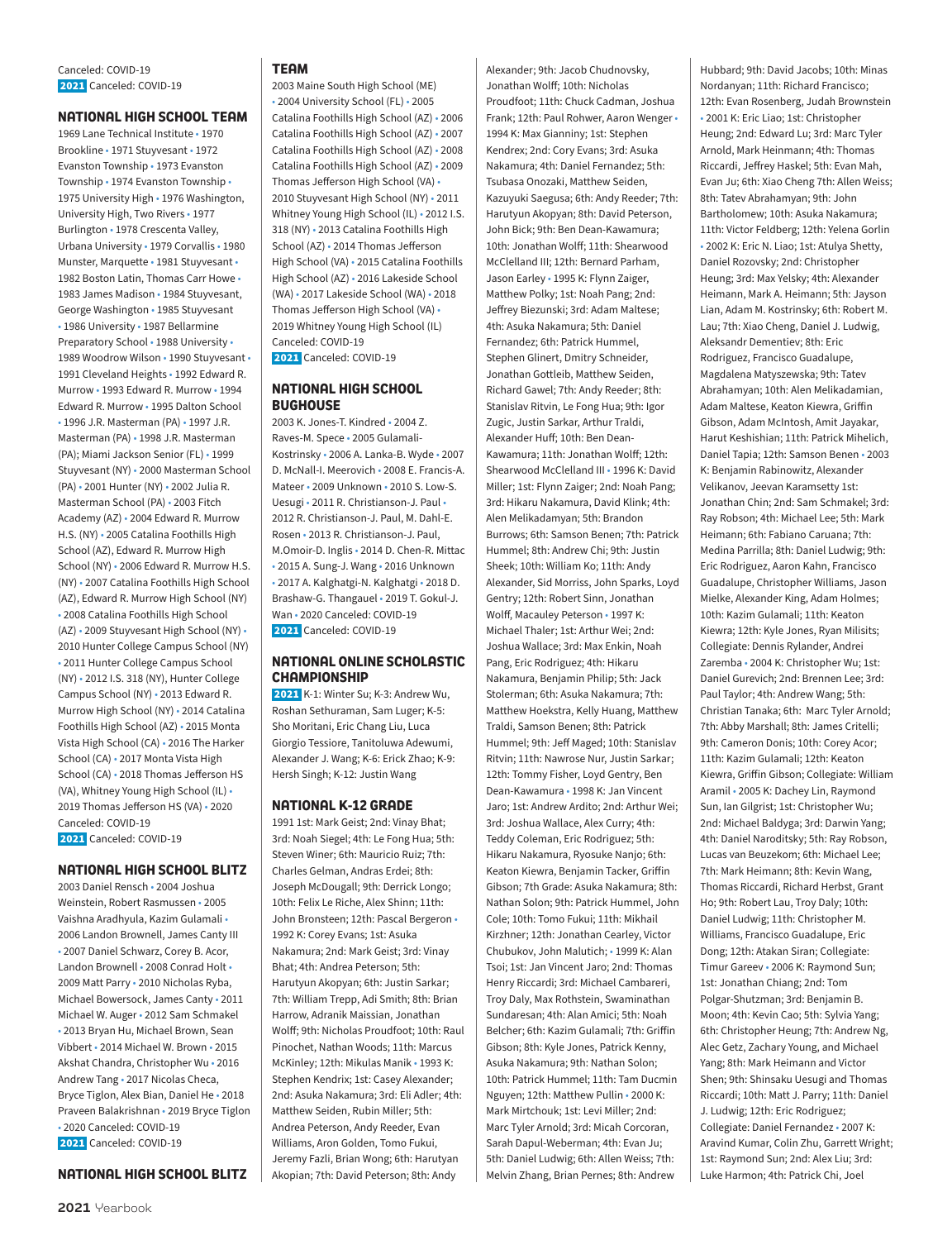### **NATIONAL HIGH SCHOOL TEAM**

1969 Lane Technical Institute • 1970 Brookline • 1971 Stuyvesant • 1972 Evanston Township • 1973 Evanston Township • 1974 Evanston Township • 1975 University High • 1976 Washington, University High, Two Rivers • 1977 Burlington • 1978 Crescenta Valley, Urbana University • 1979 Corvallis • 1980 Munster, Marquette • 1981 Stuyvesant • 1982 Boston Latin, Thomas Carr Howe • 1983 James Madison • 1984 Stuyvesant, George Washington • 1985 Stuyvesant • 1986 University • 1987 Bellarmine Preparatory School • 1988 University • 1989 Woodrow Wilson • 1990 Stuyvesant • 1991 Cleveland Heights • 1992 Edward R. Murrow • 1993 Edward R. Murrow • 1994 Edward R. Murrow • 1995 Dalton School • 1996 J.R. Masterman (PA) • 1997 J.R. Masterman (PA) • 1998 J.R. Masterman (PA); Miami Jackson Senior (FL) • 1999 Stuyvesant (NY) • 2000 Masterman School (PA) • 2001 Hunter (NY) • 2002 Julia R. Masterman School (PA) • 2003 Fitch Academy (AZ) • 2004 Edward R. Murrow H.S. (NY) • 2005 Catalina Foothills High School (AZ), Edward R. Murrow High School (NY) • 2006 Edward R. Murrow H.S. (NY) • 2007 Catalina Foothills High School (AZ), Edward R. Murrow High School (NY) • 2008 Catalina Foothills High School (AZ) • 2009 Stuyvesant High School (NY) • 2010 Hunter College Campus School (NY) • 2011 Hunter College Campus School (NY) • 2012 I.S. 318 (NY), Hunter College Campus School (NY) • 2013 Edward R. Murrow High School (NY) • 2014 Catalina Foothills High School (AZ) • 2015 Monta Vista High School (CA) • 2016 The Harker School (CA) • 2017 Monta Vista High School (CA) • 2018 Thomas Jefferson HS (VA), Whitney Young High School (IL) • 2019 Thomas Jefferson HS (VA) • 2020 Canceled: COVID-19 2021 Canceled: COVID-19

### **NATIONAL HIGH SCHOOL BLITZ**

2003 Daniel Rensch • 2004 Joshua Weinstein, Robert Rasmussen • 2005 Vaishna Aradhyula, Kazim Gulamali • 2006 Landon Brownell, James Canty III • 2007 Daniel Schwarz, Corey B. Acor, Landon Brownell • 2008 Conrad Holt • 2009 Matt Parry • 2010 Nicholas Ryba, Michael Bowersock, James Canty • 2011 Michael W. Auger • 2012 Sam Schmakel • 2013 Bryan Hu, Michael Brown, Sean Vibbert • 2014 Michael W. Brown • 2015 Akshat Chandra, Christopher Wu • 2016 Andrew Tang • 2017 Nicolas Checa, Bryce Tiglon, Alex Bian, Daniel He • 2018 Praveen Balakrishnan • 2019 Bryce Tiglon • 2020 Canceled: COVID-19 2021 Canceled: COVID-19

### **NATIONAL HIGH SCHOOL BLITZ**

### **TEAM**

2003 Maine South High School (ME) • 2004 University School (FL) • 2005 Catalina Foothills High School (AZ) • 2006 Catalina Foothills High School (AZ) • 2007 Catalina Foothills High School (AZ) • 2008 Catalina Foothills High School (AZ) • 2009 Thomas Jefferson High School (VA) • 2010 Stuyvesant High School (NY) • 2011 Whitney Young High School (IL) • 2012 I.S. 318 (NY) • 2013 Catalina Foothills High School (AZ) • 2014 Thomas Jefferson High School (VA) • 2015 Catalina Foothills High School (AZ) • 2016 Lakeside School (WA) • 2017 Lakeside School (WA) • 2018 Thomas Jefferson High School (VA) • 2019 Whitney Young High School (IL) Canceled: COVID-19 2021 Canceled: COVID-19

### **NATIONAL HIGH SCHOOL BUGHOUSE**

2003 K. Jones-T. Kindred • 2004 Z. Raves-M. Spece • 2005 Gulamali-Kostrinsky • 2006 A. Lanka-B. Wyde • 2007 D. McNall-I. Meerovich • 2008 E. Francis-A. Mateer • 2009 Unknown • 2010 S. Low-S. Uesugi • 2011 R. Christianson-J. Paul • 2012 R. Christianson-J. Paul, M. Dahl-E. Rosen • 2013 R. Christianson-J. Paul, M.Omoir-D. Inglis • 2014 D. Chen-R. Mittac • 2015 A. Sung-J. Wang • 2016 Unknown • 2017 A. Kalghatgi-N. Kalghatgi • 2018 D. Brashaw-G. Thangauel • 2019 T. Gokul-J. Wan • 2020 Canceled: COVID-19 2021 Canceled: COVID-19

### **NATIONAL ONLINE SCHOLASTIC CHAMPIONSHIP**

 2021 K-1: Winter Su; K-3: Andrew Wu, Roshan Sethuraman, Sam Luger; K-5: Sho Moritani, Eric Chang Liu, Luca Giorgio Tessiore, Tanitoluwa Adewumi, Alexander J. Wang; K-6: Erick Zhao; K-9: Hersh Singh; K-12: Justin Wang

### **NATIONAL K-12 GRADE**

1991 1st: Mark Geist; 2nd: Vinay Bhat; 3rd: Noah Siegel; 4th: Le Fong Hua; 5th: Steven Winer; 6th: Mauricio Ruiz; 7th: Charles Gelman, Andras Erdei; 8th: Joseph McDougall; 9th: Derrick Longo; 10th: Felix Le Riche, Alex Shinn; 11th: John Bronsteen; 12th: Pascal Bergeron • 1992 K: Corey Evans; 1st: Asuka Nakamura; 2nd: Mark Geist; 3rd: Vinay Bhat; 4th: Andrea Peterson; 5th: Harutyun Akopyan; 6th: Justin Sarkar; 7th: William Trepp, Adi Smith; 8th: Brian Harrow, Adranik Maissian, Jonathan Wolff; 9th: Nicholas Proudfoot; 10th: Raul Pinochet, Nathan Woods; 11th: Marcus McKinley; 12th: Mikulas Manik • 1993 K: Stephen Kendrix; 1st: Casey Alexander; 2nd: Asuka Nakamura; 3rd: Eli Adler; 4th: Matthew Seiden, Rubin Miller; 5th: Andrea Peterson, Andy Reeder, Evan Williams, Aron Golden, Tomo Fukui, Jeremy Fazli, Brian Wong; 6th: Harutyan Akopian; 7th: David Peterson; 8th: Andy

Alexander; 9th: Jacob Chudnovsky, Jonathan Wolff; 10th: Nicholas Proudfoot; 11th: Chuck Cadman, Joshua Frank; 12th: Paul Rohwer, Aaron Wenger • 1994 K: Max Gianniny; 1st: Stephen Kendrex; 2nd: Cory Evans; 3rd: Asuka Nakamura; 4th: Daniel Fernandez; 5th: Tsubasa Onozaki, Matthew Seiden, Kazuyuki Saegusa; 6th: Andy Reeder; 7th: Harutyun Akopyan; 8th: David Peterson, John Bick; 9th: Ben Dean-Kawamura; 10th: Jonathan Wolff; 11th: Shearwood McClelland III; 12th: Bernard Parham, Jason Earley • 1995 K: Flynn Zaiger, Matthew Polky; 1st: Noah Pang; 2nd: Jeffrey Biezunski; 3rd: Adam Maltese; 4th: Asuka Nakamura; 5th: Daniel Fernandez; 6th: Patrick Hummel, Stephen Glinert, Dmitry Schneider, Jonathan Gottleib, Matthew Seiden, Richard Gawel; 7th: Andy Reeder; 8th: Stanislav Ritvin, Le Fong Hua; 9th: Igor Zugic, Justin Sarkar, Arthur Traldi, Alexander Huff; 10th: Ben Dean-Kawamura; 11th: Jonathan Wolff; 12th: Shearwood McClelland III • 1996 K: David Miller; 1st: Flynn Zaiger; 2nd: Noah Pang; 3rd: Hikaru Nakamura, David Klink; 4th: Alen Melikadamyan; 5th: Brandon Burrows; 6th: Samson Benen; 7th: Patrick Hummel; 8th: Andrew Chi; 9th: Justin Sheek; 10th: William Ko; 11th: Andy Alexander, Sid Morriss, John Sparks, Loyd Gentry; 12th: Robert Sinn, Jonathan Wolff, Macauley Peterson • 1997 K: Michael Thaler; 1st: Arthur Wei; 2nd: Joshua Wallace; 3rd: Max Enkin, Noah Pang, Eric Rodriguez; 4th: Hikaru Nakamura, Benjamin Philip; 5th: Jack Stolerman; 6th: Asuka Nakamura; 7th: Matthew Hoekstra, Kelly Huang, Matthew Traldi, Samson Benen; 8th: Patrick Hummel; 9th: Jeff Maged; 10th: Stanislav Ritvin; 11th: Nawrose Nur, Justin Sarkar; 12th: Tommy Fisher, Loyd Gentry, Ben Dean-Kawamura • 1998 K: Jan Vincent Jaro; 1st: Andrew Ardito; 2nd: Arthur Wei; 3rd: Joshua Wallace, Alex Curry; 4th: Teddy Coleman, Eric Rodriguez; 5th: Hikaru Nakamura, Ryosuke Nanjo; 6th: Keaton Kiewra, Benjamin Tacker, Griffin Gibson; 7th Grade: Asuka Nakamura; 8th: Nathan Solon; 9th: Patrick Hummel, John Cole; 10th: Tomo Fukui; 11th: Mikhail Kirzhner; 12th: Jonathan Cearley, Victor Chubukov, John Malutich; • 1999 K: Alan Tsoi; 1st: Jan Vincent Jaro; 2nd: Thomas Henry Riccardi; 3rd: Michael Cambareri, Troy Daly, Max Rothstein, Swaminathan Sundaresan; 4th: Alan Amici; 5th: Noah Belcher; 6th: Kazim Gulamali; 7th: Griffin Gibson; 8th: Kyle Jones, Patrick Kenny, Asuka Nakamura; 9th: Nathan Solon; 10th: Patrick Hummel; 11th: Tam Ducmin Nguyen; 12th: Matthew Pullin • 2000 K: Mark Mirtchouk; 1st: Levi Miller; 2nd: Marc Tyler Arnold; 3rd: Micah Corcoran, Sarah Dapul-Weberman; 4th: Evan Ju; 5th: Daniel Ludwig; 6th: Allen Weiss; 7th: Melvin Zhang, Brian Pernes; 8th: Andrew

Hubbard; 9th: David Jacobs; 10th: Minas Nordanyan; 11th: Richard Francisco; 12th: Evan Rosenberg, Judah Brownstein • 2001 K: Eric Liao; 1st: Christopher Heung; 2nd: Edward Lu; 3rd: Marc Tyler Arnold, Mark Heinmann; 4th: Thomas Riccardi, Jeffrey Haskel; 5th: Evan Mah, Evan Ju; 6th: Xiao Cheng 7th: Allen Weiss; 8th: Tatev Abrahamyan; 9th: John Bartholomew; 10th: Asuka Nakamura; 11th: Victor Feldberg; 12th: Yelena Gorlin • 2002 K: Eric N. Liao; 1st: Atulya Shetty, Daniel Rozovsky; 2nd: Christopher Heung; 3rd: Max Yelsky; 4th: Alexander Heimann, Mark A. Heimann; 5th: Jayson Lian, Adam M. Kostrinsky; 6th: Robert M. Lau; 7th: Xiao Cheng, Daniel J. Ludwig, Aleksandr Dementiev; 8th: Eric Rodriguez, Francisco Guadalupe, Magdalena Matyszewska; 9th: Tatev Abrahamyan; 10th: Alen Melikadamian, Adam Maltese, Keaton Kiewra, Griffin Gibson, Adam McIntosh, Amit Jayakar, Harut Keshishian; 11th: Patrick Mihelich, Daniel Tapia; 12th: Samson Benen • 2003 K: Benjamin Rabinowitz, Alexander Velikanov, Jeevan Karamsetty 1st: Jonathan Chin; 2nd: Sam Schmakel; 3rd: Ray Robson; 4th: Michael Lee; 5th: Mark Heimann; 6th: Fabiano Caruana; 7th: Medina Parrilla; 8th: Daniel Ludwig; 9th: Eric Rodriguez, Aaron Kahn, Francisco Guadalupe, Christopher Williams, Jason Mielke, Alexander King, Adam Holmes; 10th: Kazim Gulamali; 11th: Keaton Kiewra; 12th: Kyle Jones, Ryan Milisits; Collegiate: Dennis Rylander, Andrei Zaremba • 2004 K: Christopher Wu; 1st: Daniel Gurevich; 2nd: Brennen Lee; 3rd: Paul Taylor; 4th: Andrew Wang; 5th: Christian Tanaka; 6th: Marc Tyler Arnold; 7th: Abby Marshall; 8th: James Critelli; 9th: Cameron Donis; 10th: Corey Acor; 11th: Kazim Gulamali; 12th: Keaton Kiewra, Griffin Gibson; Collegiate: William Aramil • 2005 K: Dachey Lin, Raymond Sun, Ian Gilgrist; 1st: Christopher Wu; 2nd: Michael Baldyga; 3rd: Darwin Yang; 4th: Daniel Naroditsky; 5th: Ray Robson, Lucas van Beuzekom; 6th: Michael Lee; 7th: Mark Heimann; 8th: Kevin Wang, Thomas Riccardi, Richard Herbst, Grant Ho; 9th: Robert Lau, Troy Daly; 10th: Daniel Ludwig; 11th: Christopher M. Williams, Francisco Guadalupe, Eric Dong; 12th: Atakan Siran; Collegiate: Timur Gareev • 2006 K: Raymond Sun; 1st: Jonathan Chiang; 2nd: Tom Polgar-Shutzman; 3rd: Benjamin B. Moon; 4th: Kevin Cao; 5th: Sylvia Yang; 6th: Christopher Heung; 7th: Andrew Ng, Alec Getz, Zachary Young, and Michael Yang; 8th: Mark Heimann and Victor Shen; 9th: Shinsaku Uesugi and Thomas Riccardi; 10th: Matt J. Parry; 11th: Daniel J. Ludwig; 12th: Eric Rodriguez; Collegiate: Daniel Fernandez • 2007 K: Aravind Kumar, Colin Zhu, Garrett Wright; 1st: Raymond Sun; 2nd: Alex Liu; 3rd: Luke Harmon; 4th: Patrick Chi, Joel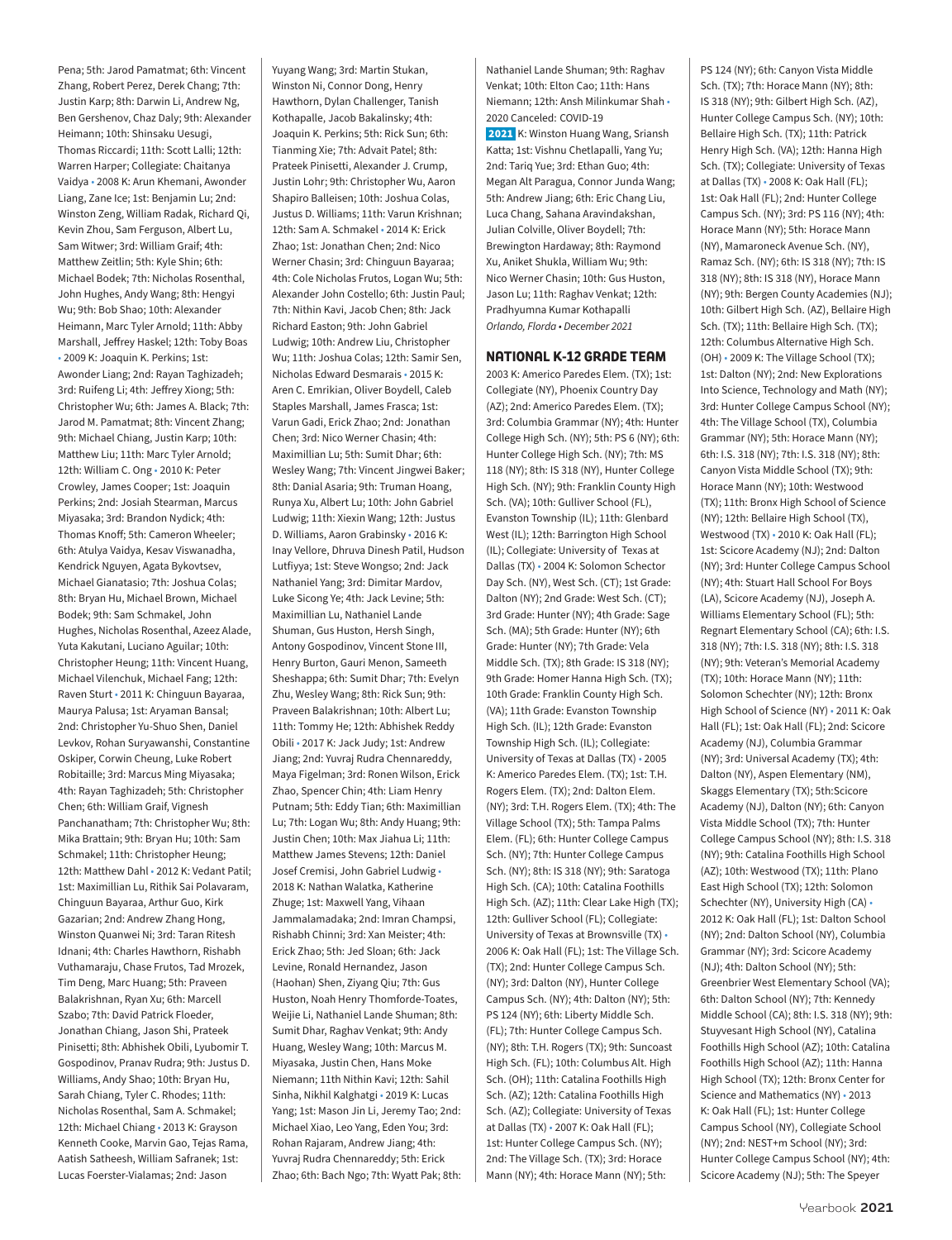Pena; 5th: Jarod Pamatmat; 6th: Vincent Zhang, Robert Perez, Derek Chang; 7th: Justin Karp; 8th: Darwin Li, Andrew Ng, Ben Gershenov, Chaz Daly; 9th: Alexander Heimann; 10th: Shinsaku Uesugi, Thomas Riccardi; 11th: Scott Lalli; 12th: Warren Harper; Collegiate: Chaitanya Vaidya • 2008 K: Arun Khemani, Awonder Liang, Zane Ice; 1st: Benjamin Lu; 2nd: Winston Zeng, William Radak, Richard Qi, Kevin Zhou, Sam Ferguson, Albert Lu, Sam Witwer; 3rd: William Graif; 4th: Matthew Zeitlin; 5th: Kyle Shin; 6th: Michael Bodek; 7th: Nicholas Rosenthal, John Hughes, Andy Wang; 8th: Hengyi Wu; 9th: Bob Shao; 10th: Alexander Heimann, Marc Tyler Arnold; 11th: Abby Marshall, Jeffrey Haskel; 12th: Toby Boas • 2009 K: Joaquin K. Perkins; 1st: Awonder Liang; 2nd: Rayan Taghizadeh; 3rd: Ruifeng Li; 4th: Jeffrey Xiong; 5th: Christopher Wu; 6th: James A. Black; 7th: Jarod M. Pamatmat; 8th: Vincent Zhang; 9th: Michael Chiang, Justin Karp; 10th: Matthew Liu; 11th: Marc Tyler Arnold; 12th: William C. Ong • 2010 K: Peter Crowley, James Cooper; 1st: Joaquin Perkins; 2nd: Josiah Stearman, Marcus Miyasaka; 3rd: Brandon Nydick; 4th: Thomas Knoff; 5th: Cameron Wheeler; 6th: Atulya Vaidya, Kesav Viswanadha, Kendrick Nguyen, Agata Bykovtsev, Michael Gianatasio; 7th: Joshua Colas; 8th: Bryan Hu, Michael Brown, Michael Bodek; 9th: Sam Schmakel, John Hughes, Nicholas Rosenthal, Azeez Alade, Yuta Kakutani, Luciano Aguilar; 10th: Christopher Heung; 11th: Vincent Huang, Michael Vilenchuk, Michael Fang; 12th: Raven Sturt • 2011 K: Chinguun Bayaraa, Maurya Palusa; 1st: Aryaman Bansal; 2nd: Christopher Yu-Shuo Shen, Daniel Levkov, Rohan Suryawanshi, Constantine Oskiper, Corwin Cheung, Luke Robert Robitaille; 3rd: Marcus Ming Miyasaka; 4th: Rayan Taghizadeh; 5th: Christopher Chen; 6th: William Graif, Vignesh Panchanatham; 7th: Christopher Wu; 8th: Mika Brattain; 9th: Bryan Hu; 10th: Sam Schmakel; 11th: Christopher Heung; 12th: Matthew Dahl • 2012 K: Vedant Patil; 1st: Maximillian Lu, Rithik Sai Polavaram, Chinguun Bayaraa, Arthur Guo, Kirk Gazarian; 2nd: Andrew Zhang Hong, Winston Quanwei Ni; 3rd: Taran Ritesh Idnani; 4th: Charles Hawthorn, Rishabh Vuthamaraju, Chase Frutos, Tad Mrozek, Tim Deng, Marc Huang; 5th: Praveen Balakrishnan, Ryan Xu; 6th: Marcell Szabo; 7th: David Patrick Floeder, Jonathan Chiang, Jason Shi, Prateek Pinisetti; 8th: Abhishek Obili, Lyubomir T. Gospodinov, Pranav Rudra; 9th: Justus D. Williams, Andy Shao; 10th: Bryan Hu, Sarah Chiang, Tyler C. Rhodes; 11th: Nicholas Rosenthal, Sam A. Schmakel; 12th: Michael Chiang • 2013 K: Grayson Kenneth Cooke, Marvin Gao, Tejas Rama, Aatish Satheesh, William Safranek; 1st: Lucas Foerster-Vialamas; 2nd: Jason

Yuyang Wang; 3rd: Martin Stukan, Winston Ni, Connor Dong, Henry Hawthorn, Dylan Challenger, Tanish Kothapalle, Jacob Bakalinsky; 4th: Joaquin K. Perkins; 5th: Rick Sun; 6th: Tianming Xie; 7th: Advait Patel; 8th: Prateek Pinisetti, Alexander J. Crump, Justin Lohr; 9th: Christopher Wu, Aaron Shapiro Balleisen; 10th: Joshua Colas, Justus D. Williams; 11th: Varun Krishnan; 12th: Sam A. Schmakel • 2014 K: Erick Zhao; 1st: Jonathan Chen; 2nd: Nico Werner Chasin; 3rd: Chinguun Bayaraa; 4th: Cole Nicholas Frutos, Logan Wu; 5th: Alexander John Costello; 6th: Justin Paul; 7th: Nithin Kavi, Jacob Chen; 8th: Jack Richard Easton; 9th: John Gabriel Ludwig; 10th: Andrew Liu, Christopher Wu; 11th: Joshua Colas; 12th: Samir Sen, Nicholas Edward Desmarais • 2015 K: Aren C. Emrikian, Oliver Boydell, Caleb Staples Marshall, James Frasca; 1st: Varun Gadi, Erick Zhao; 2nd: Jonathan Chen; 3rd: Nico Werner Chasin; 4th: Maximillian Lu; 5th: Sumit Dhar; 6th: Wesley Wang; 7th: Vincent Jingwei Baker; 8th: Danial Asaria; 9th: Truman Hoang, Runya Xu, Albert Lu; 10th: John Gabriel Ludwig; 11th: Xiexin Wang; 12th: Justus D. Williams, Aaron Grabinsky • 2016 K: Inay Vellore, Dhruva Dinesh Patil, Hudson Lutfiyya; 1st: Steve Wongso; 2nd: Jack Nathaniel Yang; 3rd: Dimitar Mardov, Luke Sicong Ye; 4th: Jack Levine; 5th: Maximillian Lu, Nathaniel Lande Shuman, Gus Huston, Hersh Singh, Antony Gospodinov, Vincent Stone III, Henry Burton, Gauri Menon, Sameeth Sheshappa; 6th: Sumit Dhar; 7th: Evelyn Zhu, Wesley Wang; 8th: Rick Sun; 9th: Praveen Balakrishnan; 10th: Albert Lu; 11th: Tommy He; 12th: Abhishek Reddy Obili • 2017 K: Jack Judy; 1st: Andrew Jiang; 2nd: Yuvraj Rudra Chennareddy, Maya Figelman; 3rd: Ronen Wilson, Erick Zhao, Spencer Chin; 4th: Liam Henry Putnam; 5th: Eddy Tian; 6th: Maximillian Lu; 7th: Logan Wu; 8th: Andy Huang; 9th: Justin Chen; 10th: Max Jiahua Li; 11th: Matthew James Stevens; 12th: Daniel Josef Cremisi, John Gabriel Ludwig • 2018 K: Nathan Walatka, Katherine Zhuge; 1st: Maxwell Yang, Vihaan Jammalamadaka; 2nd: Imran Champsi, Rishabh Chinni; 3rd: Xan Meister; 4th: Erick Zhao; 5th: Jed Sloan; 6th: Jack Levine, Ronald Hernandez, Jason (Haohan) Shen, Ziyang Qiu; 7th: Gus Huston, Noah Henry Thomforde-Toates, Weijie Li, Nathaniel Lande Shuman; 8th: Sumit Dhar, Raghav Venkat; 9th: Andy Huang, Wesley Wang; 10th: Marcus M. Miyasaka, Justin Chen, Hans Moke Niemann; 11th Nithin Kavi; 12th: Sahil Sinha, Nikhil Kalghatgi • 2019 K: Lucas Yang; 1st: Mason Jin Li, Jeremy Tao; 2nd: Michael Xiao, Leo Yang, Eden You; 3rd: Rohan Rajaram, Andrew Jiang; 4th: Yuvraj Rudra Chennareddy; 5th: Erick Zhao; 6th: Bach Ngo; 7th: Wyatt Pak; 8th:

Nathaniel Lande Shuman; 9th: Raghav Venkat; 10th: Elton Cao; 11th: Hans Niemann; 12th: Ansh Milinkumar Shah • 2020 Canceled: COVID-19

 2021 K: Winston Huang Wang, Sriansh Katta; 1st: Vishnu Chetlapalli, Yang Yu; 2nd: Tariq Yue; 3rd: Ethan Guo; 4th: Megan Alt Paragua, Connor Junda Wang; 5th: Andrew Jiang; 6th: Eric Chang Liu, Luca Chang, Sahana Aravindakshan, Julian Colville, Oliver Boydell; 7th: Brewington Hardaway; 8th: Raymond Xu, Aniket Shukla, William Wu; 9th: Nico Werner Chasin; 10th: Gus Huston, Jason Lu; 11th: Raghav Venkat; 12th: Pradhyumna Kumar Kothapalli *Orlando, Florda • December 2021*

### **NATIONAL K-12 GRADE TEAM**

2003 K: Americo Paredes Elem. (TX); 1st: Collegiate (NY), Phoenix Country Day (AZ); 2nd: Americo Paredes Elem. (TX); 3rd: Columbia Grammar (NY); 4th: Hunter College High Sch. (NY); 5th: PS 6 (NY); 6th: Hunter College High Sch. (NY); 7th: MS 118 (NY); 8th: IS 318 (NY), Hunter College High Sch. (NY); 9th: Franklin County High Sch. (VA); 10th: Gulliver School (FL), Evanston Township (IL); 11th: Glenbard West (IL); 12th: Barrington High School (IL); Collegiate: University of Texas at Dallas (TX) • 2004 K: Solomon Schector Day Sch. (NY), West Sch. (CT); 1st Grade: Dalton (NY); 2nd Grade: West Sch. (CT); 3rd Grade: Hunter (NY); 4th Grade: Sage Sch. (MA); 5th Grade: Hunter (NY); 6th Grade: Hunter (NY); 7th Grade: Vela Middle Sch. (TX); 8th Grade: IS 318 (NY); 9th Grade: Homer Hanna High Sch. (TX); 10th Grade: Franklin County High Sch. (VA); 11th Grade: Evanston Township High Sch. (IL); 12th Grade: Evanston Township High Sch. (IL); Collegiate: University of Texas at Dallas (TX) • 2005 K: Americo Paredes Elem. (TX); 1st: T.H. Rogers Elem. (TX); 2nd: Dalton Elem. (NY); 3rd: T.H. Rogers Elem. (TX); 4th: The Village School (TX); 5th: Tampa Palms Elem. (FL); 6th: Hunter College Campus Sch. (NY); 7th: Hunter College Campus Sch. (NY); 8th: IS 318 (NY); 9th: Saratoga High Sch. (CA); 10th: Catalina Foothills High Sch. (AZ); 11th: Clear Lake High (TX); 12th: Gulliver School (FL); Collegiate: University of Texas at Brownsville (TX) • 2006 K: Oak Hall (FL); 1st: The Village Sch. (TX); 2nd: Hunter College Campus Sch. (NY); 3rd: Dalton (NY), Hunter College Campus Sch. (NY); 4th: Dalton (NY); 5th: PS 124 (NY); 6th: Liberty Middle Sch. (FL); 7th: Hunter College Campus Sch. (NY); 8th: T.H. Rogers (TX); 9th: Suncoast High Sch. (FL); 10th: Columbus Alt. High Sch. (OH); 11th: Catalina Foothills High Sch. (AZ); 12th: Catalina Foothills High Sch. (AZ); Collegiate: University of Texas at Dallas (TX) • 2007 K: Oak Hall (FL); 1st: Hunter College Campus Sch. (NY); 2nd: The Village Sch. (TX); 3rd: Horace Mann (NY); 4th: Horace Mann (NY); 5th:

PS 124 (NY); 6th: Canyon Vista Middle Sch. (TX); 7th: Horace Mann (NY); 8th: IS 318 (NY); 9th: Gilbert High Sch. (AZ), Hunter College Campus Sch. (NY); 10th: Bellaire High Sch. (TX); 11th: Patrick Henry High Sch. (VA); 12th: Hanna High Sch. (TX); Collegiate: University of Texas at Dallas (TX) • 2008 K: Oak Hall (FL); 1st: Oak Hall (FL); 2nd: Hunter College Campus Sch. (NY); 3rd: PS 116 (NY); 4th: Horace Mann (NY); 5th: Horace Mann (NY), Mamaroneck Avenue Sch. (NY), Ramaz Sch. (NY); 6th: IS 318 (NY); 7th: IS 318 (NY); 8th: IS 318 (NY), Horace Mann (NY); 9th: Bergen County Academies (NJ); 10th: Gilbert High Sch. (AZ), Bellaire High Sch. (TX); 11th: Bellaire High Sch. (TX); 12th: Columbus Alternative High Sch. (OH) • 2009 K: The Village School (TX); 1st: Dalton (NY); 2nd: New Explorations Into Science, Technology and Math (NY); 3rd: Hunter College Campus School (NY); 4th: The Village School (TX), Columbia Grammar (NY); 5th: Horace Mann (NY); 6th: I.S. 318 (NY); 7th: I.S. 318 (NY); 8th: Canyon Vista Middle School (TX); 9th: Horace Mann (NY); 10th: Westwood (TX); 11th: Bronx High School of Science (NY); 12th: Bellaire High School (TX), Westwood (TX) • 2010 K: Oak Hall (FL); 1st: Scicore Academy (NJ); 2nd: Dalton (NY); 3rd: Hunter College Campus School (NY); 4th: Stuart Hall School For Boys (LA), Scicore Academy (NJ), Joseph A. Williams Elementary School (FL); 5th: Regnart Elementary School (CA); 6th: I.S. 318 (NY); 7th: I.S. 318 (NY); 8th: I.S. 318 (NY); 9th: Veteran's Memorial Academy (TX); 10th: Horace Mann (NY); 11th: Solomon Schechter (NY); 12th: Bronx High School of Science (NY) • 2011 K: Oak Hall (FL); 1st: Oak Hall (FL); 2nd: Scicore Academy (NJ), Columbia Grammar (NY); 3rd: Universal Academy (TX); 4th: Dalton (NY), Aspen Elementary (NM), Skaggs Elementary (TX); 5th:Scicore Academy (NJ), Dalton (NY); 6th: Canyon Vista Middle School (TX); 7th: Hunter College Campus School (NY); 8th: I.S. 318 (NY); 9th: Catalina Foothills High School (AZ); 10th: Westwood (TX); 11th: Plano East High School (TX); 12th: Solomon Schechter (NY), University High (CA) • 2012 K: Oak Hall (FL); 1st: Dalton School (NY); 2nd: Dalton School (NY), Columbia Grammar (NY); 3rd: Scicore Academy (NJ); 4th: Dalton School (NY); 5th: Greenbrier West Elementary School (VA); 6th: Dalton School (NY); 7th: Kennedy Middle School (CA); 8th: I.S. 318 (NY); 9th: Stuyvesant High School (NY), Catalina Foothills High School (AZ); 10th: Catalina Foothills High School (AZ); 11th: Hanna High School (TX); 12th: Bronx Center for Science and Mathematics (NY) • 2013 K: Oak Hall (FL); 1st: Hunter College Campus School (NY), Collegiate School (NY); 2nd: NEST+m School (NY); 3rd: Hunter College Campus School (NY); 4th: Scicore Academy (NJ); 5th: The Speyer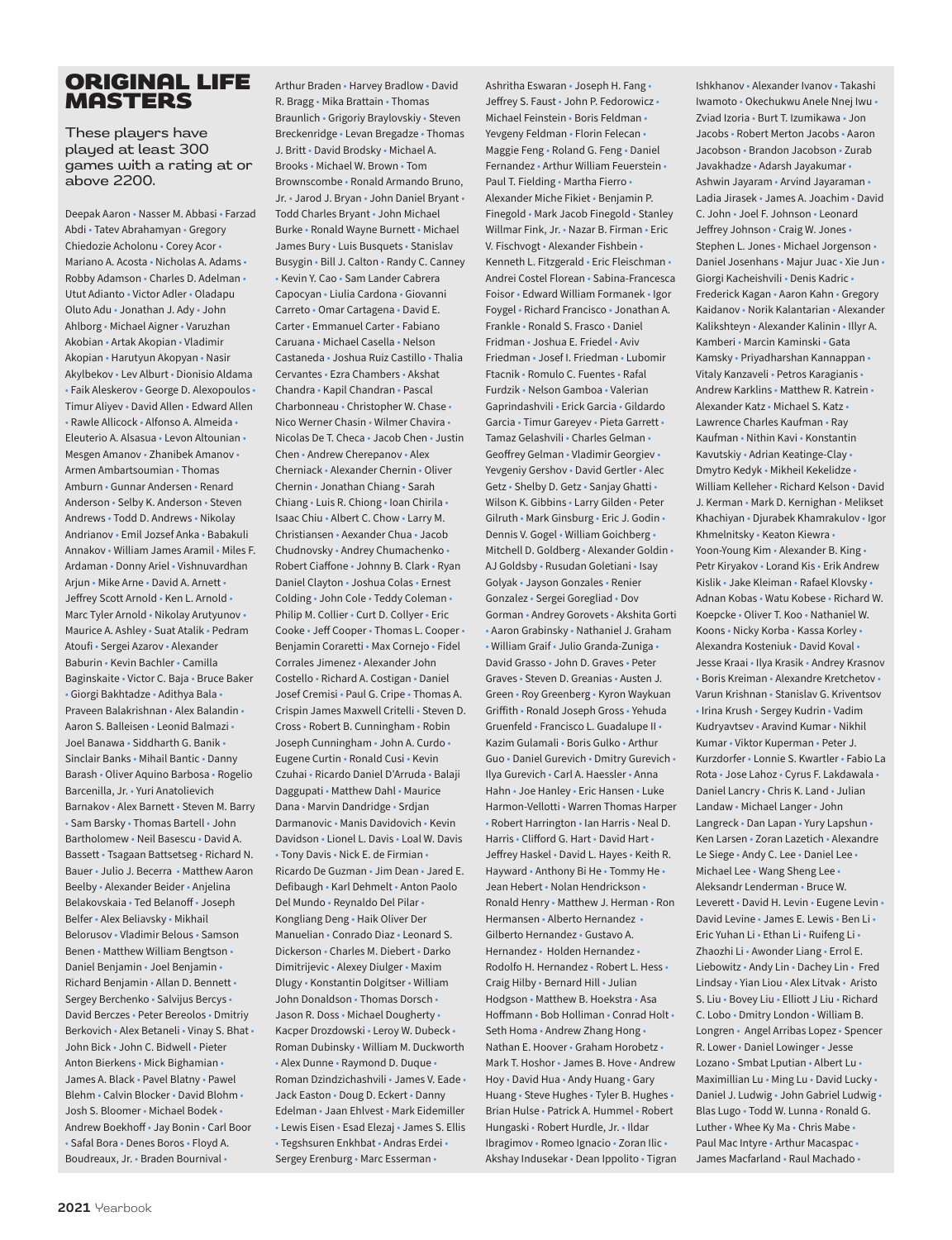### ORIGINAL LIFE MASTERS

These players have played at least 300 games with a rating at or above 2200.

Deepak Aaron • Nasser M. Abbasi • Farzad Abdi • Tatev Abrahamyan • Gregory Chiedozie Acholonu • Corey Acor • Mariano A. Acosta • Nicholas A. Adams • Robby Adamson • Charles D. Adelman • Utut Adianto • Victor Adler • Oladapu Oluto Adu • Jonathan J. Ady • John Ahlborg • Michael Aigner • Varuzhan Akobian • Artak Akopian • Vladimir Akopian • Harutyun Akopyan • Nasir Akylbekov • Lev Alburt • Dionisio Aldama • Faik Aleskerov • George D. Alexopoulos • Timur Aliyev • David Allen • Edward Allen • Rawle Allicock • Alfonso A. Almeida • Eleuterio A. Alsasua • Levon Altounian • Mesgen Amanov • Zhanibek Amanov • Armen Ambartsoumian • Thomas Amburn • Gunnar Andersen • Renard Anderson • Selby K. Anderson • Steven Andrews • Todd D. Andrews • Nikolay Andrianov • Emil Jozsef Anka • Babakuli Annakov • William James Aramil • Miles F. Ardaman • Donny Ariel • Vishnuvardhan Ariun • Mike Arne • David A. Arnett • Jeffrey Scott Arnold • Ken L. Arnold • Marc Tyler Arnold • Nikolay Arutyunov • Maurice A. Ashley • Suat Atalik • Pedram Atoufi • Sergei Azarov • Alexander Baburin • Kevin Bachler • Camilla Baginskaite • Victor C. Baja • Bruce Baker • Giorgi Bakhtadze • Adithya Bala • Praveen Balakrishnan • Alex Balandin • Aaron S. Balleisen • Leonid Balmazi • Joel Banawa • Siddharth G. Banik • Sinclair Banks • Mihail Bantic • Danny Barash • Oliver Aquino Barbosa • Rogelio Barcenilla, Jr. • Yuri Anatolievich Barnakov • Alex Barnett • Steven M. Barry • Sam Barsky • Thomas Bartell • John Bartholomew • Neil Basescu • David A. Bassett • Tsagaan Battsetseg • Richard N. Bauer • Julio J. Becerra • Matthew Aaron Beelby • Alexander Beider • Anjelina Belakovskaia • Ted Belanoff • Joseph Belfer • Alex Beliavsky • Mikhail Belorusov • Vladimir Belous • Samson Benen • Matthew William Bengtson • Daniel Benjamin • Joel Benjamin • Richard Benjamin • Allan D. Bennett • Sergey Berchenko • Salvijus Bercys • David Berczes • Peter Bereolos • Dmitriy Berkovich • Alex Betaneli • Vinay S. Bhat • John Bick • John C. Bidwell • Pieter Anton Bierkens • Mick Bighamian • James A. Black • Pavel Blatny • Pawel Blehm • Calvin Blocker • David Blohm • Josh S. Bloomer • Michael Bodek • Andrew Boekhoff • Jay Bonin • Carl Boor • Safal Bora • Denes Boros • Floyd A. Boudreaux, Jr. • Braden Bournival •

R. Bragg • Mika Brattain • Thomas Braunlich • Grigoriy Braylovskiy • Steven Breckenridge • Levan Bregadze • Thomas J. Britt • David Brodsky • Michael A. Brooks • Michael W. Brown • Tom Brownscombe • Ronald Armando Bruno, Jr. • Jarod J. Bryan • John Daniel Bryant • Todd Charles Bryant • John Michael Burke • Ronald Wayne Burnett • Michael James Bury • Luis Busquets • Stanislav Busygin • Bill J. Calton • Randy C. Canney • Kevin Y. Cao • Sam Lander Cabrera Capocyan • Liulia Cardona • Giovanni Carreto • Omar Cartagena • David E. Carter • Emmanuel Carter • Fabiano Caruana • Michael Casella • Nelson Castaneda • Joshua Ruiz Castillo • Thalia Cervantes • Ezra Chambers • Akshat Chandra • Kapil Chandran • Pascal Charbonneau • Christopher W. Chase • Nico Werner Chasin • Wilmer Chavira • Nicolas De T. Checa • Jacob Chen • Justin Chen • Andrew Cherepanov • Alex Cherniack • Alexander Chernin • Oliver Chernin • Jonathan Chiang • Sarah Chiang • Luis R. Chiong • Ioan Chirila • Isaac Chiu • Albert C. Chow • Larry M. Christiansen • Aexander Chua • Jacob Chudnovsky • Andrey Chumachenko • Robert Ciaffone • Johnny B. Clark • Ryan Daniel Clayton • Joshua Colas • Ernest Colding • John Cole • Teddy Coleman • Philip M. Collier • Curt D. Collyer • Eric Cooke • Jeff Cooper • Thomas L. Cooper • Benjamin Coraretti • Max Cornejo • Fidel Corrales Jimenez • Alexander John Costello • Richard A. Costigan • Daniel Josef Cremisi • Paul G. Cripe • Thomas A. Crispin James Maxwell Critelli • Steven D. Cross • Robert B. Cunningham • Robin Joseph Cunningham • John A. Curdo • Eugene Curtin • Ronald Cusi • Kevin Czuhai • Ricardo Daniel D'Arruda • Balaji Daggupati • Matthew Dahl • Maurice Dana • Marvin Dandridge • Srdjan Darmanovic • Manis Davidovich • Kevin Davidson • Lionel L. Davis • Loal W. Davis • Tony Davis • Nick E. de Firmian • Ricardo De Guzman • Jim Dean • Jared E. Defibaugh • Karl Dehmelt • Anton Paolo Del Mundo • Reynaldo Del Pilar • Kongliang Deng • Haik Oliver Der Manuelian • Conrado Diaz • Leonard S. Dickerson • Charles M. Diebert • Darko Dimitrijevic • Alexey Diulger • Maxim Dlugy • Konstantin Dolgitser • William John Donaldson • Thomas Dorsch • Jason R. Doss • Michael Dougherty • Kacper Drozdowski • Leroy W. Dubeck • Roman Dubinsky • William M. Duckworth • Alex Dunne • Raymond D. Duque • Roman Dzindzichashvili • James V. Eade • Jack Easton • Doug D. Eckert • Danny Edelman • Jaan Ehlvest • Mark Eidemiller • Lewis Eisen • Esad Elezaj • James S. Ellis • Tegshsuren Enkhbat • Andras Erdei • Sergey Erenburg • Marc Esserman •

Arthur Braden • Harvey Bradlow • David

Ashritha Eswaran • Joseph H. Fang • Jeffrey S. Faust • John P. Fedorowicz • Michael Feinstein • Boris Feldman • Yevgeny Feldman • Florin Felecan • Maggie Feng • Roland G. Feng • Daniel Fernandez • Arthur William Feuerstein • Paul T. Fielding • Martha Fierro • Alexander Miche Fikiet • Benjamin P. Finegold • Mark Jacob Finegold • Stanley Willmar Fink, Jr. • Nazar B. Firman • Eric V. Fischvogt • Alexander Fishbein • Kenneth L. Fitzgerald • Eric Fleischman • Andrei Costel Florean • Sabina-Francesca Foisor • Edward William Formanek • Igor Foygel • Richard Francisco • Jonathan A. Frankle • Ronald S. Frasco • Daniel Fridman • Joshua E. Friedel • Aviv Friedman • Josef I. Friedman • Lubomir Ftacnik • Romulo C. Fuentes • Rafal Furdzik • Nelson Gamboa • Valerian Gaprindashvili • Erick Garcia • Gildardo Garcia • Timur Gareyev • Pieta Garrett • Tamaz Gelashvili • Charles Gelman • Geoffrey Gelman • Vladimir Georgiev • Yevgeniy Gershov • David Gertler • Alec Getz • Shelby D. Getz • Sanjay Ghatti • Wilson K. Gibbins • Larry Gilden • Peter Gilruth • Mark Ginsburg • Eric J. Godin • Dennis V. Gogel • William Goichberg • Mitchell D. Goldberg • Alexander Goldin • AJ Goldsby • Rusudan Goletiani • Isay Golyak • Jayson Gonzales • Renier Gonzalez • Sergei Goregliad • Dov Gorman • Andrey Gorovets • Akshita Gorti • Aaron Grabinsky • Nathaniel J. Graham • William Graif • Julio Granda-Zuniga • David Grasso • John D. Graves • Peter Graves • Steven D. Greanias • Austen J. Green • Roy Greenberg • Kyron Waykuan Griffith • Ronald Joseph Gross • Yehuda Gruenfeld • Francisco L. Guadalupe II • Kazim Gulamali • Boris Gulko • Arthur Guo • Daniel Gurevich • Dmitry Gurevich • Ilya Gurevich • Carl A. Haessler • Anna Hahn • Joe Hanley • Eric Hansen • Luke Harmon-Vellotti • Warren Thomas Harper • Robert Harrington • Ian Harris • Neal D. Harris • Clifford G. Hart • David Hart • Jeffrey Haskel • David L. Hayes • Keith R. Hayward • Anthony Bi He • Tommy He • Jean Hebert • Nolan Hendrickson • Ronald Henry • Matthew J. Herman • Ron Hermansen • Alberto Hernandez • Gilberto Hernandez • Gustavo A. Hernandez • Holden Hernandez • Rodolfo H. Hernandez • Robert L. Hess • Craig Hilby • Bernard Hill • Julian Hodgson • Matthew B. Hoekstra • Asa Hoffmann • Bob Holliman • Conrad Holt • Seth Homa • Andrew Zhang Hong • Nathan E. Hoover • Graham Horobetz • Mark T. Hoshor • James B. Hove • Andrew Hoy • David Hua • Andy Huang • Gary Huang • Steve Hughes • Tyler B. Hughes • Brian Hulse • Patrick A. Hummel • Robert Hungaski • Robert Hurdle, Jr. • Ildar Ibragimov • Romeo Ignacio • Zoran Ilic • Akshay Indusekar • Dean Ippolito • Tigran

Ishkhanov • Alexander Ivanov • Takashi Iwamoto • Okechukwu Anele Nnej Iwu • Zviad Izoria • Burt T. Izumikawa • Jon Jacobs • Robert Merton Jacobs • Aaron Jacobson • Brandon Jacobson • Zurab Javakhadze • Adarsh Jayakumar • Ashwin Jayaram • Arvind Jayaraman • Ladia Jirasek • James A. Joachim • David C. John • Joel F. Johnson • Leonard Jeffrey Johnson • Craig W. Jones • Stephen L. Jones • Michael Jorgenson • Daniel Josenhans • Majur Juac • Xie Jun • Giorgi Kacheishvili • Denis Kadric • Frederick Kagan • Aaron Kahn • Gregory Kaidanov • Norik Kalantarian • Alexander Kalikshteyn • Alexander Kalinin • Illyr A. Kamberi • Marcin Kaminski • Gata Kamsky • Priyadharshan Kannappan • Vitaly Kanzaveli • Petros Karagianis • Andrew Karklins • Matthew R. Katrein • Alexander Katz • Michael S. Katz • Lawrence Charles Kaufman • Ray Kaufman • Nithin Kavi • Konstantin Kavutskiy • Adrian Keatinge-Clay • Dmytro Kedyk • Mikheil Kekelidze • William Kelleher • Richard Kelson • David J. Kerman • Mark D. Kernighan • Melikset Khachiyan • Djurabek Khamrakulov • Igor Khmelnitsky • Keaton Kiewra • Yoon-Young Kim • Alexander B. King • Petr Kiryakov • Lorand Kis • Erik Andrew Kislik • Jake Kleiman • Rafael Klovsky • Adnan Kobas • Watu Kobese • Richard W. Koepcke • Oliver T. Koo • Nathaniel W. Koons • Nicky Korba • Kassa Korley • Alexandra Kosteniuk • David Koval • Jesse Kraai • Ilya Krasik • Andrey Krasnov • Boris Kreiman • Alexandre Kretchetov • Varun Krishnan • Stanislav G. Kriventsov • Irina Krush • Sergey Kudrin • Vadim Kudryavtsev • Aravind Kumar • Nikhil Kumar • Viktor Kuperman • Peter J. Kurzdorfer • Lonnie S. Kwartler • Fabio La Rota • Jose Lahoz • Cyrus F. Lakdawala • Daniel Lancry • Chris K. Land • Julian Landaw • Michael Langer • John Langreck • Dan Lapan • Yury Lapshun • Ken Larsen • Zoran Lazetich • Alexandre Le Siege • Andy C. Lee • Daniel Lee • Michael Lee • Wang Sheng Lee • Aleksandr Lenderman • Bruce W. Leverett • David H. Levin • Eugene Levin • David Levine • James E. Lewis • Ben Li • Eric Yuhan Li • Ethan Li • Ruifeng Li • Zhaozhi Li • Awonder Liang • Errol E. Liebowitz • Andy Lin • Dachey Lin • Fred Lindsay • Yian Liou • Alex Litvak • Aristo S. Liu • Bovey Liu • Elliott J Liu • Richard C. Lobo • Dmitry London • William B. Longren • Angel Arribas Lopez • Spencer R. Lower • Daniel Lowinger • Jesse Lozano • Smbat Lputian • Albert Lu • Maximillian Lu • Ming Lu • David Lucky • Daniel J. Ludwig • John Gabriel Ludwig • Blas Lugo • Todd W. Lunna • Ronald G. Luther • Whee Ky Ma • Chris Mabe • Paul Mac Intyre • Arthur Macaspac • James Macfarland • Raul Machado •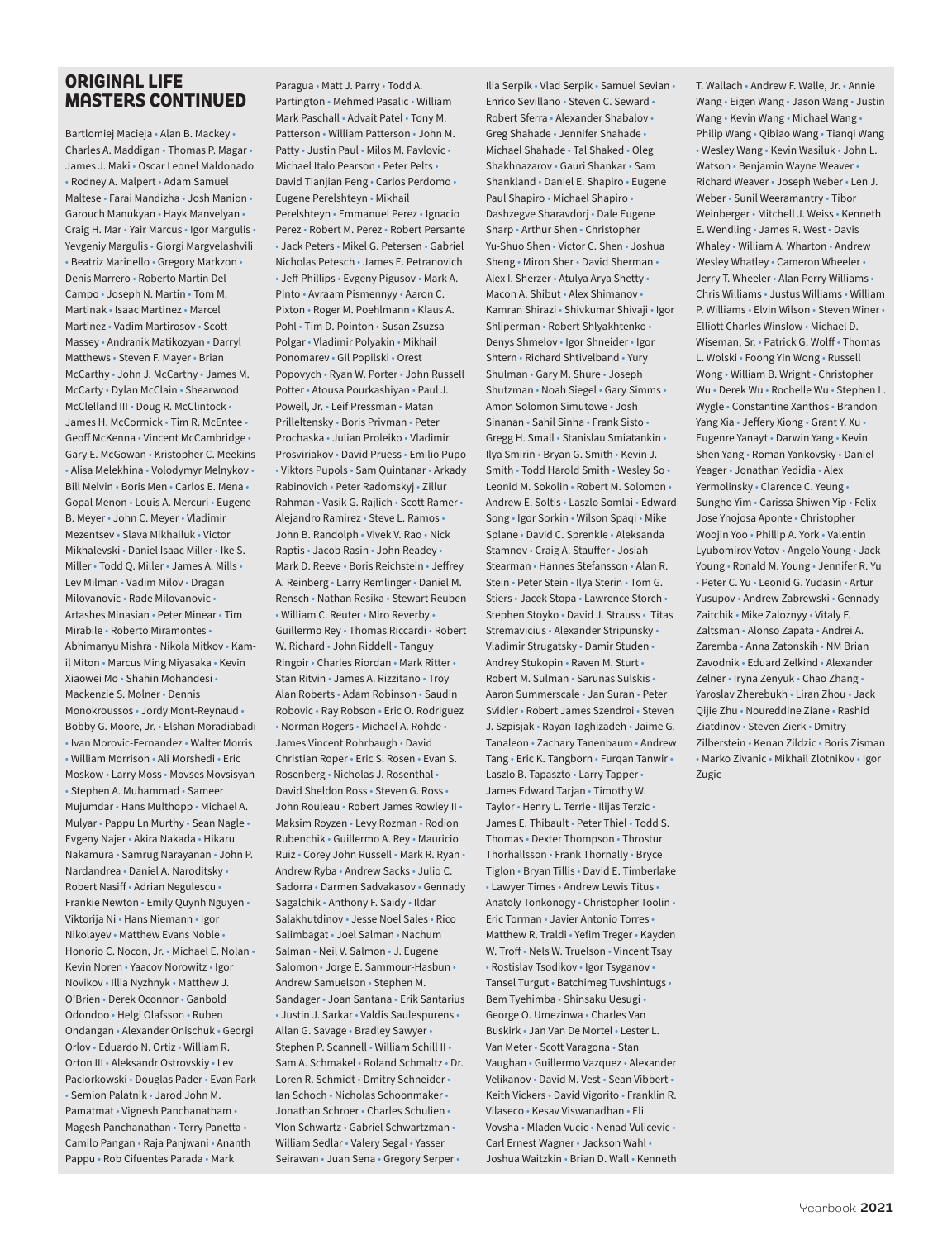### **ORIGINAL LIFE MASTERS CONTINUED**

Bartlomiej Macieja • Alan B. Mackey • Charles A. Maddigan • Thomas P. Magar • James J. Maki • Oscar Leonel Maldonado • Rodney A. Malpert • Adam Samuel Maltese • Farai Mandizha • Josh Manion • Garouch Manukyan • Hayk Manvelyan • Craig H. Mar • Yair Marcus • Igor Margulis • Yevgeniy Margulis • Giorgi Margvelashvili • Beatriz Marinello • Gregory Markzon • Denis Marrero • Roberto Martin Del Campo • Joseph N. Martin • Tom M. Martinak • Isaac Martinez • Marcel Martinez • Vadim Martirosov • Scott Massey • Andranik Matikozyan • Darryl Matthews • Steven F. Mayer • Brian McCarthy • John J. McCarthy • James M. McCarty • Dylan McClain • Shearwood McClelland III • Doug R. McClintock • James H. McCormick • Tim R. McEntee • Geoff McKenna • Vincent McCambridge • Gary E. McGowan • Kristopher C. Meekins • Alisa Melekhina • Volodymyr Melnykov • Bill Melvin • Boris Men • Carlos E. Mena • Gopal Menon • Louis A. Mercuri • Eugene B. Meyer • John C. Meyer • Vladimir Mezentsev • Slava Mikhailuk • Victor Mikhalevski • Daniel Isaac Miller • Ike S. Miller • Todd Q. Miller • James A. Mills • Lev Milman • Vadim Milov • Dragan Milovanovic • Rade Milovanovic • Artashes Minasian • Peter Minear • Tim Mirabile • Roberto Miramontes • Abhimanyu Mishra • Nikola Mitkov • Kamil Miton • Marcus Ming Miyasaka • Kevin Xiaowei Mo • Shahin Mohandesi • Mackenzie S. Molner • Dennis Monokroussos • Jordy Mont-Reynaud • Bobby G. Moore, Jr. • Elshan Moradiabadi • Ivan Morovic-Fernandez • Walter Morris • William Morrison • Ali Morshedi • Eric Moskow • Larry Moss • Movses Movsisyan • Stephen A. Muhammad • Sameer Mujumdar • Hans Multhopp • Michael A. Mulyar • Pappu Ln Murthy • Sean Nagle • Evgeny Najer • Akira Nakada • Hikaru Nakamura • Samrug Narayanan • John P. Nardandrea • Daniel A. Naroditsky • Robert Nasiff • Adrian Negulescu • Frankie Newton • Emily Quynh Nguyen • Viktorija Ni • Hans Niemann • Igor Nikolayev • Matthew Evans Noble • Honorio C. Nocon, Jr. • Michael E. Nolan • Kevin Noren • Yaacov Norowitz • Igor Novikov • Illia Nyzhnyk • Matthew J. O'Brien • Derek Oconnor • Ganbold Odondoo • Helgi Olafsson • Ruben Ondangan • Alexander Onischuk • Georgi Orlov • Eduardo N. Ortiz • William R. Orton III • Aleksandr Ostrovskiy • Lev Paciorkowski • Douglas Pader • Evan Park • Semion Palatnik • Jarod John M. Pamatmat • Vignesh Panchanatham • Magesh Panchanathan • Terry Panetta • Camilo Pangan • Raja Panjwani • Ananth Pappu • Rob Cifuentes Parada • Mark

Paragua • Matt J. Parry • Todd A. Partington • Mehmed Pasalic • William Mark Paschall • Advait Patel • Tony M. Patterson • William Patterson • John M. Patty • Justin Paul • Milos M. Pavlovic • Michael Italo Pearson • Peter Pelts • David Tianjian Peng • Carlos Perdomo • Eugene Perelshteyn • Mikhail Perelshteyn • Emmanuel Perez • Ignacio Perez • Robert M. Perez • Robert Persante • Jack Peters • Mikel G. Petersen • Gabriel Nicholas Petesch • James E. Petranovich • Jeff Phillips • Evgeny Pigusov • Mark A. Pinto • Avraam Pismennyy • Aaron C. Pixton • Roger M. Poehlmann • Klaus A. Pohl • Tim D. Pointon • Susan Zsuzsa Polgar • Vladimir Polyakin • Mikhail Ponomarev • Gil Popilski • Orest Popovych • Ryan W. Porter • John Russell Potter • Atousa Pourkashiyan • Paul J. Powell, Jr. • Leif Pressman • Matan Prilleltensky • Boris Privman • Peter Prochaska • Julian Proleiko • Vladimir Prosviriakov • David Pruess • Emilio Pupo • Viktors Pupols • Sam Quintanar • Arkady Rabinovich • Peter Radomskyj • Zillur Rahman • Vasik G. Rajlich • Scott Ramer • Alejandro Ramirez • Steve L. Ramos • John B. Randolph • Vivek V. Rao • Nick Raptis • Jacob Rasin • John Readey • Mark D. Reeve • Boris Reichstein • Jeffrey A. Reinberg • Larry Remlinger • Daniel M. Rensch • Nathan Resika • Stewart Reuben • William C. Reuter • Miro Reverby • Guillermo Rey • Thomas Riccardi • Robert W. Richard • John Riddell • Tanguy Ringoir • Charles Riordan • Mark Ritter • Stan Ritvin • James A. Rizzitano • Troy Alan Roberts • Adam Robinson • Saudin Robovic • Ray Robson • Eric O. Rodriguez • Norman Rogers • Michael A. Rohde • James Vincent Rohrbaugh • David Christian Roper • Eric S. Rosen • Evan S. Rosenberg • Nicholas J. Rosenthal • David Sheldon Ross • Steven G. Ross • John Rouleau • Robert James Rowley II • Maksim Royzen • Levy Rozman • Rodion Rubenchik • Guillermo A. Rey • Mauricio Ruiz • Corey John Russell • Mark R. Ryan • Andrew Ryba • Andrew Sacks • Julio C. Sadorra • Darmen Sadvakasov • Gennady Sagalchik • Anthony F. Saidy • Ildar Salakhutdinov • Jesse Noel Sales • Rico Salimbagat • Joel Salman • Nachum Salman • Neil V. Salmon • J. Eugene Salomon • Jorge E. Sammour-Hasbun • Andrew Samuelson • Stephen M. Sandager • Joan Santana • Erik Santarius • Justin J. Sarkar • Valdis Saulespurens • Allan G. Savage • Bradley Sawyer • Stephen P. Scannell • William Schill II • Sam A. Schmakel • Roland Schmaltz • Dr. Loren R. Schmidt • Dmitry Schneider • Ian Schoch • Nicholas Schoonmaker • Jonathan Schroer • Charles Schulien • Ylon Schwartz • Gabriel Schwartzman • William Sedlar • Valery Segal • Yasser Seirawan • Juan Sena • Gregory Serper •

Ilia Serpik • Vlad Serpik • Samuel Sevian • Enrico Sevillano • Steven C. Seward • Robert Sferra • Alexander Shabalov • Greg Shahade • Jennifer Shahade • Michael Shahade • Tal Shaked • Oleg Shakhnazarov • Gauri Shankar • Sam Shankland • Daniel E. Shapiro • Eugene Paul Shapiro • Michael Shapiro • Dashzegve Sharavdorj • Dale Eugene Sharp • Arthur Shen • Christopher Yu-Shuo Shen • Victor C. Shen • Joshua Sheng • Miron Sher • David Sherman • Alex I. Sherzer • Atulya Arya Shetty • Macon A. Shibut • Alex Shimanov • Kamran Shirazi • Shivkumar Shivaji • Igor Shliperman • Robert Shlyakhtenko • Denys Shmelov • Igor Shneider • Igor Shtern • Richard Shtivelband • Yury Shulman • Gary M. Shure • Joseph Shutzman • Noah Siegel • Gary Simms • Amon Solomon Simutowe • Josh Sinanan • Sahil Sinha • Frank Sisto • Gregg H. Small • Stanislau Smiatankin • Ilya Smirin • Bryan G. Smith • Kevin J. Smith • Todd Harold Smith • Wesley So • Leonid M. Sokolin • Robert M. Solomon • Andrew E. Soltis • Laszlo Somlai • Edward Song • Igor Sorkin • Wilson Spaqi • Mike Splane • David C. Sprenkle • Aleksanda Stamnov • Craig A. Stauffer • Josiah Stearman • Hannes Stefansson • Alan R. Stein • Peter Stein • Ilya Sterin • Tom G. Stiers • Jacek Stopa • Lawrence Storch • Stephen Stoyko • David J. Strauss • Titas Stremavicius • Alexander Stripunsky • Vladimir Strugatsky • Damir Studen • Andrey Stukopin • Raven M. Sturt • Robert M. Sulman • Sarunas Sulskis • Aaron Summerscale • Jan Suran • Peter Svidler • Robert James Szendroi • Steven J. Szpisjak • Rayan Taghizadeh • Jaime G. Tanaleon • Zachary Tanenbaum • Andrew Tang • Eric K. Tangborn • Furqan Tanwir • Laszlo B. Tapaszto • Larry Tapper • James Edward Tarjan • Timothy W. Taylor • Henry L. Terrie • Ilijas Terzic • James E. Thibault • Peter Thiel • Todd S. Thomas • Dexter Thompson • Throstur Thorhallsson • Frank Thornally • Bryce Tiglon • Bryan Tillis • David E. Timberlake • Lawyer Times • Andrew Lewis Titus • Anatoly Tonkonogy • Christopher Toolin • Eric Torman • Javier Antonio Torres • Matthew R. Traldi • Yefim Treger • Kayden W. Troff • Nels W. Truelson • Vincent Tsay • Rostislav Tsodikov • Igor Tsyganov • Tansel Turgut • Batchimeg Tuvshintugs • Bem Tyehimba • Shinsaku Uesugi • George O. Umezinwa • Charles Van Buskirk • Jan Van De Mortel • Lester L. Van Meter • Scott Varagona • Stan Vaughan • Guillermo Vazquez • Alexander Velikanov • David M. Vest • Sean Vibbert • Keith Vickers • David Vigorito • Franklin R. Vilaseco • Kesav Viswanadhan • Eli Vovsha • Mladen Vucic • Nenad Vulicevic • Carl Ernest Wagner • Jackson Wahl • Joshua Waitzkin • Brian D. Wall • Kenneth

T. Wallach • Andrew F. Walle, Jr. • Annie Wang • Eigen Wang • Jason Wang • Justin Wang • Kevin Wang • Michael Wang • Philip Wang • Qibiao Wang • Tianqi Wang • Wesley Wang • Kevin Wasiluk • John L. Watson • Benjamin Wayne Weaver • Richard Weaver • Joseph Weber • Len J. Weber • Sunil Weeramantry • Tibor Weinberger • Mitchell J. Weiss • Kenneth E. Wendling • James R. West • Davis Whaley • William A. Wharton • Andrew Wesley Whatley • Cameron Wheeler • Jerry T. Wheeler • Alan Perry Williams • Chris Williams • Justus Williams • William P. Williams • Elvin Wilson • Steven Winer • Elliott Charles Winslow • Michael D. Wiseman, Sr. • Patrick G. Wolff • Thomas L. Wolski • Foong Yin Wong • Russell Wong • William B. Wright • Christopher Wu • Derek Wu • Rochelle Wu • Stephen L. Wygle • Constantine Xanthos • Brandon Yang Xia • Jeffery Xiong • Grant Y. Xu • Eugenre Yanayt • Darwin Yang • Kevin Shen Yang • Roman Yankovsky • Daniel Yeager • Jonathan Yedidia • Alex Yermolinsky • Clarence C. Yeung • Sungho Yim • Carissa Shiwen Yip • Felix Jose Ynojosa Aponte • Christopher Woojin Yoo • Phillip A. York • Valentin Lyubomirov Yotov • Angelo Young • Jack Young • Ronald M. Young • Jennifer R. Yu • Peter C. Yu • Leonid G. Yudasin • Artur Yusupov • Andrew Zabrewski • Gennady Zaitchik • Mike Zaloznyy • Vitaly F. Zaltsman • Alonso Zapata • Andrei A. Zaremba • Anna Zatonskih • NM Brian Zavodnik • Eduard Zelkind • Alexander Zelner • Iryna Zenyuk • Chao Zhang • Yaroslav Zherebukh • Liran Zhou • Jack Qijie Zhu • Noureddine Ziane • Rashid Ziatdinov • Steven Zierk • Dmitry Zilberstein • Kenan Zildzic • Boris Zisman • Marko Zivanic • Mikhail Zlotnikov • Igor Zugic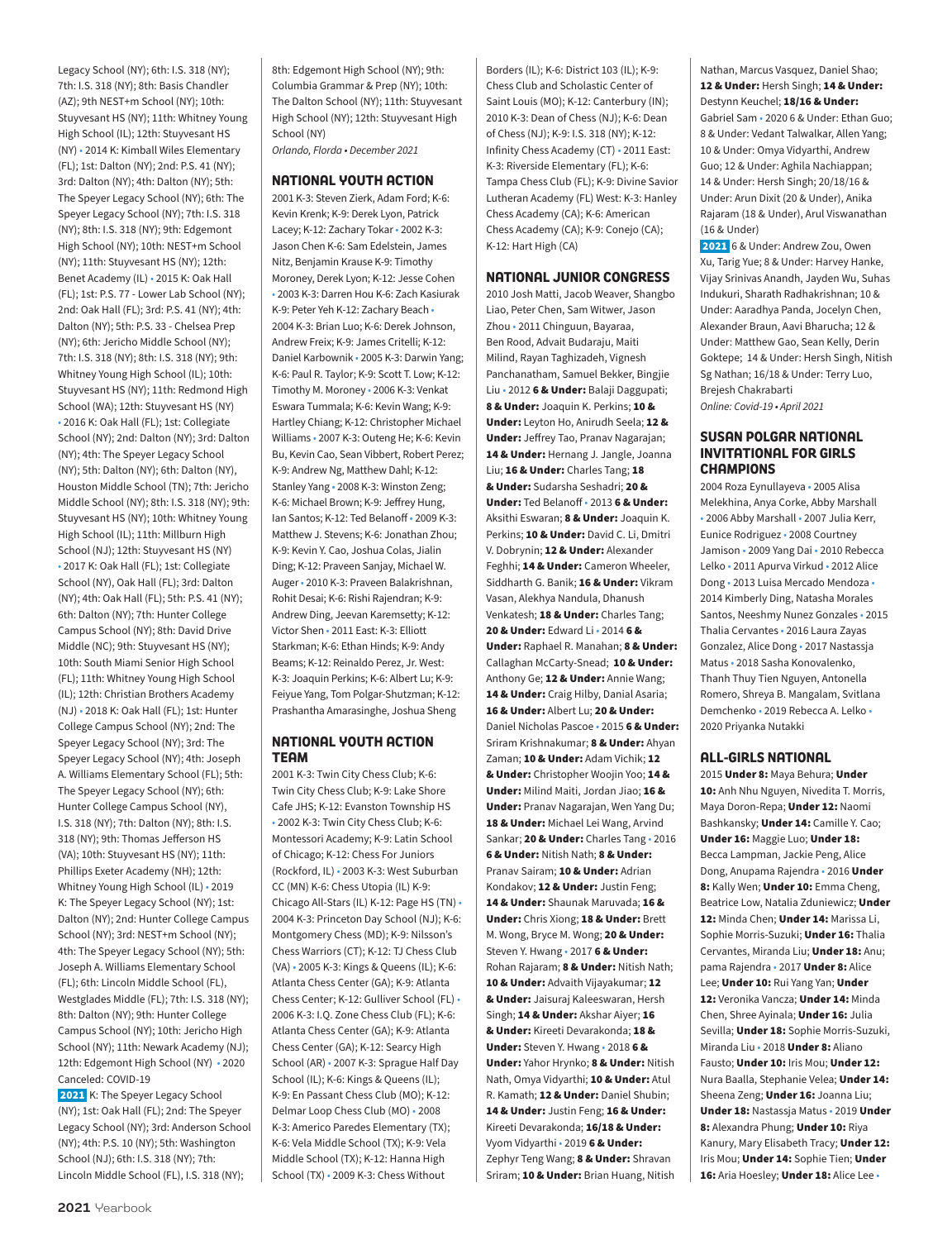Legacy School (NY); 6th: I.S. 318 (NY); 7th: I.S. 318 (NY); 8th: Basis Chandler (AZ); 9th NEST+m School (NY); 10th: Stuyvesant HS (NY); 11th: Whitney Young High School (IL); 12th: Stuyvesant HS (NY) • 2014 K: Kimball Wiles Elementary (FL); 1st: Dalton (NY); 2nd: P.S. 41 (NY); 3rd: Dalton (NY); 4th: Dalton (NY); 5th: The Speyer Legacy School (NY); 6th: The Speyer Legacy School (NY); 7th: I.S. 318 (NY); 8th: I.S. 318 (NY); 9th: Edgemont High School (NY); 10th: NEST+m School (NY); 11th: Stuyvesant HS (NY); 12th: Benet Academy (IL) • 2015 K: Oak Hall (FL); 1st: P.S. 77 - Lower Lab School (NY); 2nd: Oak Hall (FL); 3rd: P.S. 41 (NY); 4th: Dalton (NY); 5th: P.S. 33 - Chelsea Prep (NY); 6th: Jericho Middle School (NY); 7th: I.S. 318 (NY); 8th: I.S. 318 (NY); 9th: Whitney Young High School (IL); 10th: Stuyvesant HS (NY); 11th: Redmond High School (WA); 12th: Stuyvesant HS (NY) • 2016 K: Oak Hall (FL); 1st: Collegiate School (NY); 2nd: Dalton (NY); 3rd: Dalton (NY); 4th: The Speyer Legacy School (NY); 5th: Dalton (NY); 6th: Dalton (NY), Houston Middle School (TN); 7th: Jericho Middle School (NY); 8th: I.S. 318 (NY); 9th: Stuyvesant HS (NY); 10th: Whitney Young High School (IL); 11th: Millburn High School (NJ); 12th: Stuyvesant HS (NY) • 2017 K: Oak Hall (FL); 1st: Collegiate School (NY), Oak Hall (FL); 3rd: Dalton (NY); 4th: Oak Hall (FL); 5th: P.S. 41 (NY); 6th: Dalton (NY); 7th: Hunter College Campus School (NY); 8th: David Drive Middle (NC); 9th: Stuyvesant HS (NY); 10th: South Miami Senior High School (FL); 11th: Whitney Young High School (IL); 12th: Christian Brothers Academy (NJ) • 2018 K: Oak Hall (FL); 1st: Hunter College Campus School (NY); 2nd: The Speyer Legacy School (NY); 3rd: The Speyer Legacy School (NY); 4th: Joseph A. Williams Elementary School (FL); 5th: The Speyer Legacy School (NY); 6th: Hunter College Campus School (NY), I.S. 318 (NY); 7th: Dalton (NY); 8th: I.S. 318 (NY); 9th: Thomas Jefferson HS (VA); 10th: Stuyvesant HS (NY); 11th: Phillips Exeter Academy (NH); 12th: Whitney Young High School (IL) • 2019 K: The Speyer Legacy School (NY); 1st: Dalton (NY); 2nd: Hunter College Campus School (NY); 3rd: NEST+m School (NY); 4th: The Speyer Legacy School (NY); 5th: Joseph A. Williams Elementary School (FL); 6th: Lincoln Middle School (FL), Westglades Middle (FL); 7th: I.S. 318 (NY); 8th: Dalton (NY); 9th: Hunter College Campus School (NY); 10th: Jericho High School (NY); 11th: Newark Academy (NJ); 12th: Edgemont High School (NY) • 2020 Canceled: COVID-19

2021 K: The Speyer Legacy School (NY); 1st: Oak Hall (FL); 2nd: The Speyer Legacy School (NY); 3rd: Anderson School (NY); 4th: P.S. 10 (NY); 5th: Washington School (NJ); 6th: I.S. 318 (NY); 7th: Lincoln Middle School (FL), I.S. 318 (NY);

8th: Edgemont High School (NY); 9th: Columbia Grammar & Prep (NY); 10th: The Dalton School (NY); 11th: Stuyvesant High School (NY); 12th: Stuyvesant High School (NY)

*Orlando, Florda • December 2021*

### **NATIONAL YOUTH ACTION**

2001 K-3: Steven Zierk, Adam Ford; K-6: Kevin Krenk; K-9: Derek Lyon, Patrick Lacey; K-12: Zachary Tokar • 2002 K-3: Jason Chen K-6: Sam Edelstein, James Nitz, Benjamin Krause K-9: Timothy Moroney, Derek Lyon; K-12: Jesse Cohen • 2003 K-3: Darren Hou K-6: Zach Kasiurak K-9: Peter Yeh K-12: Zachary Beach • 2004 K-3: Brian Luo; K-6: Derek Johnson, Andrew Freix; K-9: James Critelli; K-12: Daniel Karbownik • 2005 K-3: Darwin Yang; K-6: Paul R. Taylor; K-9: Scott T. Low; K-12: Timothy M. Moroney • 2006 K-3: Venkat Eswara Tummala; K-6: Kevin Wang; K-9: Hartley Chiang; K-12: Christopher Michael Williams • 2007 K-3: Outeng He; K-6: Kevin Bu, Kevin Cao, Sean Vibbert, Robert Perez; K-9: Andrew Ng, Matthew Dahl; K-12: Stanley Yang • 2008 K-3: Winston Zeng; K-6: Michael Brown; K-9: Jeffrey Hung, Ian Santos; K-12: Ted Belanoff • 2009 K-3: Matthew J. Stevens; K-6: Jonathan Zhou; K-9: Kevin Y. Cao, Joshua Colas, Jialin Ding; K-12: Praveen Sanjay, Michael W. Auger • 2010 K-3: Praveen Balakrishnan, Rohit Desai; K-6: Rishi Rajendran; K-9: Andrew Ding, Jeevan Karemsetty; K-12: Victor Shen • 2011 East: K-3: Elliott Starkman; K-6: Ethan Hinds; K-9: Andy Beams; K-12: Reinaldo Perez, Jr. West: K-3: Joaquin Perkins; K-6: Albert Lu; K-9: Feiyue Yang, Tom Polgar-Shutzman; K-12: Prashantha Amarasinghe, Joshua Sheng

### **NATIONAL YOUTH ACTION TEAM**

2001 K-3: Twin City Chess Club; K-6: Twin City Chess Club; K-9: Lake Shore Cafe JHS; K-12: Evanston Township HS • 2002 K-3: Twin City Chess Club; K-6: Montessori Academy; K-9: Latin School of Chicago; K-12: Chess For Juniors (Rockford, IL) • 2003 K-3: West Suburban CC (MN) K-6: Chess Utopia (IL) K-9: Chicago All-Stars (IL) K-12: Page HS (TN) • 2004 K-3: Princeton Day School (NJ); K-6: Montgomery Chess (MD); K-9: Nilsson's Chess Warriors (CT); K-12: TJ Chess Club (VA) • 2005 K-3: Kings & Queens (IL); K-6: Atlanta Chess Center (GA); K-9: Atlanta Chess Center; K-12: Gulliver School (FL) • 2006 K-3: I.Q. Zone Chess Club (FL); K-6: Atlanta Chess Center (GA); K-9: Atlanta Chess Center (GA); K-12: Searcy High School (AR) • 2007 K-3: Sprague Half Day School (IL); K-6: Kings & Queens (IL); K-9: En Passant Chess Club (MO); K-12: Delmar Loop Chess Club (MO) • 2008 K-3: Americo Paredes Elementary (TX); K-6: Vela Middle School (TX); K-9: Vela Middle School (TX); K-12: Hanna High School (TX) • 2009 K-3: Chess Without

Borders (IL); K-6: District 103 (IL); K-9: Chess Club and Scholastic Center of Saint Louis (MO); K-12: Canterbury (IN); 2010 K-3: Dean of Chess (NJ); K-6: Dean of Chess (NJ); K-9: I.S. 318 (NY); K-12: Infinity Chess Academy (CT) • 2011 East: K-3: Riverside Elementary (FL); K-6: Tampa Chess Club (FL); K-9: Divine Savior Lutheran Academy (FL) West: K-3: Hanley Chess Academy (CA); K-6: American Chess Academy (CA); K-9: Conejo (CA); K-12: Hart High (CA)

### **NATIONAL JUNIOR CONGRESS**

2010 Josh Matti, Jacob Weaver, Shangbo Liao, Peter Chen, Sam Witwer, Jason Zhou • 2011 Chinguun, Bayaraa, Ben Rood, Advait Budaraju, Maiti Milind, Rayan Taghizadeh, Vignesh Panchanatham, Samuel Bekker, Bingjie Liu • 2012 6 & Under: Balaji Daggupati; 8 & Under: Joaquin K. Perkins; 10 & Under: Leyton Ho, Anirudh Seela; 12 & Under: Jeffrey Tao, Pranav Nagarajan; 14 & Under: Hernang J. Jangle, Joanna Liu; 16 & Under: Charles Tang; 18 & Under: Sudarsha Seshadri; 20 & Under: Ted Belanoff • 2013 6 & Under: Aksithi Eswaran; 8 & Under: Joaquin K. Perkins: 10 & Under: David C. Li, Dmitri V. Dobrynin; 12 & Under: Alexander Feghhi; 14 & Under: Cameron Wheeler, Siddharth G. Banik; 16 & Under: Vikram Vasan, Alekhya Nandula, Dhanush Venkatesh; 18 & Under: Charles Tang; 20 & Under: Edward Li • 2014 6 & Under: Raphael R. Manahan; 8 & Under: Callaghan McCarty-Snead; 10 & Under: Anthony Ge; 12 & Under: Annie Wang; 14 & Under: Craig Hilby, Danial Asaria; 16 & Under: Albert Lu; 20 & Under: Daniel Nicholas Pascoe • 2015 6 & Under: Sriram Krishnakumar; 8 & Under: Ahyan Zaman; 10 & Under: Adam Vichik; 12 & Under: Christopher Woojin Yoo; 14 & Under: Milind Maiti, Jordan Jiao; 16 & Under: Pranav Nagarajan, Wen Yang Du; 18 & Under: Michael Lei Wang, Arvind Sankar: 20 & Under: Charles Tang • 2016 6 & Under: Nitish Nath; 8 & Under: Pranav Sairam; 10 & Under: Adrian Kondakov; 12 & Under: Justin Feng; 14 & Under: Shaunak Maruvada; 16 & Under: Chris Xiong; 18 & Under: Brett M. Wong, Bryce M. Wong; 20 & Under: Steven Y. Hwang · 2017 6 & Under: Rohan Rajaram; 8 & Under: Nitish Nath; 10 & Under: Advaith Vijayakumar; 12 & Under: Jaisuraj Kaleeswaran, Hersh Singh; 14 & Under: Akshar Aiyer; 16 & Under: Kireeti Devarakonda; 18 & Under: Steven Y. Hwang • 2018 6 & Under: Yahor Hrynko; 8 & Under: Nitish Nath, Omya Vidyarthi; 10 & Under: Atul R. Kamath; 12 & Under: Daniel Shubin; 14 & Under: Justin Feng; 16 & Under: Kireeti Devarakonda; 16/18 & Under: Vyom Vidyarthi • 2019 6 & Under: Zephyr Teng Wang; 8 & Under: Shravan Sriram; 10 & Under: Brian Huang, Nitish

Nathan, Marcus Vasquez, Daniel Shao; 12 & Under: Hersh Singh; 14 & Under: Destynn Keuchel; 18/16 & Under: Gabriel Sam • 2020 6 & Under: Ethan Guo; 8 & Under: Vedant Talwalkar, Allen Yang; 10 & Under: Omya Vidyarthi, Andrew Guo; 12 & Under: Aghila Nachiappan; 14 & Under: Hersh Singh; 20/18/16 & Under: Arun Dixit (20 & Under), Anika Rajaram (18 & Under), Arul Viswanathan (16 & Under)

 2021 6 & Under: Andrew Zou, Owen Xu, Tarig Yue; 8 & Under: Harvey Hanke, Vijay Srinivas Anandh, Jayden Wu, Suhas Indukuri, Sharath Radhakrishnan; 10 & Under: Aaradhya Panda, Jocelyn Chen, Alexander Braun, Aavi Bharucha; 12 & Under: Matthew Gao, Sean Kelly, Derin Goktepe; 14 & Under: Hersh Singh, Nitish Sg Nathan; 16/18 & Under: Terry Luo, Brejesh Chakrabarti *Online: Covid-19 • April 2021*

### **SUSAN POLGAR NATIONAL INVITATIONAL FOR GIRLS CHAMPIONS**

2004 Roza Eynullayeva • 2005 Alisa Melekhina, Anya Corke, Abby Marshall • 2006 Abby Marshall • 2007 Julia Kerr, Eunice Rodriguez • 2008 Courtney Jamison • 2009 Yang Dai • 2010 Rebecca Lelko • 2011 Apurva Virkud • 2012 Alice Dong • 2013 Luisa Mercado Mendoza • 2014 Kimberly Ding, Natasha Morales Santos, Neeshmy Nunez Gonzales • 2015 Thalia Cervantes • 2016 Laura Zayas Gonzalez, Alice Dong • 2017 Nastassja Matus • 2018 Sasha Konovalenko, Thanh Thuy Tien Nguyen, Antonella Romero, Shreya B. Mangalam, Svitlana Demchenko • 2019 Rebecca A. Lelko • 2020 Priyanka Nutakki

### **ALL-GIRLS NATIONAL**

2015 Under 8: Maya Behura; Under 10: Anh Nhu Nguyen, Nivedita T. Morris, Maya Doron-Repa; Under 12: Naomi Bashkansky; Under 14: Camille Y. Cao; Under 16: Maggie Luo; Under 18: Becca Lampman, Jackie Peng, Alice Dong, Anupama Rajendra · 2016 Under 8: Kally Wen; Under 10: Emma Cheng, Beatrice Low, Natalia Zduniewicz; Under 12: Minda Chen; Under 14: Marissa Li, Sophie Morris-Suzuki; Under 16: Thalia Cervantes, Miranda Liu; Under 18: Anu; pama Rajendra · 2017 Under 8: Alice Lee; Under 10: Rui Yang Yan; Under 12: Veronika Vancza; Under 14: Minda Chen, Shree Ayinala; Under 16: Julia Sevilla; Under 18: Sophie Morris-Suzuki, Miranda Liu • 2018 Under 8: Aliano Fausto; Under 10: Iris Mou; Under 12: Nura Baalla, Stephanie Velea; Under 14: Sheena Zeng; Under 16: Joanna Liu; Under 18: Nastassja Matus • 2019 Under 8: Alexandra Phung; Under 10: Riya Kanury, Mary Elisabeth Tracy; Under 12: Iris Mou; Under 14: Sophie Tien; Under 16: Aria Hoesley; Under 18: Alice Lee •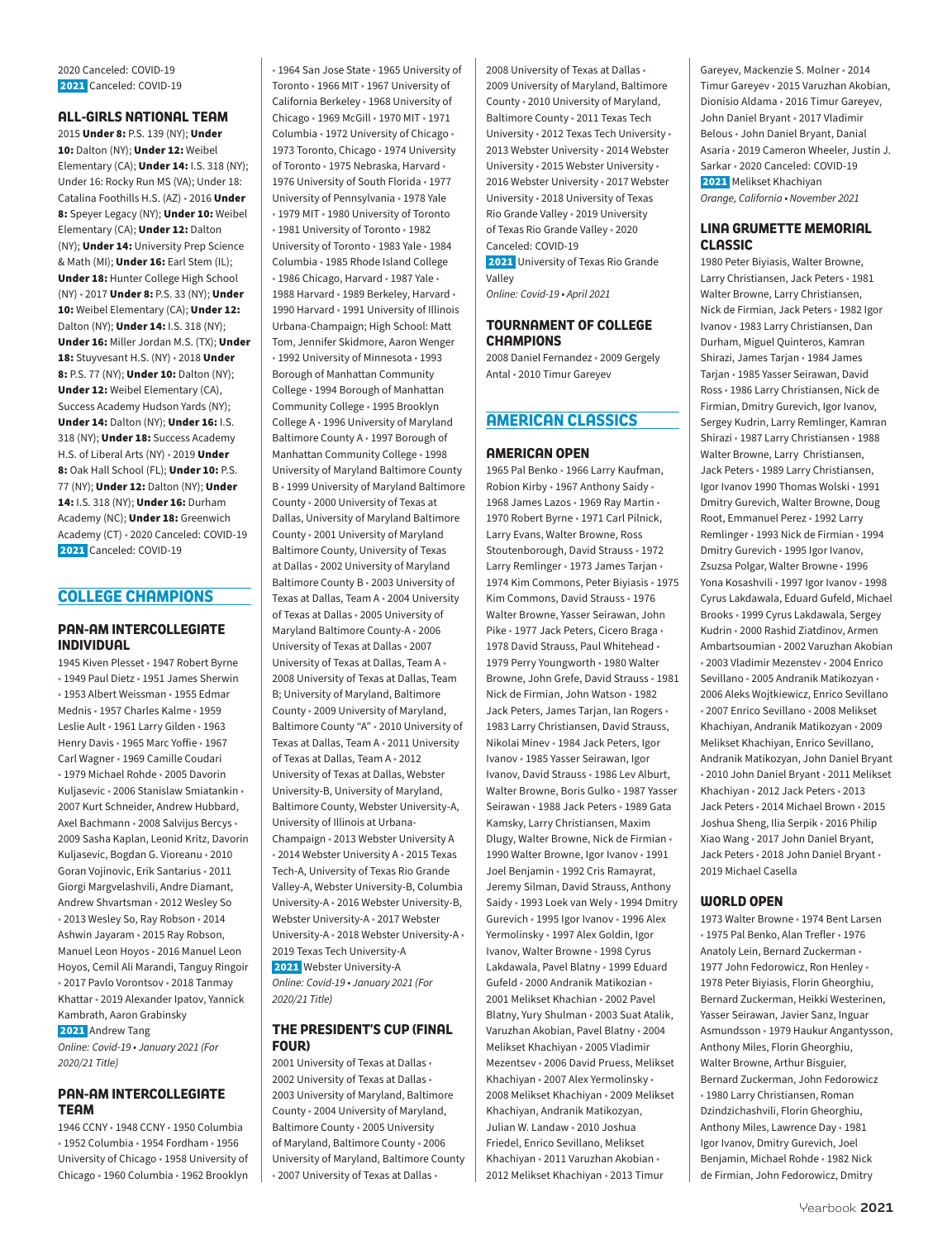2020 Canceled: COVID-19 2021 Canceled: COVID-19

### **ALL-GIRLS NATIONAL TEAM**

2015 Under 8: P.S. 139 (NY); Under 10: Dalton (NY): Under 12: Weibel Elementary (CA); Under 14: I.S. 318 (NY); Under 16: Rocky Run MS (VA); Under 18: Catalina Foothills H.S. (AZ) • 2016 Under 8: Speyer Legacy (NY); Under 10: Weibel Elementary (CA); Under 12: Dalton (NY); Under 14: University Prep Science & Math (MI); Under 16: Earl Stem (IL); Under 18: Hunter College High School (NY) • 2017 Under 8: P.S. 33 (NY); Under 10: Weibel Elementary (CA); Under 12: Dalton (NY); Under 14: I.S. 318 (NY); Under 16: Miller Jordan M.S. (TX); Under 18: Stuyvesant H.S. (NY) · 2018 Under 8: P.S. 77 (NY); Under 10: Dalton (NY); Under 12: Weibel Elementary (CA), Success Academy Hudson Yards (NY); Under 14: Dalton (NY); Under 16: I.S. 318 (NY); Under 18: Success Academy H.S. of Liberal Arts (NY) • 2019 Under 8: Oak Hall School (FL); Under 10: P.S. 77 (NY); Under 12: Dalton (NY); Under 14: I.S. 318 (NY); Under 16: Durham Academy (NC); Under 18: Greenwich Academy (CT) • 2020 Canceled: COVID-19 2021 Canceled: COVID-19

### **COLLEGE CHAMPIONS**

### **PAN-AM INTERCOLLEGIATE INDIVIDUAL**

1945 Kiven Plesset • 1947 Robert Byrne • 1949 Paul Dietz • 1951 James Sherwin • 1953 Albert Weissman • 1955 Edmar Mednis • 1957 Charles Kalme • 1959 Leslie Ault • 1961 Larry Gilden • 1963 Henry Davis • 1965 Marc Yoffie • 1967 Carl Wagner • 1969 Camille Coudari • 1979 Michael Rohde • 2005 Davorin Kuljasevic • 2006 Stanislaw Smiatankin • 2007 Kurt Schneider, Andrew Hubbard, Axel Bachmann • 2008 Salvijus Bercys • 2009 Sasha Kaplan, Leonid Kritz, Davorin Kuljasevic, Bogdan G. Vioreanu • 2010 Goran Vojinovic, Erik Santarius • 2011 Giorgi Margvelashvili, Andre Diamant, Andrew Shvartsman • 2012 Wesley So • 2013 Wesley So, Ray Robson • 2014 Ashwin Jayaram • 2015 Ray Robson, Manuel Leon Hoyos • 2016 Manuel Leon Hoyos, Cemil Ali Marandi, Tanguy Ringoir • 2017 Pavlo Vorontsov • 2018 Tanmay Khattar • 2019 Alexander Ipatov, Yannick Kambrath, Aaron Grabinsky 2021 Andrew Tang

*Online: Covid-19 • January 2021 (For 2020/21 Title)*

### **PAN-AM INTERCOLLEGIATE TEAM**

1946 CCNY • 1948 CCNY • 1950 Columbia • 1952 Columbia • 1954 Fordham • 1956 University of Chicago • 1958 University of Chicago • 1960 Columbia • 1962 Brooklyn

• 1964 San Jose State • 1965 University of Toronto • 1966 MIT • 1967 University of California Berkeley • 1968 University of Chicago • 1969 McGill • 1970 MIT • 1971 Columbia • 1972 University of Chicago • 1973 Toronto, Chicago • 1974 University of Toronto • 1975 Nebraska, Harvard • 1976 University of South Florida • 1977 University of Pennsylvania • 1978 Yale • 1979 MIT • 1980 University of Toronto • 1981 University of Toronto • 1982 University of Toronto • 1983 Yale • 1984 Columbia • 1985 Rhode Island College • 1986 Chicago, Harvard • 1987 Yale • 1988 Harvard • 1989 Berkeley, Harvard • 1990 Harvard • 1991 University of Illinois Urbana-Champaign; High School: Matt Tom, Jennifer Skidmore, Aaron Wenger • 1992 University of Minnesota • 1993 Borough of Manhattan Community College • 1994 Borough of Manhattan Community College • 1995 Brooklyn College A • 1996 University of Maryland Baltimore County A • 1997 Borough of Manhattan Community College • 1998 University of Maryland Baltimore County B • 1999 University of Maryland Baltimore County • 2000 University of Texas at Dallas, University of Maryland Baltimore County • 2001 University of Maryland Baltimore County, University of Texas at Dallas • 2002 University of Maryland Baltimore County B • 2003 University of Texas at Dallas, Team A • 2004 University of Texas at Dallas • 2005 University of Maryland Baltimore County-A • 2006 University of Texas at Dallas • 2007 University of Texas at Dallas, Team A • 2008 University of Texas at Dallas, Team B; University of Maryland, Baltimore County • 2009 University of Maryland, Baltimore County "A" • 2010 University of Texas at Dallas, Team A • 2011 University of Texas at Dallas, Team A • 2012 University of Texas at Dallas, Webster University-B, University of Maryland, Baltimore County, Webster University-A, University of Illinois at Urbana-Champaign • 2013 Webster University A • 2014 Webster University A • 2015 Texas Tech-A, University of Texas Rio Grande Valley-A, Webster University-B, Columbia University-A • 2016 Webster University-B, Webster University-A • 2017 Webster University-A • 2018 Webster University-A • 2019 Texas Tech University-A 2021 Webster University-A *Online: Covid-19 • January 2021 (For 2020/21 Title)*

### **THE PRESIDENT'S CUP (FINAL FOUR)**

2001 University of Texas at Dallas • 2002 University of Texas at Dallas • 2003 University of Maryland, Baltimore County • 2004 University of Maryland, Baltimore County • 2005 University of Maryland, Baltimore County • 2006 University of Maryland, Baltimore County • 2007 University of Texas at Dallas •

2008 University of Texas at Dallas • 2009 University of Maryland, Baltimore County • 2010 University of Maryland, Baltimore County • 2011 Texas Tech University • 2012 Texas Tech University • 2013 Webster University • 2014 Webster University • 2015 Webster University • 2016 Webster University • 2017 Webster University • 2018 University of Texas Rio Grande Valley • 2019 University of Texas Rio Grande Valley • 2020 Canceled: COVID-19 **2021** University of Texas Rio Grande

Valley *Online: Covid-19 • April 2021*

### **TOURNAMENT OF COLLEGE CHAMPIONS**

2008 Daniel Fernandez • 2009 Gergely Antal • 2010 Timur Gareyev

### **AMERICAN CLASSICS**

### **AMERICAN OPEN**

1965 Pal Benko • 1966 Larry Kaufman, Robion Kirby • 1967 Anthony Saidy • 1968 James Lazos • 1969 Ray Martin • 1970 Robert Byrne • 1971 Carl Pilnick, Larry Evans, Walter Browne, Ross Stoutenborough, David Strauss • 1972 Larry Remlinger • 1973 James Tarjan • 1974 Kim Commons, Peter Biyiasis • 1975 Kim Commons, David Strauss • 1976 Walter Browne, Yasser Seirawan, John Pike • 1977 Jack Peters, Cicero Braga • 1978 David Strauss, Paul Whitehead • 1979 Perry Youngworth • 1980 Walter Browne, John Grefe, David Strauss • 1981 Nick de Firmian, John Watson • 1982 Jack Peters, James Tarjan, Ian Rogers • 1983 Larry Christiansen, David Strauss, Nikolai Minev • 1984 Jack Peters, Igor Ivanov • 1985 Yasser Seirawan, Igor Ivanov, David Strauss • 1986 Lev Alburt, Walter Browne, Boris Gulko • 1987 Yasser Seirawan • 1988 Jack Peters • 1989 Gata Kamsky, Larry Christiansen, Maxim Dlugy, Walter Browne, Nick de Firmian • 1990 Walter Browne, Igor Ivanov • 1991 Joel Benjamin • 1992 Cris Ramayrat, Jeremy Silman, David Strauss, Anthony Saidy • 1993 Loek van Wely • 1994 Dmitry Gurevich • 1995 Igor Ivanov • 1996 Alex Yermolinsky • 1997 Alex Goldin, Igor Ivanov, Walter Browne • 1998 Cyrus Lakdawala, Pavel Blatny • 1999 Eduard Gufeld • 2000 Andranik Matikozian • 2001 Melikset Khachian • 2002 Pavel Blatny, Yury Shulman • 2003 Suat Atalik, Varuzhan Akobian, Pavel Blatny • 2004 Melikset Khachiyan • 2005 Vladimir Mezentsev • 2006 David Pruess, Melikset Khachiyan • 2007 Alex Yermolinsky • 2008 Melikset Khachiyan • 2009 Melikset Khachiyan, Andranik Matikozyan, Julian W. Landaw • 2010 Joshua Friedel, Enrico Sevillano, Melikset Khachiyan • 2011 Varuzhan Akobian • 2012 Melikset Khachiyan • 2013 Timur

Gareyev, Mackenzie S. Molner • 2014 Timur Gareyev • 2015 Varuzhan Akobian, Dionisio Aldama • 2016 Timur Gareyev, John Daniel Bryant • 2017 Vladimir Belous • John Daniel Bryant, Danial Asaria • 2019 Cameron Wheeler, Justin J. Sarkar • 2020 Canceled: COVID-19 2021 Melikset Khachiyan *Orange, California • November 2021* 

### **LINA GRUMETTE MEMORIAL CLASSIC**

1980 Peter Biyiasis, Walter Browne, Larry Christiansen, Jack Peters • 1981 Walter Browne, Larry Christiansen, Nick de Firmian, Jack Peters • 1982 Igor Ivanov • 1983 Larry Christiansen, Dan Durham, Miguel Quinteros, Kamran Shirazi, James Tarjan • 1984 James Tarjan • 1985 Yasser Seirawan, David Ross • 1986 Larry Christiansen, Nick de Firmian, Dmitry Gurevich, Igor Ivanov, Sergey Kudrin, Larry Remlinger, Kamran Shirazi • 1987 Larry Christiansen • 1988 Walter Browne, Larry Christiansen, Jack Peters • 1989 Larry Christiansen, Igor Ivanov 1990 Thomas Wolski • 1991 Dmitry Gurevich, Walter Browne, Doug Root, Emmanuel Perez • 1992 Larry Remlinger • 1993 Nick de Firmian • 1994 Dmitry Gurevich • 1995 Igor Ivanov, Zsuzsa Polgar, Walter Browne • 1996 Yona Kosashvili • 1997 Igor Ivanov • 1998 Cyrus Lakdawala, Eduard Gufeld, Michael Brooks • 1999 Cyrus Lakdawala, Sergey Kudrin • 2000 Rashid Ziatdinov, Armen Ambartsoumian • 2002 Varuzhan Akobian • 2003 Vladimir Mezenstev • 2004 Enrico Sevillano • 2005 Andranik Matikozyan • 2006 Aleks Wojtkiewicz, Enrico Sevillano • 2007 Enrico Sevillano • 2008 Melikset Khachiyan, Andranik Matikozyan • 2009 Melikset Khachiyan, Enrico Sevillano, Andranik Matikozyan, John Daniel Bryant • 2010 John Daniel Bryant • 2011 Melikset Khachiyan • 2012 Jack Peters • 2013 Jack Peters • 2014 Michael Brown • 2015 Joshua Sheng, Ilia Serpik • 2016 Philip Xiao Wang • 2017 John Daniel Bryant, Jack Peters • 2018 John Daniel Bryant • 2019 Michael Casella

#### **WORLD OPEN**

1973 Walter Browne • 1974 Bent Larsen • 1975 Pal Benko, Alan Trefler • 1976 Anatoly Lein, Bernard Zuckerman • 1977 John Fedorowicz, Ron Henley • 1978 Peter Biyiasis, Florin Gheorghiu, Bernard Zuckerman, Heikki Westerinen, Yasser Seirawan, Javier Sanz, Inguar Asmundsson • 1979 Haukur Angantysson, Anthony Miles, Florin Gheorghiu, Walter Browne, Arthur Bisguier, Bernard Zuckerman, John Fedorowicz • 1980 Larry Christiansen, Roman Dzindzichashvili, Florin Gheorghiu, Anthony Miles, Lawrence Day • 1981 Igor Ivanov, Dmitry Gurevich, Joel Benjamin, Michael Rohde • 1982 Nick de Firmian, John Fedorowicz, Dmitry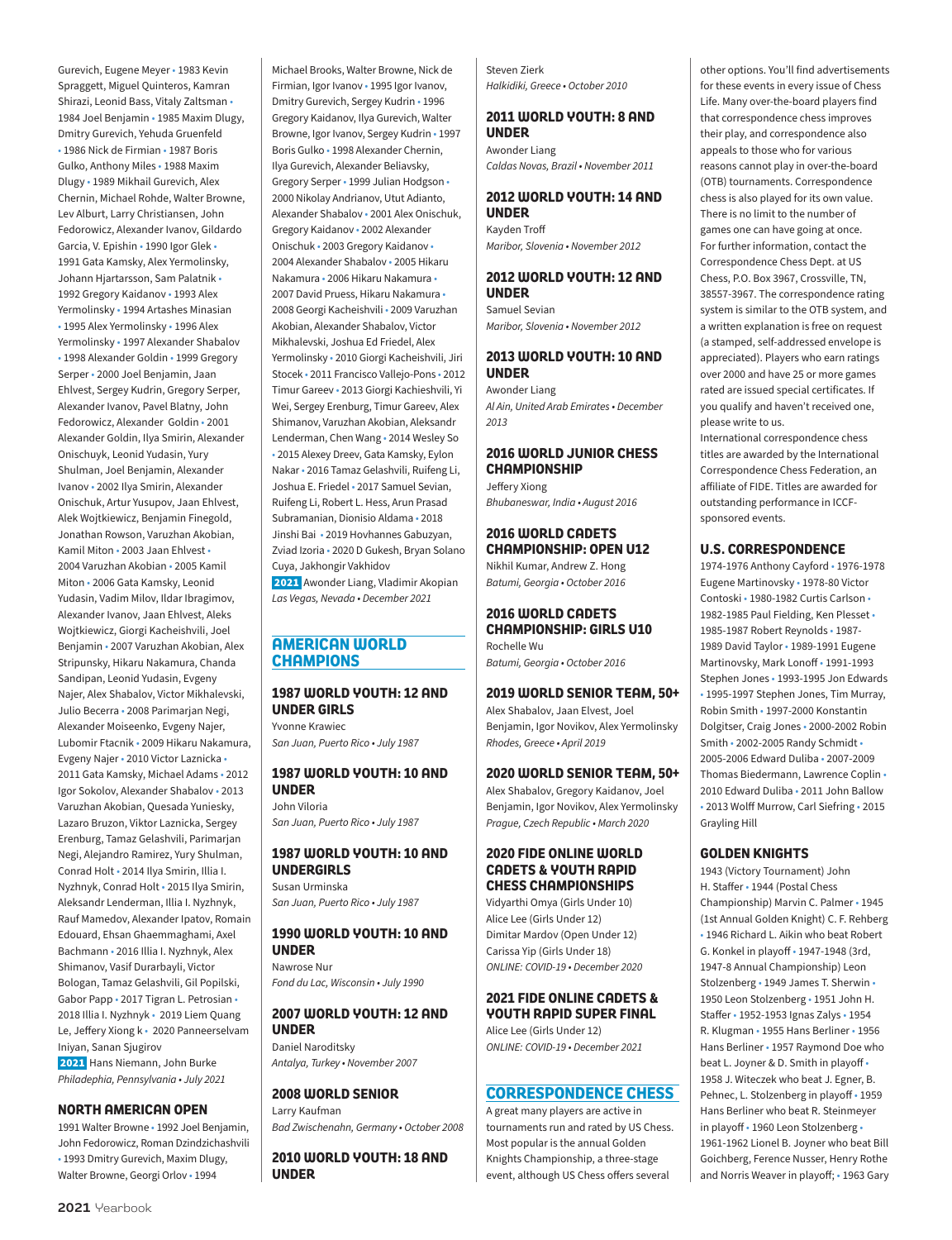Gurevich, Eugene Meyer • 1983 Kevin Spraggett, Miguel Quinteros, Kamran Shirazi, Leonid Bass, Vitaly Zaltsman • 1984 Joel Benjamin • 1985 Maxim Dlugy, Dmitry Gurevich, Yehuda Gruenfeld • 1986 Nick de Firmian • 1987 Boris Gulko, Anthony Miles • 1988 Maxim Dlugy • 1989 Mikhail Gurevich, Alex Chernin, Michael Rohde, Walter Browne, Lev Alburt, Larry Christiansen, John Fedorowicz, Alexander Ivanov, Gildardo Garcia, V. Epishin • 1990 Igor Glek • 1991 Gata Kamsky, Alex Yermolinsky, Johann Hjartarsson, Sam Palatnik • 1992 Gregory Kaidanov • 1993 Alex Yermolinsky • 1994 Artashes Minasian • 1995 Alex Yermolinsky • 1996 Alex Yermolinsky • 1997 Alexander Shabalov • 1998 Alexander Goldin • 1999 Gregory Serper • 2000 Joel Benjamin, Jaan Ehlvest, Sergey Kudrin, Gregory Serper, Alexander Ivanov, Pavel Blatny, John Fedorowicz, Alexander Goldin • 2001 Alexander Goldin, Ilya Smirin, Alexander Onischuyk, Leonid Yudasin, Yury Shulman, Joel Benjamin, Alexander Ivanov • 2002 Ilya Smirin, Alexander Onischuk, Artur Yusupov, Jaan Ehlvest, Alek Wojtkiewicz, Benjamin Finegold, Jonathan Rowson, Varuzhan Akobian, Kamil Miton • 2003 Jaan Ehlvest • 2004 Varuzhan Akobian • 2005 Kamil Miton • 2006 Gata Kamsky, Leonid Yudasin, Vadim Milov, Ildar Ibragimov, Alexander Ivanov, Jaan Ehlvest, Aleks Wojtkiewicz, Giorgi Kacheishvili, Joel Benjamin • 2007 Varuzhan Akobian, Alex Stripunsky, Hikaru Nakamura, Chanda Sandipan, Leonid Yudasin, Evgeny Najer, Alex Shabalov, Victor Mikhalevski, Julio Becerra • 2008 Parimarjan Negi, Alexander Moiseenko, Evgeny Najer, Lubomir Ftacnik • 2009 Hikaru Nakamura, Evgeny Najer • 2010 Victor Laznicka • 2011 Gata Kamsky, Michael Adams • 2012 Igor Sokolov, Alexander Shabalov • 2013 Varuzhan Akobian, Quesada Yuniesky, Lazaro Bruzon, Viktor Laznicka, Sergey Erenburg, Tamaz Gelashvili, Parimarjan Negi, Alejandro Ramirez, Yury Shulman, Conrad Holt • 2014 Ilya Smirin, Illia I. Nyzhnyk, Conrad Holt • 2015 Ilya Smirin, Aleksandr Lenderman, Illia I. Nyzhnyk, Rauf Mamedov, Alexander Ipatov, Romain Edouard, Ehsan Ghaemmaghami, Axel Bachmann • 2016 Illia I. Nyzhnyk, Alex Shimanov, Vasif Durarbayli, Victor Bologan, Tamaz Gelashvili, Gil Popilski, Gabor Papp • 2017 Tigran L. Petrosian • 2018 Illia I. Nyzhnyk • 2019 Liem Quang Le, Jeffery Xiong k • 2020 Panneerselvam Iniyan, Sanan Sjugirov

 2021 Hans Niemann, John Burke *Philadephia, Pennsylvania • July 2021*

#### **NORTH AMERICAN OPEN**

1991 Walter Browne • 1992 Joel Benjamin, John Fedorowicz, Roman Dzindzichashvili • 1993 Dmitry Gurevich, Maxim Dlugy, Walter Browne, Georgi Orlov • 1994

Michael Brooks, Walter Browne, Nick de Firmian, Igor Ivanov • 1995 Igor Ivanov, Dmitry Gurevich, Sergey Kudrin • 1996 Gregory Kaidanov, Ilya Gurevich, Walter Browne, Igor Ivanov, Sergey Kudrin • 1997 Boris Gulko • 1998 Alexander Chernin, Ilya Gurevich, Alexander Beliavsky, Gregory Serper • 1999 Julian Hodgson • 2000 Nikolay Andrianov, Utut Adianto, Alexander Shabalov • 2001 Alex Onischuk, Gregory Kaidanov • 2002 Alexander Onischuk • 2003 Gregory Kaidanov • 2004 Alexander Shabalov • 2005 Hikaru Nakamura • 2006 Hikaru Nakamura • 2007 David Pruess, Hikaru Nakamura • 2008 Georgi Kacheishvili • 2009 Varuzhan Akobian, Alexander Shabalov, Victor Mikhalevski, Joshua Ed Friedel, Alex Yermolinsky • 2010 Giorgi Kacheishvili, Jiri Stocek • 2011 Francisco Vallejo-Pons • 2012 Timur Gareev • 2013 Giorgi Kachieshvili, Yi Wei, Sergey Erenburg, Timur Gareev, Alex Shimanov, Varuzhan Akobian, Aleksandr Lenderman, Chen Wang • 2014 Wesley So • 2015 Alexey Dreev, Gata Kamsky, Eylon Nakar • 2016 Tamaz Gelashvili, Ruifeng Li, Joshua E. Friedel • 2017 Samuel Sevian, Ruifeng Li, Robert L. Hess, Arun Prasad Subramanian, Dionisio Aldama • 2018 Jinshi Bai • 2019 Hovhannes Gabuzyan, Zviad Izoria • 2020 D Gukesh, Bryan Solano Cuya, Jakhongir Vakhidov

 2021 Awonder Liang, Vladimir Akopian *Las Vegas, Nevada • December 2021*

### **AMERICAN WORLD CHAMPIONS**

### **1987 WORLD YOUTH: 12 AND UNDER GIRLS**

Yvonne Krawiec *San Juan, Puerto Rico • July 1987*

#### **1987 WORLD YOUTH: 10 AND UNDER**

John Viloria *San Juan, Puerto Rico • July 1987*

### **1987 WORLD YOUTH: 10 AND UNDERGIRLS**

Susan Urminska *San Juan, Puerto Rico • July 1987*

#### **1990 WORLD YOUTH: 10 AND UNDER**

Nawrose Nur *Fond du Lac, Wisconsin • July 1990*

### **2007 WORLD YOUTH: 12 AND UNDER**

Daniel Naroditsky *Antalya, Turkey • November 2007*

### **2008 WORLD SENIOR**

Larry Kaufman *Bad Zwischenahn, Germany • October 2008*

**2010 WORLD YOUTH: 18 AND UNDER**

Steven Zierk *Halkidiki, Greece • October 2010*

### **2011 WORLD YOUTH: 8 AND UNDER**

Awonder Liang *Caldas Novas, Brazil • November 2011*

### **2012 WORLD YOUTH: 14 AND UNDER**

Kayden Troff *Maribor, Slovenia • November 2012*

### **2012 WORLD YOUTH: 12 AND UNDER**

Samuel Sevian *Maribor, Slovenia • November 2012*

### **2013 WORLD YOUTH: 10 AND UNDER**

Awonder Liang *Al Ain, United Arab Emirates • December 2013*

### **2016 WORLD JUNIOR CHESS CHAMPIONSHIP**

Jeffery Xiong *Bhubaneswar, India • August 2016*

### **2016 WORLD CADETS CHAMPIONSHIP: OPEN U12**

Nikhil Kumar, Andrew Z. Hong *Batumi, Georgia • October 2016*

### **2016 WORLD CADETS CHAMPIONSHIP: GIRLS U10** Rochelle Wu

*Batumi, Georgia • October 2016*

### **2019 WORLD SENIOR TEAM, 50+**

Alex Shabalov, Jaan Elvest, Joel Benjamin, Igor Novikov, Alex Yermolinsky *Rhodes, Greece • April 2019*

### **2020 WORLD SENIOR TEAM, 50+**

Alex Shabalov, Gregory Kaidanov, Joel Benjamin, Igor Novikov, Alex Yermolinsky *Prague, Czech Republic • March 2020*

### **2020 FIDE ONLINE WORLD CADETS & YOUTH RAPID CHESS CHAMPIONSHIPS**

Vidyarthi Omya (Girls Under 10) Alice Lee (Girls Under 12) Dimitar Mardov (Open Under 12) Carissa Yip (Girls Under 18) *ONLINE: COVID-19 • December 2020*

### **2021 FIDE ONLINE CADETS & YOUTH RAPID SUPER FINAL**  Alice Lee (Girls Under 12)

*ONLINE: COVID-19 • December 2021*

### **CORRESPONDENCE CHESS**

A great many players are active in tournaments run and rated by US Chess. Most popular is the annual Golden Knights Championship, a three-stage event, although US Chess offers several

other options. You'll find advertisements for these events in every issue of Chess Life. Many over-the-board players find that correspondence chess improves their play, and correspondence also appeals to those who for various reasons cannot play in over-the-board (OTB) tournaments. Correspondence chess is also played for its own value. There is no limit to the number of games one can have going at once. For further information, contact the Correspondence Chess Dept. at US Chess, P.O. Box 3967, Crossville, TN, 38557-3967. The correspondence rating system is similar to the OTB system, and a written explanation is free on request (a stamped, self-addressed envelope is appreciated). Players who earn ratings over 2000 and have 25 or more games rated are issued special certificates. If you qualify and haven't received one, please write to us.

International correspondence chess titles are awarded by the International Correspondence Chess Federation, an affiliate of FIDE. Titles are awarded for outstanding performance in ICCFsponsored events.

### **U.S. CORRESPONDENCE**

1974-1976 Anthony Cayford • 1976-1978 Eugene Martinovsky • 1978-80 Victor Contoski • 1980-1982 Curtis Carlson • 1982-1985 Paul Fielding, Ken Plesset • 1985-1987 Robert Reynolds • 1987- 1989 David Taylor • 1989-1991 Eugene Martinovsky, Mark Lonoff • 1991-1993 Stephen Jones • 1993-1995 Jon Edwards • 1995-1997 Stephen Jones, Tim Murray, Robin Smith • 1997-2000 Konstantin Dolgitser, Craig Jones • 2000-2002 Robin Smith • 2002-2005 Randy Schmidt • 2005-2006 Edward Duliba • 2007-2009 Thomas Biedermann, Lawrence Coplin • 2010 Edward Duliba • 2011 John Ballow • 2013 Wolff Murrow, Carl Siefring • 2015 Grayling Hill

### **GOLDEN KNIGHTS**

1943 (Victory Tournament) John H. Staffer • 1944 (Postal Chess Championship) Marvin C. Palmer • 1945 (1st Annual Golden Knight) C. F. Rehberg • 1946 Richard L. Aikin who beat Robert G. Konkel in playoff • 1947-1948 (3rd, 1947-8 Annual Championship) Leon Stolzenberg • 1949 James T. Sherwin • 1950 Leon Stolzenberg • 1951 John H. Staffer • 1952-1953 Ignas Zalys • 1954 R. Klugman • 1955 Hans Berliner • 1956 Hans Berliner • 1957 Raymond Doe who beat L. Joyner & D. Smith in playoff • 1958 J. Witeczek who beat J. Egner, B. Pehnec, L. Stolzenberg in playoff • 1959 Hans Berliner who beat R. Steinmeyer in playoff • 1960 Leon Stolzenberg • 1961-1962 Lionel B. Joyner who beat Bill Goichberg, Ference Nusser, Henry Rothe and Norris Weaver in playoff; • 1963 Gary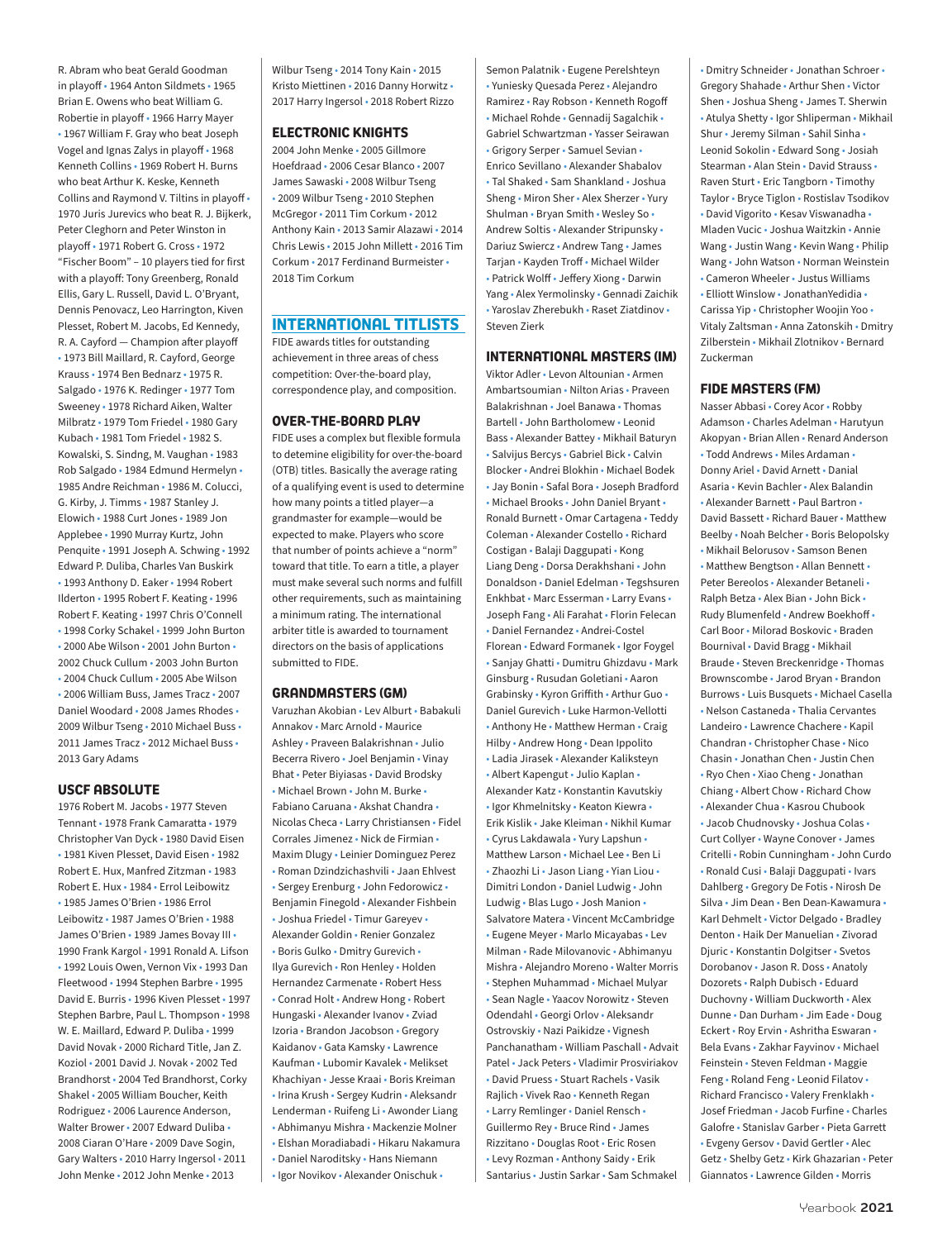R. Abram who beat Gerald Goodman in playoff • 1964 Anton Sildmets • 1965 Brian E. Owens who beat William G. Robertie in playoff • 1966 Harry Mayer • 1967 William F. Gray who beat Joseph Vogel and Ignas Zalys in playoff • 1968 Kenneth Collins • 1969 Robert H. Burns who beat Arthur K. Keske, Kenneth Collins and Raymond V. Tiltins in playoff • 1970 Juris Jurevics who beat R. J. Bijkerk, Peter Cleghorn and Peter Winston in playoff • 1971 Robert G. Cross • 1972 "Fischer Boom" – 10 players tied for first with a playoff: Tony Greenberg, Ronald Ellis, Gary L. Russell, David L. O'Bryant, Dennis Penovacz, Leo Harrington, Kiven Plesset, Robert M. Jacobs, Ed Kennedy, R. A. Cayford — Champion after playoff • 1973 Bill Maillard, R. Cayford, George Krauss • 1974 Ben Bednarz • 1975 R. Salgado • 1976 K. Redinger • 1977 Tom Sweeney • 1978 Richard Aiken, Walter Milbratz • 1979 Tom Friedel • 1980 Gary Kubach • 1981 Tom Friedel • 1982 S. Kowalski, S. Sindng, M. Vaughan • 1983 Rob Salgado • 1984 Edmund Hermelyn • 1985 Andre Reichman • 1986 M. Colucci, G. Kirby, J. Timms • 1987 Stanley J. Elowich • 1988 Curt Jones • 1989 Jon Applebee • 1990 Murray Kurtz, John Penquite • 1991 Joseph A. Schwing • 1992 Edward P. Duliba, Charles Van Buskirk • 1993 Anthony D. Eaker • 1994 Robert Ilderton • 1995 Robert F. Keating • 1996 Robert F. Keating • 1997 Chris O'Connell • 1998 Corky Schakel • 1999 John Burton • 2000 Abe Wilson • 2001 John Burton • 2002 Chuck Cullum • 2003 John Burton • 2004 Chuck Cullum • 2005 Abe Wilson • 2006 William Buss, James Tracz • 2007 Daniel Woodard • 2008 James Rhodes • 2009 Wilbur Tseng • 2010 Michael Buss • 2011 James Tracz • 2012 Michael Buss • 2013 Gary Adams

### **USCF ABSOLUTE**

1976 Robert M. Jacobs • 1977 Steven Tennant • 1978 Frank Camaratta • 1979 Christopher Van Dyck • 1980 David Eisen • 1981 Kiven Plesset, David Eisen • 1982 Robert E. Hux, Manfred Zitzman • 1983 Robert E. Hux • 1984 • Errol Leibowitz • 1985 James O'Brien • 1986 Errol Leibowitz • 1987 James O'Brien • 1988 James O'Brien • 1989 James Bovay III • 1990 Frank Kargol • 1991 Ronald A. Lifson • 1992 Louis Owen, Vernon Vix • 1993 Dan Fleetwood • 1994 Stephen Barbre • 1995 David E. Burris • 1996 Kiven Plesset • 1997 Stephen Barbre, Paul L. Thompson • 1998 W. E. Maillard, Edward P. Duliba • 1999 David Novak • 2000 Richard Title, Jan Z. Koziol • 2001 David J. Novak • 2002 Ted Brandhorst • 2004 Ted Brandhorst, Corky Shakel • 2005 William Boucher, Keith Rodriguez • 2006 Laurence Anderson, Walter Brower • 2007 Edward Duliba • 2008 Ciaran O'Hare • 2009 Dave Sogin, Gary Walters • 2010 Harry Ingersol • 2011 John Menke • 2012 John Menke • 2013

Wilbur Tseng • 2014 Tony Kain • 2015 Kristo Miettinen • 2016 Danny Horwitz • 2017 Harry Ingersol • 2018 Robert Rizzo

### **ELECTRONIC KNIGHTS**

2004 John Menke • 2005 Gillmore Hoefdraad • 2006 Cesar Blanco • 2007 James Sawaski • 2008 Wilbur Tseng • 2009 Wilbur Tseng • 2010 Stephen McGregor • 2011 Tim Corkum • 2012 Anthony Kain • 2013 Samir Alazawi • 2014 Chris Lewis • 2015 John Millett • 2016 Tim Corkum • 2017 Ferdinand Burmeister • 2018 Tim Corkum

### **INTERNATIONAL TITLISTS**

FIDE awards titles for outstanding achievement in three areas of chess competition: Over-the-board play, correspondence play, and composition.

### **OVER-THE-BOARD PLAY**

FIDE uses a complex but flexible formula to detemine eligibility for over-the-board (OTB) titles. Basically the average rating of a qualifying event is used to determine how many points a titled player—a grandmaster for example—would be expected to make. Players who score that number of points achieve a "norm" toward that title. To earn a title, a player must make several such norms and fulfill other requirements, such as maintaining a minimum rating. The international arbiter title is awarded to tournament directors on the basis of applications submitted to FIDE.

### **GRANDMASTERS (GM)**

Varuzhan Akobian • Lev Alburt • Babakuli Annakov • Marc Arnold • Maurice Ashley • Praveen Balakrishnan • Julio Becerra Rivero • Joel Benjamin • Vinay Bhat • Peter Biyiasas • David Brodsky • Michael Brown • John M. Burke • Fabiano Caruana • Akshat Chandra • Nicolas Checa • Larry Christiansen • Fidel Corrales Jimenez • Nick de Firmian • Maxim Dlugy • Leinier Dominguez Perez • Roman Dzindzichashvili • Jaan Ehlvest • Sergey Erenburg • John Fedorowicz • Benjamin Finegold • Alexander Fishbein • Joshua Friedel • Timur Gareyev • Alexander Goldin • Renier Gonzalez • Boris Gulko • Dmitry Gurevich • Ilya Gurevich • Ron Henley • Holden Hernandez Carmenate • Robert Hess • Conrad Holt • Andrew Hong • Robert Hungaski • Alexander Ivanov • Zviad Izoria • Brandon Jacobson • Gregory Kaidanov • Gata Kamsky • Lawrence Kaufman • Lubomir Kavalek • Melikset Khachiyan • Jesse Kraai • Boris Kreiman • Irina Krush • Sergey Kudrin • Aleksandr Lenderman • Ruifeng Li • Awonder Liang • Abhimanyu Mishra • Mackenzie Molner • Elshan Moradiabadi • Hikaru Nakamura • Daniel Naroditsky • Hans Niemann • Igor Novikov • Alexander Onischuk •

Semon Palatnik • Eugene Perelshteyn • Yuniesky Quesada Perez • Alejandro Ramirez • Ray Robson • Kenneth Rogoff • Michael Rohde • Gennadij Sagalchik • Gabriel Schwartzman • Yasser Seirawan • Grigory Serper • Samuel Sevian • Enrico Sevillano • Alexander Shabalov • Tal Shaked • Sam Shankland • Joshua Sheng • Miron Sher • Alex Sherzer • Yury Shulman • Bryan Smith • Wesley So • Andrew Soltis • Alexander Stripunsky • Dariuz Swiercz • Andrew Tang • James Tarjan • Kayden Troff • Michael Wilder • Patrick Wolff • Jeffery Xiong • Darwin Yang • Alex Yermolinsky • Gennadi Zaichik • Yaroslav Zherebukh • Raset Ziatdinov • Steven Zierk

### **INTERNATIONAL MASTERS (IM)**

Viktor Adler • Levon Altounian • Armen Ambartsoumian • Nilton Arias • Praveen Balakrishnan • Joel Banawa • Thomas Bartell • John Bartholomew • Leonid Bass • Alexander Battey • Mikhail Baturyn • Salvijus Bercys • Gabriel Bick • Calvin Blocker • Andrei Blokhin • Michael Bodek • Jay Bonin • Safal Bora • Joseph Bradford • Michael Brooks • John Daniel Bryant • Ronald Burnett • Omar Cartagena • Teddy Coleman • Alexander Costello • Richard Costigan • Balaji Daggupati • Kong Liang Deng • Dorsa Derakhshani • John Donaldson • Daniel Edelman • Tegshsuren Enkhbat • Marc Esserman • Larry Evans • Joseph Fang • Ali Farahat • Florin Felecan • Daniel Fernandez • Andrei-Costel Florean • Edward Formanek • Igor Foygel • Sanjay Ghatti • Dumitru Ghizdavu • Mark Ginsburg • Rusudan Goletiani • Aaron Grabinsky • Kyron Griffith • Arthur Guo • Daniel Gurevich • Luke Harmon-Vellotti • Anthony He • Matthew Herman • Craig Hilby • Andrew Hong • Dean Ippolito • Ladia Jirasek • Alexander Kaliksteyn • Albert Kapengut • Julio Kaplan • Alexander Katz • Konstantin Kavutskiy • Igor Khmelnitsky • Keaton Kiewra • Erik Kislik • Jake Kleiman • Nikhil Kumar • Cyrus Lakdawala • Yury Lapshun • Matthew Larson • Michael Lee • Ben Li • Zhaozhi Li • Jason Liang • Yian Liou • Dimitri London • Daniel Ludwig • John Ludwig • Blas Lugo • Josh Manion • Salvatore Matera • Vincent McCambridge • Eugene Meyer • Marlo Micayabas • Lev Milman • Rade Milovanovic • Abhimanyu Mishra • Alejandro Moreno • Walter Morris • Stephen Muhammad • Michael Mulyar • Sean Nagle • Yaacov Norowitz • Steven Odendahl • Georgi Orlov • Aleksandr Ostrovskiy • Nazi Paikidze • Vignesh Panchanatham • William Paschall • Advait Patel • Jack Peters • Vladimir Prosviriakov • David Pruess • Stuart Rachels • Vasik Rajlich • Vivek Rao • Kenneth Regan • Larry Remlinger • Daniel Rensch • Guillermo Rey • Bruce Rind • James Rizzitano • Douglas Root • Eric Rosen • Levy Rozman • Anthony Saidy • Erik Santarius • Justin Sarkar • Sam Schmakel

• Dmitry Schneider • Jonathan Schroer • Gregory Shahade • Arthur Shen • Victor Shen • Joshua Sheng • James T. Sherwin • Atulya Shetty • Igor Shliperman • Mikhail Shur • Jeremy Silman • Sahil Sinha • Leonid Sokolin • Edward Song • Josiah Stearman • Alan Stein • David Strauss • Raven Sturt • Eric Tangborn • Timothy Taylor • Bryce Tiglon • Rostislav Tsodikov • David Vigorito • Kesav Viswanadha • Mladen Vucic • Joshua Waitzkin • Annie Wang • Justin Wang • Kevin Wang • Philip Wang • John Watson • Norman Weinstein • Cameron Wheeler • Justus Williams • Elliott Winslow • JonathanYedidia • Carissa Yip • Christopher Woojin Yoo • Vitaly Zaltsman • Anna Zatonskih • Dmitry Zilberstein • Mikhail Zlotnikov • Bernard Zuckerman

### **FIDE MASTERS (FM)**

Nasser Abbasi • Corey Acor • Robby Adamson • Charles Adelman • Harutyun Akopyan • Brian Allen • Renard Anderson • Todd Andrews • Miles Ardaman • Donny Ariel • David Arnett • Danial Asaria • Kevin Bachler • Alex Balandin • Alexander Barnett • Paul Bartron • David Bassett • Richard Bauer • Matthew Beelby • Noah Belcher • Boris Belopolsky • Mikhail Belorusov • Samson Benen • Matthew Bengtson • Allan Bennett • Peter Bereolos • Alexander Betaneli • Ralph Betza • Alex Bian • John Bick • Rudy Blumenfeld • Andrew Boekhoff • Carl Boor • Milorad Boskovic • Braden Bournival • David Bragg • Mikhail Braude • Steven Breckenridge • Thomas Brownscombe • Jarod Bryan • Brandon Burrows • Luis Busquets • Michael Casella • Nelson Castaneda • Thalia Cervantes Landeiro • Lawrence Chachere • Kapil Chandran • Christopher Chase • Nico Chasin • Jonathan Chen • Justin Chen • Ryo Chen • Xiao Cheng • Jonathan Chiang • Albert Chow • Richard Chow • Alexander Chua • Kasrou Chubook • Jacob Chudnovsky • Joshua Colas • Curt Collyer • Wayne Conover • James Critelli • Robin Cunningham • John Curdo • Ronald Cusi • Balaji Daggupati • Ivars Dahlberg • Gregory De Fotis • Nirosh De Silva • Jim Dean • Ben Dean-Kawamura • Karl Dehmelt • Victor Delgado • Bradley Denton • Haik Der Manuelian • Zivorad Djuric • Konstantin Dolgitser • Svetos Dorobanov • Jason R. Doss • Anatoly Dozorets • Ralph Dubisch • Eduard Duchovny • William Duckworth • Alex Dunne • Dan Durham • Jim Eade • Doug Eckert • Roy Ervin • Ashritha Eswaran • Bela Evans • Zakhar Fayvinov • Michael Feinstein • Steven Feldman • Maggie Feng • Roland Feng • Leonid Filatov • Richard Francisco • Valery Frenklakh • Josef Friedman • Jacob Furfine • Charles Galofre • Stanislav Garber • Pieta Garrett • Evgeny Gersov • David Gertler • Alec Getz • Shelby Getz • Kirk Ghazarian • Peter Giannatos • Lawrence Gilden • Morris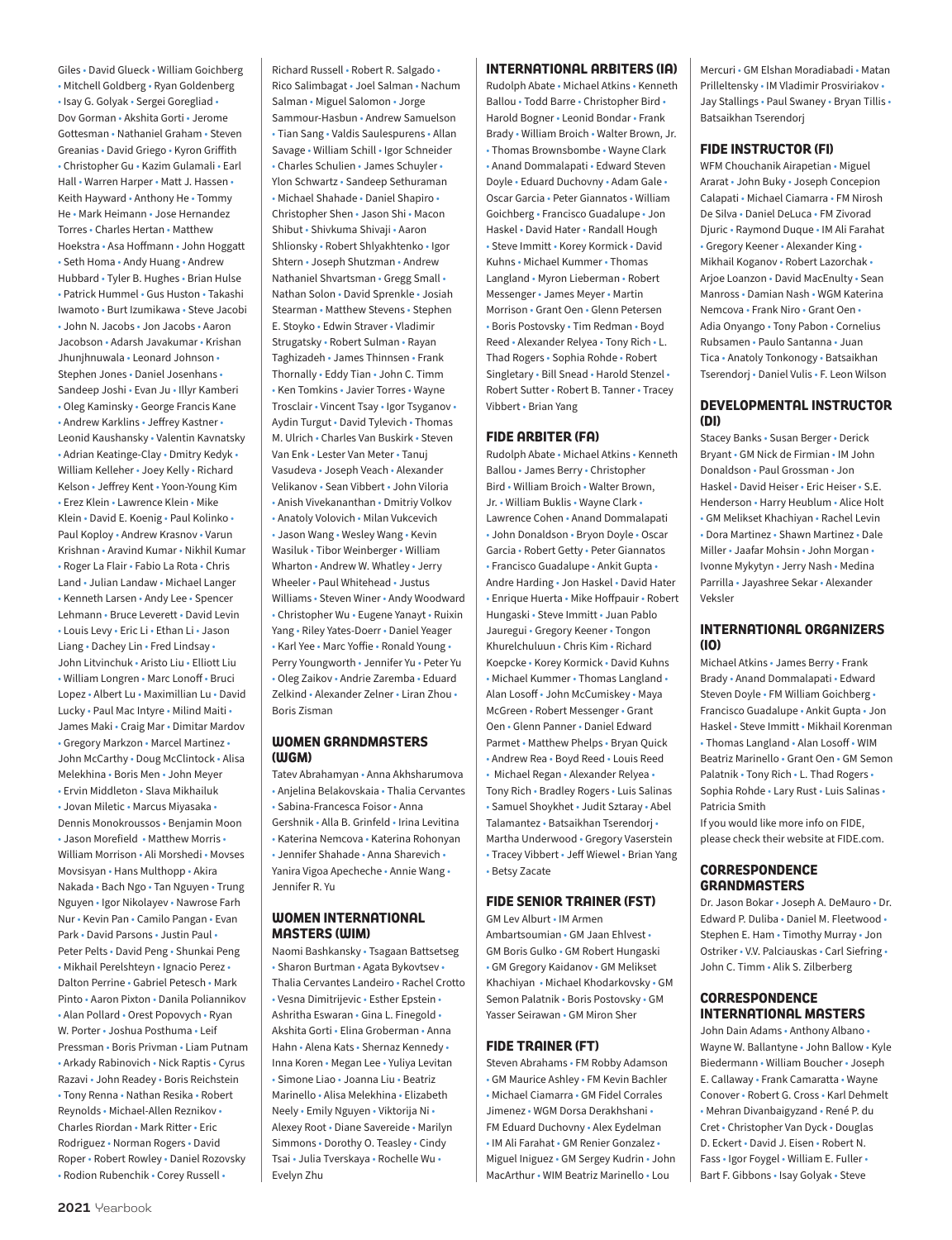Giles • David Glueck • William Goichberg • Mitchell Goldberg • Ryan Goldenberg • Isay G. Golyak • Sergei Goregliad • Dov Gorman • Akshita Gorti • Jerome Gottesman • Nathaniel Graham • Steven Greanias • David Griego • Kyron Griffith • Christopher Gu • Kazim Gulamali • Earl Hall • Warren Harper • Matt J. Hassen • Keith Hayward • Anthony He • Tommy He • Mark Heimann • Jose Hernandez Torres • Charles Hertan • Matthew Hoekstra • Asa Hoffmann • John Hoggatt • Seth Homa • Andy Huang • Andrew Hubbard • Tyler B. Hughes • Brian Hulse • Patrick Hummel • Gus Huston • Takashi Iwamoto • Burt Izumikawa • Steve Jacobi • John N. Jacobs • Jon Jacobs • Aaron Jacobson • Adarsh Javakumar • Krishan Jhunjhnuwala • Leonard Johnson • Stephen Jones • Daniel Josenhans • Sandeep Joshi • Evan Ju • Illyr Kamberi • Oleg Kaminsky • George Francis Kane • Andrew Karklins • Jeffrey Kastner • Leonid Kaushansky • Valentin Kavnatsky • Adrian Keatinge-Clay • Dmitry Kedyk • William Kelleher • Joey Kelly • Richard Kelson • Jeffrey Kent • Yoon-Young Kim • Erez Klein • Lawrence Klein • Mike Klein • David E. Koenig • Paul Kolinko • Paul Koploy • Andrew Krasnov • Varun Krishnan • Aravind Kumar • Nikhil Kumar • Roger La Flair • Fabio La Rota • Chris Land • Julian Landaw • Michael Langer • Kenneth Larsen • Andy Lee • Spencer Lehmann • Bruce Leverett • David Levin • Louis Levy • Eric Li • Ethan Li • Jason Liang • Dachey Lin • Fred Lindsay • John Litvinchuk • Aristo Liu • Elliott Liu • William Longren • Marc Lonoff • Bruci Lopez • Albert Lu • Maximillian Lu • David Lucky • Paul Mac Intyre • Milind Maiti • James Maki • Craig Mar • Dimitar Mardov • Gregory Markzon • Marcel Martinez • John McCarthy • Doug McClintock • Alisa Melekhina • Boris Men • John Meyer • Ervin Middleton • Slava Mikhailuk • Jovan Miletic • Marcus Miyasaka • Dennis Monokroussos • Benjamin Moon • Jason Morefield • Matthew Morris • William Morrison • Ali Morshedi • Movses Movsisyan • Hans Multhopp • Akira Nakada • Bach Ngo • Tan Nguyen • Trung Nguyen • Igor Nikolayev • Nawrose Farh Nur • Kevin Pan • Camilo Pangan • Evan Park • David Parsons • Justin Paul • Peter Pelts • David Peng • Shunkai Peng • Mikhail Perelshteyn • Ignacio Perez • Dalton Perrine • Gabriel Petesch • Mark Pinto • Aaron Pixton • Danila Poliannikov • Alan Pollard • Orest Popovych • Ryan W. Porter • Joshua Posthuma • Leif Pressman • Boris Privman • Liam Putnam • Arkady Rabinovich • Nick Raptis • Cyrus Razavi • John Readey • Boris Reichstein • Tony Renna • Nathan Resika • Robert Reynolds • Michael-Allen Reznikov • Charles Riordan • Mark Ritter • Eric Rodriguez • Norman Rogers • David Roper • Robert Rowley • Daniel Rozovsky

Richard Russell • Robert R. Salgado • Rico Salimbagat • Joel Salman • Nachum Salman • Miguel Salomon • Jorge Sammour-Hasbun • Andrew Samuelson • Tian Sang • Valdis Saulespurens • Allan Savage • William Schill • Igor Schneider • Charles Schulien • James Schuyler • Ylon Schwartz • Sandeep Sethuraman • Michael Shahade • Daniel Shapiro • Christopher Shen • Jason Shi • Macon Shibut • Shivkuma Shivaji • Aaron Shlionsky • Robert Shlyakhtenko • Igor Shtern • Joseph Shutzman • Andrew Nathaniel Shvartsman • Gregg Small • Nathan Solon • David Sprenkle • Josiah Stearman • Matthew Stevens • Stephen E. Stoyko • Edwin Straver • Vladimir Strugatsky • Robert Sulman • Rayan Taghizadeh • James Thinnsen • Frank Thornally • Eddy Tian • John C. Timm • Ken Tomkins • Javier Torres • Wayne Trosclair • Vincent Tsay • Igor Tsyganov • Aydin Turgut • David Tylevich • Thomas M. Ulrich • Charles Van Buskirk • Steven Van Enk • Lester Van Meter • Tanuj Vasudeva • Joseph Veach • Alexander Velikanov • Sean Vibbert • John Viloria • Anish Vivekananthan • Dmitriy Volkov • Anatoly Volovich • Milan Vukcevich • Jason Wang • Wesley Wang • Kevin Wasiluk • Tibor Weinberger • William Wharton • Andrew W. Whatley • Jerry Wheeler • Paul Whitehead • Justus Williams • Steven Winer • Andy Woodward • Christopher Wu • Eugene Yanayt • Ruixin Yang • Riley Yates-Doerr • Daniel Yeager • Karl Yee • Marc Yoffie • Ronald Young • Perry Youngworth • Jennifer Yu • Peter Yu • Oleg Zaikov • Andrie Zaremba • Eduard Zelkind • Alexander Zelner • Liran Zhou • Boris Zisman

### **WOMEN GRANDMASTERS (WGM)**

Tatev Abrahamyan • Anna Akhsharumova • Anjelina Belakovskaia • Thalia Cervantes • Sabina-Francesca Foisor • Anna Gershnik • Alla B. Grinfeld • Irina Levitina • Katerina Nemcova • Katerina Rohonyan • Jennifer Shahade • Anna Sharevich • Yanira Vigoa Apecheche • Annie Wang • Jennifer R. Yu

### **WOMEN INTERNATIONAL MASTERS (WIM)**

Naomi Bashkansky • Tsagaan Battsetseg • Sharon Burtman • Agata Bykovtsev • Thalia Cervantes Landeiro • Rachel Crotto • Vesna Dimitrijevic • Esther Epstein • Ashritha Eswaran • Gina L. Finegold • Akshita Gorti • Elina Groberman • Anna Hahn • Alena Kats • Shernaz Kennedy • Inna Koren • Megan Lee • Yuliya Levitan • Simone Liao • Joanna Liu • Beatriz Marinello • Alisa Melekhina • Elizabeth Neely • Emily Nguyen • Viktorija Ni • Alexey Root • Diane Savereide • Marilyn Simmons • Dorothy O. Teasley • Cindy Tsai • Julia Tverskaya • Rochelle Wu • Evelyn Zhu

### **INTERNATIONAL ARBITERS (IA)**

Rudolph Abate • Michael Atkins • Kenneth Ballou • Todd Barre • Christopher Bird • Harold Bogner • Leonid Bondar • Frank Brady • William Broich • Walter Brown, Jr. • Thomas Brownsbombe • Wayne Clark • Anand Dommalapati • Edward Steven Doyle • Eduard Duchovny • Adam Gale • Oscar Garcia • Peter Giannatos • William Goichberg • Francisco Guadalupe • Jon Haskel • David Hater • Randall Hough • Steve Immitt • Korey Kormick • David Kuhns • Michael Kummer • Thomas Langland • Myron Lieberman • Robert Messenger • James Meyer • Martin Morrison • Grant Oen • Glenn Petersen • Boris Postovsky • Tim Redman • Boyd Reed • Alexander Relyea • Tony Rich • L. Thad Rogers • Sophia Rohde • Robert Singletary • Bill Snead • Harold Stenzel • Robert Sutter • Robert B. Tanner • Tracey Vibbert • Brian Yang

### **FIDE ARBITER (FA)**

Rudolph Abate • Michael Atkins • Kenneth Ballou • James Berry • Christopher Bird • William Broich • Walter Brown, Jr. • William Buklis • Wayne Clark • Lawrence Cohen • Anand Dommalapati • John Donaldson • Bryon Doyle • Oscar Garcia • Robert Getty • Peter Giannatos • Francisco Guadalupe • Ankit Gupta • Andre Harding • Jon Haskel • David Hater • Enrique Huerta • Mike Hoffpauir • Robert Hungaski • Steve Immitt • Juan Pablo Jauregui • Gregory Keener • Tongon Khurelchuluun • Chris Kim • Richard Koepcke • Korey Kormick • David Kuhns • Michael Kummer • Thomas Langland • Alan Losoff • John McCumiskey • Maya McGreen • Robert Messenger • Grant Oen • Glenn Panner • Daniel Edward Parmet • Matthew Phelps • Bryan Quick • Andrew Rea • Boyd Reed • Louis Reed • Michael Regan • Alexander Relyea • Tony Rich • Bradley Rogers • Luis Salinas • Samuel Shoykhet • Judit Sztaray • Abel Talamantez • Batsaikhan Tserendorj • Martha Underwood • Gregory Vaserstein • Tracey Vibbert • Jeff Wiewel • Brian Yang • Betsy Zacate

### **FIDE SENIOR TRAINER (FST)**

GM Lev Alburt • IM Armen

Ambartsoumian • GM Jaan Ehlvest • GM Boris Gulko • GM Robert Hungaski • GM Gregory Kaidanov • GM Melikset Khachiyan • Michael Khodarkovsky • GM Semon Palatnik • Boris Postovsky • GM Yasser Seirawan • GM Miron Sher

#### **FIDE TRAINER (FT)**

Steven Abrahams • FM Robby Adamson • GM Maurice Ashley • FM Kevin Bachler • Michael Ciamarra • GM Fidel Corrales Jimenez • WGM Dorsa Derakhshani • FM Eduard Duchovny • Alex Eydelman • IM Ali Farahat • GM Renier Gonzalez • Miguel Iniguez • GM Sergey Kudrin • John MacArthur • WIM Beatriz Marinello • Lou

Mercuri • GM Elshan Moradiabadi • Matan Prilleltensky • IM Vladimir Prosviriakov • Jay Stallings • Paul Swaney • Bryan Tillis • Batsaikhan Tserendorj

#### **FIDE INSTRUCTOR (FI)**

WFM Chouchanik Airapetian • Miguel Ararat • John Buky • Joseph Concepion Calapati • Michael Ciamarra • FM Nirosh De Silva • Daniel DeLuca • FM Zivorad Djuric • Raymond Duque • IM Ali Farahat • Gregory Keener • Alexander King • Mikhail Koganov • Robert Lazorchak • Arjoe Loanzon • David MacEnulty • Sean Manross • Damian Nash • WGM Katerina Nemcova • Frank Niro • Grant Oen • Adia Onyango • Tony Pabon • Cornelius Rubsamen • Paulo Santanna • Juan Tica • Anatoly Tonkonogy • Batsaikhan Tserendorj • Daniel Vulis • F. Leon Wilson

### **DEVELOPMENTAL INSTRUCTOR (DI)**

Stacey Banks • Susan Berger • Derick Bryant • GM Nick de Firmian • IM John Donaldson • Paul Grossman • Jon Haskel • David Heiser • Eric Heiser • S.E. Henderson • Harry Heublum • Alice Holt • GM Melikset Khachiyan • Rachel Levin • Dora Martinez • Shawn Martinez • Dale Miller • Jaafar Mohsin • John Morgan • Ivonne Mykytyn • Jerry Nash • Medina Parrilla • Jayashree Sekar • Alexander Veksler

### **INTERNATIONAL ORGANIZERS (IO)**

Michael Atkins • James Berry • Frank Brady • Anand Dommalapati • Edward Steven Doyle • FM William Goichberg • Francisco Guadalupe • Ankit Gupta • Jon Haskel • Steve Immitt • Mikhail Korenman • Thomas Langland • Alan Losoff • WIM Beatriz Marinello • Grant Oen • GM Semon Palatnik • Tony Rich • L. Thad Rogers • Sophia Rohde • Lary Rust • Luis Salinas • Patricia Smith

If you would like more info on FIDE, please check their website at FIDE.com.

### **CORRESPONDENCE GRANDMASTERS**

Dr. Jason Bokar • Joseph A. DeMauro • Dr. Edward P. Duliba • Daniel M. Fleetwood • Stephen E. Ham • Timothy Murray • Jon Ostriker • V.V. Palciauskas • Carl Siefring • John C. Timm • Alik S. Zilberberg

### **CORRESPONDENCE INTERNATIONAL MASTERS**

John Dain Adams • Anthony Albano • Wayne W. Ballantyne • John Ballow • Kyle Biedermann • William Boucher • Joseph E. Callaway • Frank Camaratta • Wayne Conover • Robert G. Cross • Karl Dehmelt • Mehran Divanbaigyzand • René P. du Cret • Christopher Van Dyck • Douglas D. Eckert • David J. Eisen • Robert N. Fass • Igor Foygel • William E. Fuller • Bart F. Gibbons • Isay Golyak • Steve

• Rodion Rubenchik • Corey Russell •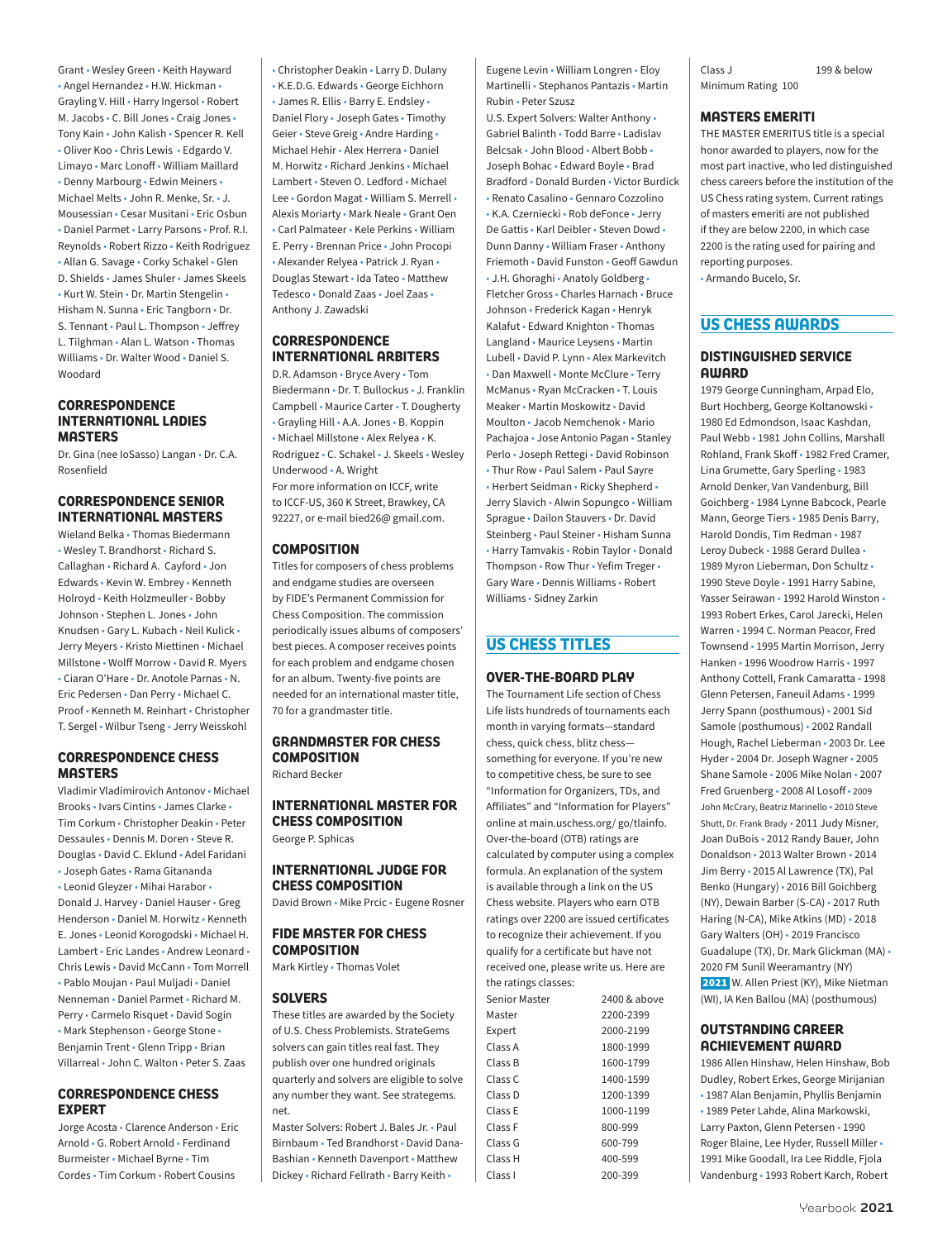Grant • Wesley Green • Keith Hayward • Angel Hernandez • H.W. Hickman • Grayling V. Hill • Harry Ingersol • Robert M. Jacobs • C. Bill Jones • Craig Jones • Tony Kain • John Kalish • Spencer R. Kell • Oliver Koo • Chris Lewis • Edgardo V. Limayo • Marc Lonoff • William Maillard • Denny Marbourg • Edwin Meiners • Michael Melts • John R. Menke, Sr. • J. Mousessian • Cesar Musitani • Eric Osbun • Daniel Parmet • Larry Parsons • Prof. R.I. Reynolds • Robert Rizzo • Keith Rodriguez • Allan G. Savage • Corky Schakel • Glen D. Shields • James Shuler • James Skeels • Kurt W. Stein • Dr. Martin Stengelin • Hisham N. Sunna • Eric Tangborn • Dr. S. Tennant • Paul L. Thompson • Jeffrey L. Tilghman • Alan L. Watson • Thomas Williams • Dr. Walter Wood • Daniel S. Woodard

### **CORRESPONDENCE INTERNATIONAL LADIES MASTERS**

Dr. Gina (nee IoSasso) Langan • Dr. C.A. Rosenfield

### **CORRESPONDENCE SENIOR INTERNATIONAL MASTERS**

Wieland Belka • Thomas Biedermann • Wesley T. Brandhorst • Richard S. Callaghan • Richard A. Cayford • Jon Edwards • Kevin W. Embrey • Kenneth Holroyd • Keith Holzmeuller • Bobby Johnson • Stephen L. Jones • John Knudsen • Gary L. Kubach • Neil Kulick • Jerry Meyers • Kristo Miettinen • Michael Millstone • Wolff Morrow • David R. Myers • Ciaran O'Hare • Dr. Anotole Parnas • N. Eric Pedersen • Dan Perry • Michael C. Proof • Kenneth M. Reinhart • Christopher T. Sergel • Wilbur Tseng • Jerry Weisskohl

### **CORRESPONDENCE CHESS MASTERS**

Vladimir Vladimirovich Antonov • Michael Brooks • Ivars Cintins • James Clarke • Tim Corkum • Christopher Deakin • Peter Dessaules • Dennis M. Doren • Steve R. Douglas • David C. Eklund • Adel Faridani • Joseph Gates • Rama Gitananda • Leonid Gleyzer • Mihai Harabor • Donald J. Harvey • Daniel Hauser • Greg Henderson • Daniel M. Horwitz • Kenneth E. Jones • Leonid Korogodski • Michael H. Lambert • Eric Landes • Andrew Leonard • Chris Lewis • David McCann • Tom Morrell • Pablo Moujan • Paul Muljadi • Daniel Nenneman • Daniel Parmet • Richard M. Perry • Carmelo Risquet • David Sogin • Mark Stephenson • George Stone • Benjamin Trent • Glenn Tripp • Brian Villarreal • John C. Walton • Peter S. Zaas

### **CORRESPONDENCE CHESS EXPERT**

Jorge Acosta • Clarence Anderson • Eric Arnold • G. Robert Arnold • Ferdinand Burmeister • Michael Byrne • Tim Cordes • Tim Corkum • Robert Cousins

• Christopher Deakin • Larry D. Dulany • K.E.D.G. Edwards • George Eichhorn • James R. Ellis • Barry E. Endsley • Daniel Flory • Joseph Gates • Timothy Geier • Steve Greig • Andre Harding • Michael Hehir • Alex Herrera • Daniel M. Horwitz • Richard Jenkins • Michael Lambert • Steven O. Ledford • Michael Lee • Gordon Magat • William S. Merrell • Alexis Moriarty • Mark Neale • Grant Oen • Carl Palmateer • Kele Perkins • William E. Perry • Brennan Price • John Procopi • Alexander Relyea • Patrick J. Ryan • Douglas Stewart • Ida Tateo • Matthew Tedesco • Donald Zaas • Joel Zaas • Anthony J. Zawadski

### **CORRESPONDENCE INTERNATIONAL ARBITERS**

D.R. Adamson • Bryce Avery • Tom Biedermann • Dr. T. Bullockus • J. Franklin Campbell • Maurice Carter • T. Dougherty • Grayling Hill • A.A. Jones • B. Koppin • Michael Millstone • Alex Relyea • K. Rodriguez • C. Schakel • J. Skeels • Wesley Underwood • A. Wright For more information on ICCF, write to ICCF-US, 360 K Street, Brawkey, CA 92227, or e-mail bied26@ gmail.com.

### **COMPOSITION**

Titles for composers of chess problems and endgame studies are overseen by FIDE's Permanent Commission for Chess Composition. The commission periodically issues albums of composers' best pieces. A composer receives points for each problem and endgame chosen for an album. Twenty-five points are needed for an international master title, 70 for a grandmaster title.

### **GRANDMASTER FOR CHESS COMPOSITION**

Richard Becker

**INTERNATIONAL MASTER FOR CHESS COMPOSITION**  George P. Sphicas

### **INTERNATIONAL JUDGE FOR CHESS COMPOSITION**

David Brown • Mike Prcic • Eugene Rosner

### **FIDE MASTER FOR CHESS COMPOSITION**

Mark Kirtley • Thomas Volet

### **SOLVERS**

These titles are awarded by the Society of U.S. Chess Problemists. StrateGems solvers can gain titles real fast. They publish over one hundred originals quarterly and solvers are eligible to solve any number they want. See strategems. net.

Master Solvers: Robert J. Bales Jr. • Paul Birnbaum • Ted Brandhorst • David Dana-Bashian • Kenneth Davenport • Matthew Dickey • Richard Fellrath • Barry Keith •

Eugene Levin • William Longren • Eloy Martinelli • Stephanos Pantazis • Martin Rubin • Peter Szusz

U.S. Expert Solvers: Walter Anthony • Gabriel Balinth • Todd Barre • Ladislav Belcsak • John Blood • Albert Bobb • Joseph Bohac • Edward Boyle • Brad Bradford • Donald Burden • Victor Burdick • Renato Casalino • Gennaro Cozzolino • K.A. Czerniecki • Rob deFonce • Jerry De Gattis • Karl Deibler • Steven Dowd • Dunn Danny • William Fraser • Anthony Friemoth • David Funston • Geoff Gawdun • J.H. Ghoraghi • Anatoly Goldberg • Fletcher Gross • Charles Harnach • Bruce Johnson • Frederick Kagan • Henryk Kalafut • Edward Knighton • Thomas Langland • Maurice Leysens • Martin Lubell • David P. Lynn • Alex Markevitch • Dan Maxwell • Monte McClure • Terry McManus • Ryan McCracken • T. Louis Meaker • Martin Moskowitz • David Moulton • Jacob Nemchenok • Mario Pachajoa • Jose Antonio Pagan • Stanley Perlo • Joseph Rettegi • David Robinson • Thur Row • Paul Salem • Paul Sayre • Herbert Seidman • Ricky Shepherd • Jerry Slavich • Alwin Sopungco • William Sprague • Dailon Stauvers • Dr. David Steinberg • Paul Steiner • Hisham Sunna • Harry Tamvakis • Robin Taylor • Donald Thompson • Row Thur • Yefim Treger • Gary Ware • Dennis Williams • Robert Williams • Sidney Zarkin

### **US CHESS TITLES**

### **OVER-THE-BOARD PLAY**

The Tournament Life section of Chess Life lists hundreds of tournaments each month in varying formats—standard chess, quick chess, blitz chess something for everyone. If you're new to competitive chess, be sure to see "Information for Organizers, TDs, and Affiliates" and "Information for Players" online at main.uschess.org/ go/tlainfo. Over-the-board (OTB) ratings are calculated by computer using a complex formula. An explanation of the system is available through a link on the US Chess website. Players who earn OTB ratings over 2200 are issued certificates to recognize their achievement. If you qualify for a certificate but have not received one, please write us. Here are the ratings classes:

| 2400 & above |
|--------------|
| 2200-2399    |
| 2000-2199    |
| 1800-1999    |
| 1600-1799    |
| 1400-1599    |
| 1200-1399    |
| 1000-1199    |
| 800-999      |
| 600-799      |
| 400-599      |
| 200-399      |
|              |

Class J 199 & below Minimum Rating 100

### **MASTERS EMERITI**

THE MASTER EMERITUS title is a special honor awarded to players, now for the most part inactive, who led distinguished chess careers before the institution of the US Chess rating system. Current ratings of masters emeriti are not published if they are below 2200, in which case 2200 is the rating used for pairing and reporting purposes.

• Armando Bucelo, Sr.

### **US CHESS AWARDS**

### **DISTINGUISHED SERVICE AWARD**

1979 George Cunningham, Arpad Elo, Burt Hochberg, George Koltanowski • 1980 Ed Edmondson, Isaac Kashdan, Paul Webb • 1981 John Collins, Marshall Rohland, Frank Skoff • 1982 Fred Cramer, Lina Grumette, Gary Sperling • 1983 Arnold Denker, Van Vandenburg, Bill Goichberg • 1984 Lynne Babcock, Pearle Mann, George Tiers • 1985 Denis Barry, Harold Dondis, Tim Redman • 1987 Leroy Dubeck • 1988 Gerard Dullea • 1989 Myron Lieberman, Don Schultz · 1990 Steve Doyle • 1991 Harry Sabine, Yasser Seirawan • 1992 Harold Winston • 1993 Robert Erkes, Carol Jarecki, Helen Warren • 1994 C. Norman Peacor, Fred Townsend • 1995 Martin Morrison, Jerry Hanken • 1996 Woodrow Harris • 1997 Anthony Cottell, Frank Camaratta • 1998 Glenn Petersen, Faneuil Adams • 1999 Jerry Spann (posthumous) • 2001 Sid Samole (posthumous) • 2002 Randall Hough, Rachel Lieberman • 2003 Dr. Lee Hyder • 2004 Dr. Joseph Wagner • 2005 Shane Samole • 2006 Mike Nolan • 2007 Fred Gruenberg • 2008 Al Losoff • 2009 John McCrary, Beatriz Marinello • 2010 Steve Shutt, Dr. Frank Brady • 2011 Judy Misner, Joan DuBois • 2012 Randy Bauer, John Donaldson • 2013 Walter Brown • 2014 Jim Berry • 2015 Al Lawrence (TX), Pal Benko (Hungary) • 2016 Bill Goichberg (NY), Dewain Barber (S-CA) • 2017 Ruth Haring (N-CA), Mike Atkins (MD) • 2018 Gary Walters (OH) • 2019 Francisco Guadalupe (TX), Dr. Mark Glickman (MA) • 2020 FM Sunil Weeramantry (NY) 2021 W. Allen Priest (KY), Mike Nietman (WI), IA Ken Ballou (MA) (posthumous)

### **OUTSTANDING CAREER ACHIEVEMENT AWARD**

1986 Allen Hinshaw, Helen Hinshaw, Bob Dudley, Robert Erkes, George Mirijanian • 1987 Alan Benjamin, Phyllis Benjamin • 1989 Peter Lahde, Alina Markowski, Larry Paxton, Glenn Petersen • 1990 Roger Blaine, Lee Hyder, Russell Miller • 1991 Mike Goodall, Ira Lee Riddle, Fjola Vandenburg • 1993 Robert Karch, Robert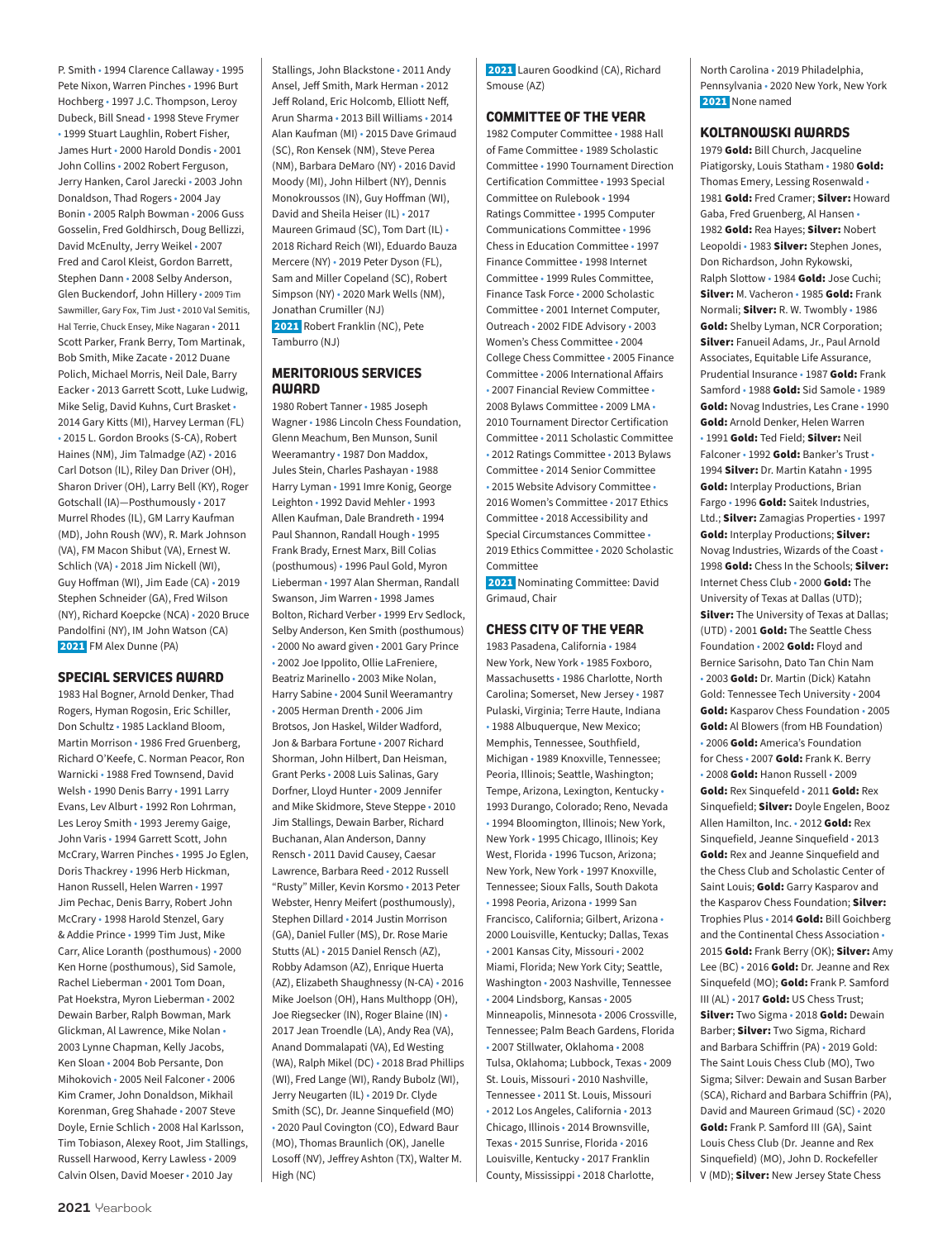P. Smith • 1994 Clarence Callaway • 1995 Pete Nixon, Warren Pinches • 1996 Burt Hochberg • 1997 J.C. Thompson, Leroy Dubeck, Bill Snead • 1998 Steve Frymer • 1999 Stuart Laughlin, Robert Fisher, James Hurt • 2000 Harold Dondis • 2001 John Collins • 2002 Robert Ferguson, Jerry Hanken, Carol Jarecki • 2003 John Donaldson, Thad Rogers • 2004 Jay Bonin • 2005 Ralph Bowman • 2006 Guss Gosselin, Fred Goldhirsch, Doug Bellizzi, David McEnulty, Jerry Weikel • 2007 Fred and Carol Kleist, Gordon Barrett, Stephen Dann • 2008 Selby Anderson, Glen Buckendorf, John Hillery • 2009 Tim Sawmiller, Gary Fox, Tim Just • 2010 Val Semitis, Hal Terrie, Chuck Ensey, Mike Nagaran • 2011 Scott Parker, Frank Berry, Tom Martinak, Bob Smith, Mike Zacate • 2012 Duane Polich, Michael Morris, Neil Dale, Barry Eacker • 2013 Garrett Scott, Luke Ludwig, Mike Selig, David Kuhns, Curt Brasket • 2014 Gary Kitts (MI), Harvey Lerman (FL) • 2015 L. Gordon Brooks (S-CA), Robert Haines (NM), Jim Talmadge (AZ) • 2016 Carl Dotson (IL), Riley Dan Driver (OH), Sharon Driver (OH), Larry Bell (KY), Roger Gotschall (IA)—Posthumously • 2017 Murrel Rhodes (IL), GM Larry Kaufman (MD), John Roush (WV), R. Mark Johnson (VA), FM Macon Shibut (VA), Ernest W. Schlich (VA) • 2018 Jim Nickell (WI), Guy Hoffman (WI), Jim Eade (CA) • 2019 Stephen Schneider (GA), Fred Wilson (NY), Richard Koepcke (NCA) • 2020 Bruce Pandolfini (NY), IM John Watson (CA) 2021 FM Alex Dunne (PA)

### **SPECIAL SERVICES AWARD**

1983 Hal Bogner, Arnold Denker, Thad Rogers, Hyman Rogosin, Eric Schiller, Don Schultz • 1985 Lackland Bloom, Martin Morrison • 1986 Fred Gruenberg, Richard O'Keefe, C. Norman Peacor, Ron Warnicki • 1988 Fred Townsend, David Welsh • 1990 Denis Barry • 1991 Larry Evans, Lev Alburt • 1992 Ron Lohrman, Les Leroy Smith • 1993 Jeremy Gaige, John Varis • 1994 Garrett Scott, John McCrary, Warren Pinches • 1995 Jo Eglen, Doris Thackrey • 1996 Herb Hickman, Hanon Russell, Helen Warren • 1997 Jim Pechac, Denis Barry, Robert John McCrary • 1998 Harold Stenzel, Gary & Addie Prince • 1999 Tim Just, Mike Carr, Alice Loranth (posthumous) • 2000 Ken Horne (posthumous), Sid Samole, Rachel Lieberman • 2001 Tom Doan, Pat Hoekstra, Myron Lieberman • 2002 Dewain Barber, Ralph Bowman, Mark Glickman, Al Lawrence, Mike Nolan • 2003 Lynne Chapman, Kelly Jacobs, Ken Sloan • 2004 Bob Persante, Don Mihokovich • 2005 Neil Falconer • 2006 Kim Cramer, John Donaldson, Mikhail Korenman, Greg Shahade • 2007 Steve Doyle, Ernie Schlich • 2008 Hal Karlsson, Tim Tobiason, Alexey Root, Jim Stallings, Russell Harwood, Kerry Lawless • 2009 Calvin Olsen, David Moeser • 2010 Jay

Stallings, John Blackstone • 2011 Andy Ansel, Jeff Smith, Mark Herman • 2012 Jeff Roland, Eric Holcomb, Elliott Neff, Arun Sharma • 2013 Bill Williams • 2014 Alan Kaufman (MI) • 2015 Dave Grimaud (SC), Ron Kensek (NM), Steve Perea (NM), Barbara DeMaro (NY) • 2016 David Moody (MI), John Hilbert (NY), Dennis Monokroussos (IN), Guy Hoffman (WI), David and Sheila Heiser (IL) • 2017 Maureen Grimaud (SC), Tom Dart (IL) • 2018 Richard Reich (WI), Eduardo Bauza Mercere (NY) • 2019 Peter Dyson (FL), Sam and Miller Copeland (SC), Robert Simpson (NY) • 2020 Mark Wells (NM), Jonathan Crumiller (NJ) 2021 Robert Franklin (NC), Pete

Tamburro (NJ)

### **MERITORIOUS SERVICES AWARD**

1980 Robert Tanner • 1985 Joseph Wagner • 1986 Lincoln Chess Foundation, Glenn Meachum, Ben Munson, Sunil Weeramantry • 1987 Don Maddox, Jules Stein, Charles Pashayan • 1988 Harry Lyman • 1991 Imre Konig, George Leighton • 1992 David Mehler • 1993 Allen Kaufman, Dale Brandreth • 1994 Paul Shannon, Randall Hough • 1995 Frank Brady, Ernest Marx, Bill Colias (posthumous) • 1996 Paul Gold, Myron Lieberman • 1997 Alan Sherman, Randall Swanson, Jim Warren • 1998 James Bolton, Richard Verber • 1999 Erv Sedlock, Selby Anderson, Ken Smith (posthumous) • 2000 No award given • 2001 Gary Prince • 2002 Joe Ippolito, Ollie LaFreniere, Beatriz Marinello • 2003 Mike Nolan, Harry Sabine • 2004 Sunil Weeramantry • 2005 Herman Drenth • 2006 Jim Brotsos, Jon Haskel, Wilder Wadford, Jon & Barbara Fortune • 2007 Richard Shorman, John Hilbert, Dan Heisman, Grant Perks • 2008 Luis Salinas, Gary Dorfner, Lloyd Hunter • 2009 Jennifer and Mike Skidmore, Steve Steppe • 2010 Jim Stallings, Dewain Barber, Richard Buchanan, Alan Anderson, Danny Rensch • 2011 David Causey, Caesar Lawrence, Barbara Reed • 2012 Russell "Rusty" Miller, Kevin Korsmo • 2013 Peter Webster, Henry Meifert (posthumously), Stephen Dillard • 2014 Justin Morrison (GA), Daniel Fuller (MS), Dr. Rose Marie Stutts (AL) • 2015 Daniel Rensch (AZ), Robby Adamson (AZ), Enrique Huerta (AZ), Elizabeth Shaughnessy (N-CA) • 2016 Mike Joelson (OH), Hans Multhopp (OH), Joe Riegsecker (IN), Roger Blaine (IN) • 2017 Jean Troendle (LA), Andy Rea (VA), Anand Dommalapati (VA), Ed Westing (WA), Ralph Mikel (DC) • 2018 Brad Phillips (WI), Fred Lange (WI), Randy Bubolz (WI), Jerry Neugarten (IL) • 2019 Dr. Clyde Smith (SC), Dr. Jeanne Sinquefield (MO) • 2020 Paul Covington (CO), Edward Baur (MO), Thomas Braunlich (OK), Janelle Losoff (NV), Jeffrey Ashton (TX), Walter M. High (NC)

 2021 Lauren Goodkind (CA), Richard Smouse (AZ)

### **COMMITTEE OF THE YEAR**

1982 Computer Committee • 1988 Hall of Fame Committee • 1989 Scholastic Committee • 1990 Tournament Direction Certification Committee • 1993 Special Committee on Rulebook • 1994 Ratings Committee • 1995 Computer Communications Committee • 1996 Chess in Education Committee • 1997 Finance Committee • 1998 Internet Committee • 1999 Rules Committee, Finance Task Force • 2000 Scholastic Committee • 2001 Internet Computer, Outreach • 2002 FIDE Advisory • 2003 Women's Chess Committee • 2004 College Chess Committee • 2005 Finance Committee • 2006 International Affairs • 2007 Financial Review Committee • 2008 Bylaws Committee • 2009 LMA • 2010 Tournament Director Certification Committee • 2011 Scholastic Committee • 2012 Ratings Committee • 2013 Bylaws Committee • 2014 Senior Committee • 2015 Website Advisory Committee • 2016 Women's Committee • 2017 Ethics Committee • 2018 Accessibility and Special Circumstances Committee • 2019 Ethics Committee • 2020 Scholastic Committee

 2021 Nominating Committee: David Grimaud, Chair

### **CHESS CITY OF THE YEAR**

1983 Pasadena, California • 1984 New York, New York • 1985 Foxboro, Massachusetts • 1986 Charlotte, North Carolina; Somerset, New Jersey • 1987 Pulaski, Virginia; Terre Haute, Indiana • 1988 Albuquerque, New Mexico; Memphis, Tennessee, Southfield, Michigan • 1989 Knoxville, Tennessee; Peoria, Illinois; Seattle, Washington; Tempe, Arizona, Lexington, Kentucky • 1993 Durango, Colorado; Reno, Nevada • 1994 Bloomington, Illinois; New York, New York • 1995 Chicago, Illinois; Key West, Florida • 1996 Tucson, Arizona; New York, New York • 1997 Knoxville, Tennessee; Sioux Falls, South Dakota • 1998 Peoria, Arizona • 1999 San Francisco, California; Gilbert, Arizona • 2000 Louisville, Kentucky; Dallas, Texas • 2001 Kansas City, Missouri • 2002 Miami, Florida; New York City; Seattle, Washington • 2003 Nashville, Tennessee • 2004 Lindsborg, Kansas • 2005 Minneapolis, Minnesota • 2006 Crossville, Tennessee; Palm Beach Gardens, Florida • 2007 Stillwater, Oklahoma • 2008 Tulsa, Oklahoma; Lubbock, Texas • 2009 St. Louis, Missouri • 2010 Nashville, Tennessee • 2011 St. Louis, Missouri • 2012 Los Angeles, California • 2013 Chicago, Illinois • 2014 Brownsville, Texas • 2015 Sunrise, Florida • 2016 Louisville, Kentucky • 2017 Franklin County, Mississippi • 2018 Charlotte,

North Carolina • 2019 Philadelphia, Pennsylvania • 2020 New York, New York 2021 None named

#### **KOLTANOWSKI AWARDS**

1979 Gold: Bill Church, Jacqueline Piatigorsky, Louis Statham • 1980 Gold: Thomas Emery, Lessing Rosenwald • 1981 Gold: Fred Cramer; Silver: Howard Gaba, Fred Gruenberg, Al Hansen • 1982 Gold: Rea Hayes; Silver: Nobert Leopoldi • 1983 Silver: Stephen Jones, Don Richardson, John Rykowski, Ralph Slottow . 1984 Gold: Jose Cuchi; Silver: M. Vacheron · 1985 Gold: Frank Normali; Silver: R. W. Twombly • 1986 **Gold:** Shelby Lyman, NCR Corporation; **Silver:** Fanueil Adams, Jr., Paul Arnold Associates, Equitable Life Assurance, Prudential Insurance • 1987 Gold: Frank Samford • 1988 Gold: Sid Samole • 1989 Gold: Novag Industries, Les Crane • 1990 Gold: Arnold Denker, Helen Warren • 1991 Gold: Ted Field: Silver: Neil Falconer • 1992 Gold: Banker's Trust • 1994 Silver: Dr. Martin Katahn · 1995 Gold: Interplay Productions, Brian Fargo · 1996 Gold: Saitek Industries, Ltd.; Silver: Zamagias Properties · 1997 Gold: Interplay Productions: Silver: Novag Industries, Wizards of the Coast • 1998 Gold: Chess In the Schools; Silver: Internet Chess Club · 2000 Gold: The University of Texas at Dallas (UTD); **Silver:** The University of Texas at Dallas; (UTD) • 2001 Gold: The Seattle Chess Foundation • 2002 Gold: Floyd and Bernice Sarisohn, Dato Tan Chin Nam • 2003 Gold: Dr. Martin (Dick) Katahn Gold: Tennessee Tech University • 2004 Gold: Kasparov Chess Foundation · 2005 Gold: Al Blowers (from HB Foundation) • 2006 Gold: America's Foundation for Chess · 2007 Gold: Frank K. Berry • 2008 Gold: Hanon Russell • 2009 Gold: Rex Sinquefeld · 2011 Gold: Rex Sinquefield; Silver: Doyle Engelen, Booz Allen Hamilton, Inc. . 2012 Gold: Rex Sinquefield, Jeanne Sinquefield • 2013 Gold: Rex and Jeanne Sinquefield and the Chess Club and Scholastic Center of Saint Louis; Gold: Garry Kasparov and the Kasparov Chess Foundation; Silver: Trophies Plus • 2014 Gold: Bill Goichberg and the Continental Chess Association • 2015 Gold: Frank Berry (OK); Silver: Amy Lee (BC) · 2016 Gold: Dr. Jeanne and Rex Sinquefeld (MO); Gold: Frank P. Samford III (AL) · 2017 Gold: US Chess Trust; Silver: Two Sigma · 2018 Gold: Dewain Barber; Silver: Two Sigma, Richard and Barbara Schiffrin (PA) • 2019 Gold: The Saint Louis Chess Club (MO), Two Sigma; Silver: Dewain and Susan Barber (SCA), Richard and Barbara Schiffrin (PA), David and Maureen Grimaud (SC) • 2020 Gold: Frank P. Samford III (GA), Saint Louis Chess Club (Dr. Jeanne and Rex Sinquefield) (MO), John D. Rockefeller V (MD); Silver: New Jersey State Chess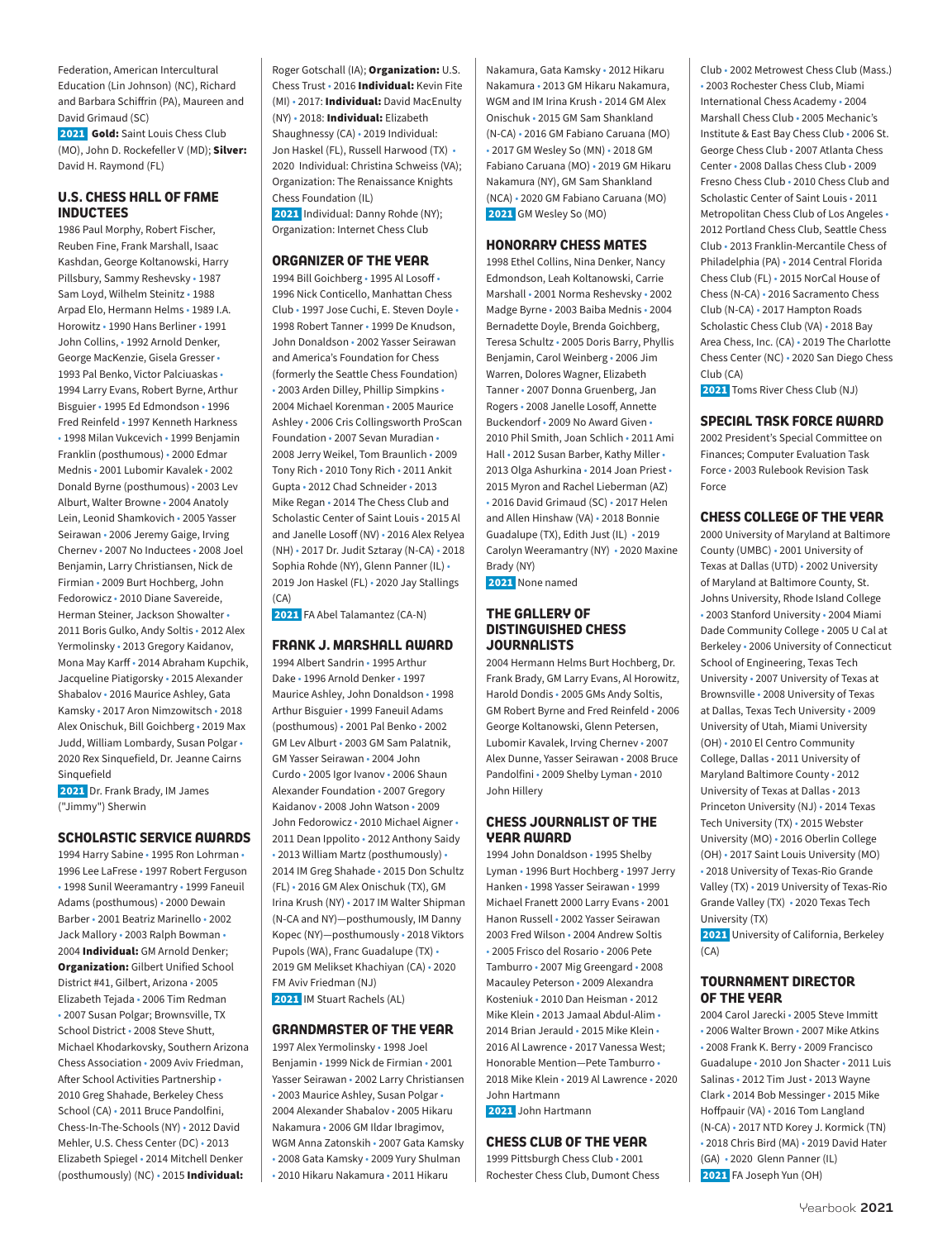Federation, American Intercultural Education (Lin Johnson) (NC), Richard and Barbara Schiffrin (PA), Maureen and David Grimaud (SC)

2021 Gold: Saint Louis Chess Club (MO), John D. Rockefeller V (MD): Silver: David H. Raymond (FL)

### **U.S. CHESS HALL OF FAME INDUCTEES**

1986 Paul Morphy, Robert Fischer, Reuben Fine, Frank Marshall, Isaac Kashdan, George Koltanowski, Harry Pillsbury, Sammy Reshevsky • 1987 Sam Loyd, Wilhelm Steinitz • 1988 Arpad Elo, Hermann Helms • 1989 I.A. Horowitz • 1990 Hans Berliner • 1991 John Collins, • 1992 Arnold Denker, George MacKenzie, Gisela Gresser • 1993 Pal Benko, Victor Palciuaskas • 1994 Larry Evans, Robert Byrne, Arthur Bisguier • 1995 Ed Edmondson • 1996 Fred Reinfeld • 1997 Kenneth Harkness • 1998 Milan Vukcevich • 1999 Benjamin Franklin (posthumous) • 2000 Edmar Mednis • 2001 Lubomir Kavalek • 2002 Donald Byrne (posthumous) • 2003 Lev Alburt, Walter Browne • 2004 Anatoly Lein, Leonid Shamkovich • 2005 Yasser Seirawan • 2006 Jeremy Gaige, Irving Chernev • 2007 No Inductees • 2008 Joel Benjamin, Larry Christiansen, Nick de Firmian • 2009 Burt Hochberg, John Fedorowicz • 2010 Diane Savereide, Herman Steiner, Jackson Showalter • 2011 Boris Gulko, Andy Soltis • 2012 Alex Yermolinsky • 2013 Gregory Kaidanov, Mona May Karff • 2014 Abraham Kupchik, Jacqueline Piatigorsky • 2015 Alexander Shabalov • 2016 Maurice Ashley, Gata Kamsky • 2017 Aron Nimzowitsch • 2018 Alex Onischuk, Bill Goichberg • 2019 Max Judd, William Lombardy, Susan Polgar • 2020 Rex Sinquefield, Dr. Jeanne Cairns Sinquefield

2021 Dr. Frank Brady, IM James ("Jimmy") Sherwin

### **SCHOLASTIC SERVICE AWARDS**

1994 Harry Sabine • 1995 Ron Lohrman • 1996 Lee LaFrese • 1997 Robert Ferguson • 1998 Sunil Weeramantry • 1999 Faneuil Adams (posthumous) • 2000 Dewain Barber • 2001 Beatriz Marinello • 2002 Jack Mallory • 2003 Ralph Bowman • 2004 Individual: GM Arnold Denker; **Organization:** Gilbert Unified School District #41, Gilbert, Arizona • 2005 Elizabeth Tejada • 2006 Tim Redman • 2007 Susan Polgar; Brownsville, TX School District • 2008 Steve Shutt Michael Khodarkovsky, Southern Arizona Chess Association • 2009 Aviv Friedman, After School Activities Partnership • 2010 Greg Shahade, Berkeley Chess School (CA) • 2011 Bruce Pandolfini, Chess-In-The-Schools (NY) • 2012 David Mehler, U.S. Chess Center (DC) • 2013 Elizabeth Spiegel • 2014 Mitchell Denker (posthumously) (NC) • 2015 Individual:

Roger Gotschall (IA); Organization: U.S. Chess Trust · 2016 Individual: Kevin Fite (MI) • 2017: Individual: David MacEnulty (NY) • 2018: Individual: Elizabeth Shaughnessy (CA) • 2019 Individual: Jon Haskel (FL), Russell Harwood (TX) • 2020 Individual: Christina Schweiss (VA); Organization: The Renaissance Knights Chess Foundation (IL) 2021 Individual: Danny Rohde (NY); Organization: Internet Chess Club

**ORGANIZER OF THE YEAR** 1994 Bill Goichberg • 1995 Al Losoff • 1996 Nick Conticello, Manhattan Chess Club • 1997 Jose Cuchi, E. Steven Doyle • 1998 Robert Tanner • 1999 De Knudson, John Donaldson • 2002 Yasser Seirawan and America's Foundation for Chess (formerly the Seattle Chess Foundation) • 2003 Arden Dilley, Phillip Simpkins • 2004 Michael Korenman • 2005 Maurice Ashley • 2006 Cris Collingsworth ProScan Foundation • 2007 Sevan Muradian • 2008 Jerry Weikel, Tom Braunlich • 2009 Tony Rich • 2010 Tony Rich • 2011 Ankit Gupta • 2012 Chad Schneider • 2013 Mike Regan • 2014 The Chess Club and Scholastic Center of Saint Louis • 2015 Al and Janelle Losoff (NV) • 2016 Alex Relyea (NH) • 2017 Dr. Judit Sztaray (N-CA) • 2018 Sophia Rohde (NY), Glenn Panner (IL) • 2019 Jon Haskel (FL) • 2020 Jay Stallings  $(CA)$ 

2021 FA Abel Talamantez (CA-N)

### **FRANK J. MARSHALL AWARD**

1994 Albert Sandrin • 1995 Arthur Dake • 1996 Arnold Denker • 1997 Maurice Ashley, John Donaldson • 1998 Arthur Bisguier • 1999 Faneuil Adams (posthumous) • 2001 Pal Benko • 2002 GM Lev Alburt • 2003 GM Sam Palatnik, GM Yasser Seirawan • 2004 John Curdo • 2005 Igor Ivanov • 2006 Shaun Alexander Foundation • 2007 Gregory Kaidanov • 2008 John Watson • 2009 John Fedorowicz • 2010 Michael Aigner • 2011 Dean Ippolito • 2012 Anthony Saidy • 2013 William Martz (posthumously) • 2014 IM Greg Shahade • 2015 Don Schultz (FL) • 2016 GM Alex Onischuk (TX), GM Irina Krush (NY) • 2017 IM Walter Shipman (N-CA and NY)—posthumously, IM Danny Kopec (NY)—posthumously • 2018 Viktors Pupols (WA), Franc Guadalupe (TX) • 2019 GM Melikset Khachiyan (CA) • 2020 FM Aviv Friedman (NJ) 2021 IM Stuart Rachels (AL)

### **GRANDMASTER OF THE YEAR**

1997 Alex Yermolinsky • 1998 Joel Benjamin • 1999 Nick de Firmian • 2001 Yasser Seirawan • 2002 Larry Christiansen • 2003 Maurice Ashley, Susan Polgar • 2004 Alexander Shabalov • 2005 Hikaru Nakamura • 2006 GM Ildar Ibragimov, WGM Anna Zatonskih • 2007 Gata Kamsky • 2008 Gata Kamsky • 2009 Yury Shulman • 2010 Hikaru Nakamura • 2011 Hikaru

Nakamura, Gata Kamsky • 2012 Hikaru Nakamura • 2013 GM Hikaru Nakamura, WGM and IM Irina Krush • 2014 GM Alex Onischuk • 2015 GM Sam Shankland (N-CA) • 2016 GM Fabiano Caruana (MO) • 2017 GM Wesley So (MN) • 2018 GM Fabiano Caruana (MO) • 2019 GM Hikaru Nakamura (NY), GM Sam Shankland (NCA) • 2020 GM Fabiano Caruana (MO) 2021 GM Wesley So (MO)

### **HONORARY CHESS MATES**

1998 Ethel Collins, Nina Denker, Nancy Edmondson, Leah Koltanowski, Carrie Marshall • 2001 Norma Reshevsky • 2002 Madge Byrne • 2003 Baiba Mednis • 2004 Bernadette Doyle, Brenda Goichberg, Teresa Schultz • 2005 Doris Barry, Phyllis Benjamin, Carol Weinberg • 2006 Jim Warren, Dolores Wagner, Elizabeth Tanner • 2007 Donna Gruenberg, Jan Rogers • 2008 Janelle Losoff, Annette Buckendorf • 2009 No Award Given • 2010 Phil Smith, Joan Schlich • 2011 Ami Hall • 2012 Susan Barber, Kathy Miller • 2013 Olga Ashurkina • 2014 Joan Priest • 2015 Myron and Rachel Lieberman (AZ) • 2016 David Grimaud (SC) • 2017 Helen and Allen Hinshaw (VA) • 2018 Bonnie Guadalupe (TX), Edith Just (IL) • 2019 Carolyn Weeramantry (NY) • 2020 Maxine Brady (NY)

2021 None named

### **THE GALLERY OF DISTINGUISHED CHESS JOURNALISTS**

2004 Hermann Helms Burt Hochberg, Dr. Frank Brady, GM Larry Evans, Al Horowitz, Harold Dondis • 2005 GMs Andy Soltis, GM Robert Byrne and Fred Reinfeld • 2006 George Koltanowski, Glenn Petersen, Lubomir Kavalek, Irving Chernev • 2007 Alex Dunne, Yasser Seirawan • 2008 Bruce Pandolfini • 2009 Shelby Lyman • 2010 John Hillery

### **CHESS JOURNALIST OF THE YEAR AWARD**

1994 John Donaldson • 1995 Shelby Lyman • 1996 Burt Hochberg • 1997 Jerry Hanken • 1998 Yasser Seirawan • 1999 Michael Franett 2000 Larry Evans • 2001 Hanon Russell • 2002 Yasser Seirawan 2003 Fred Wilson • 2004 Andrew Soltis • 2005 Frisco del Rosario • 2006 Pete Tamburro • 2007 Mig Greengard • 2008 Macauley Peterson • 2009 Alexandra Kosteniuk • 2010 Dan Heisman • 2012 Mike Klein • 2013 Jamaal Abdul-Alim • 2014 Brian Jerauld • 2015 Mike Klein • 2016 Al Lawrence • 2017 Vanessa West; Honorable Mention—Pete Tamburro • 2018 Mike Klein • 2019 Al Lawrence • 2020 John Hartmann

2021 John Hartmann

### **CHESS CLUB OF THE YEAR**

1999 Pittsburgh Chess Club • 2001 Rochester Chess Club, Dumont Chess

Club • 2002 Metrowest Chess Club (Mass.) • 2003 Rochester Chess Club, Miami International Chess Academy • 2004 Marshall Chess Club • 2005 Mechanic's Institute & East Bay Chess Club • 2006 St. George Chess Club • 2007 Atlanta Chess Center • 2008 Dallas Chess Club • 2009 Fresno Chess Club • 2010 Chess Club and Scholastic Center of Saint Louis • 2011 Metropolitan Chess Club of Los Angeles • 2012 Portland Chess Club, Seattle Chess Club • 2013 Franklin-Mercantile Chess of Philadelphia (PA) • 2014 Central Florida Chess Club (FL) • 2015 NorCal House of Chess (N-CA) • 2016 Sacramento Chess Club (N-CA) • 2017 Hampton Roads Scholastic Chess Club (VA) • 2018 Bay Area Chess, Inc. (CA) • 2019 The Charlotte Chess Center (NC) • 2020 San Diego Chess Club (CA)

2021 Toms River Chess Club (NJ)

### **SPECIAL TASK FORCE AWARD**

2002 President's Special Committee on Finances; Computer Evaluation Task Force • 2003 Rulebook Revision Task Force

### **CHESS COLLEGE OF THE YEAR**

2000 University of Maryland at Baltimore County (UMBC) • 2001 University of Texas at Dallas (UTD) • 2002 University of Maryland at Baltimore County, St. Johns University, Rhode Island College • 2003 Stanford University • 2004 Miami Dade Community College • 2005 U Cal at Berkeley • 2006 University of Connecticut School of Engineering, Texas Tech University • 2007 University of Texas at Brownsville • 2008 University of Texas at Dallas, Texas Tech University • 2009 University of Utah, Miami University (OH) • 2010 El Centro Community College, Dallas • 2011 University of Maryland Baltimore County • 2012 University of Texas at Dallas • 2013 Princeton University (NJ) • 2014 Texas Tech University (TX) • 2015 Webster University (MO) • 2016 Oberlin College (OH) • 2017 Saint Louis University (MO) • 2018 University of Texas-Rio Grande Valley (TX) • 2019 University of Texas-Rio Grande Valley (TX) • 2020 Texas Tech University (TX)

**2021** University of California, Berkeley  $(CA)$ 

### **TOURNAMENT DIRECTOR OF THE YEAR**

2004 Carol Jarecki • 2005 Steve Immitt • 2006 Walter Brown • 2007 Mike Atkins • 2008 Frank K. Berry • 2009 Francisco Guadalupe • 2010 Jon Shacter • 2011 Luis Salinas • 2012 Tim Just • 2013 Wayne Clark • 2014 Bob Messinger • 2015 Mike Hoffpauir (VA) • 2016 Tom Langland (N-CA) • 2017 NTD Korey J. Kormick (TN) • 2018 Chris Bird (MA) • 2019 David Hater (GA) • 2020 Glenn Panner (IL) 2021 FA Joseph Yun (OH)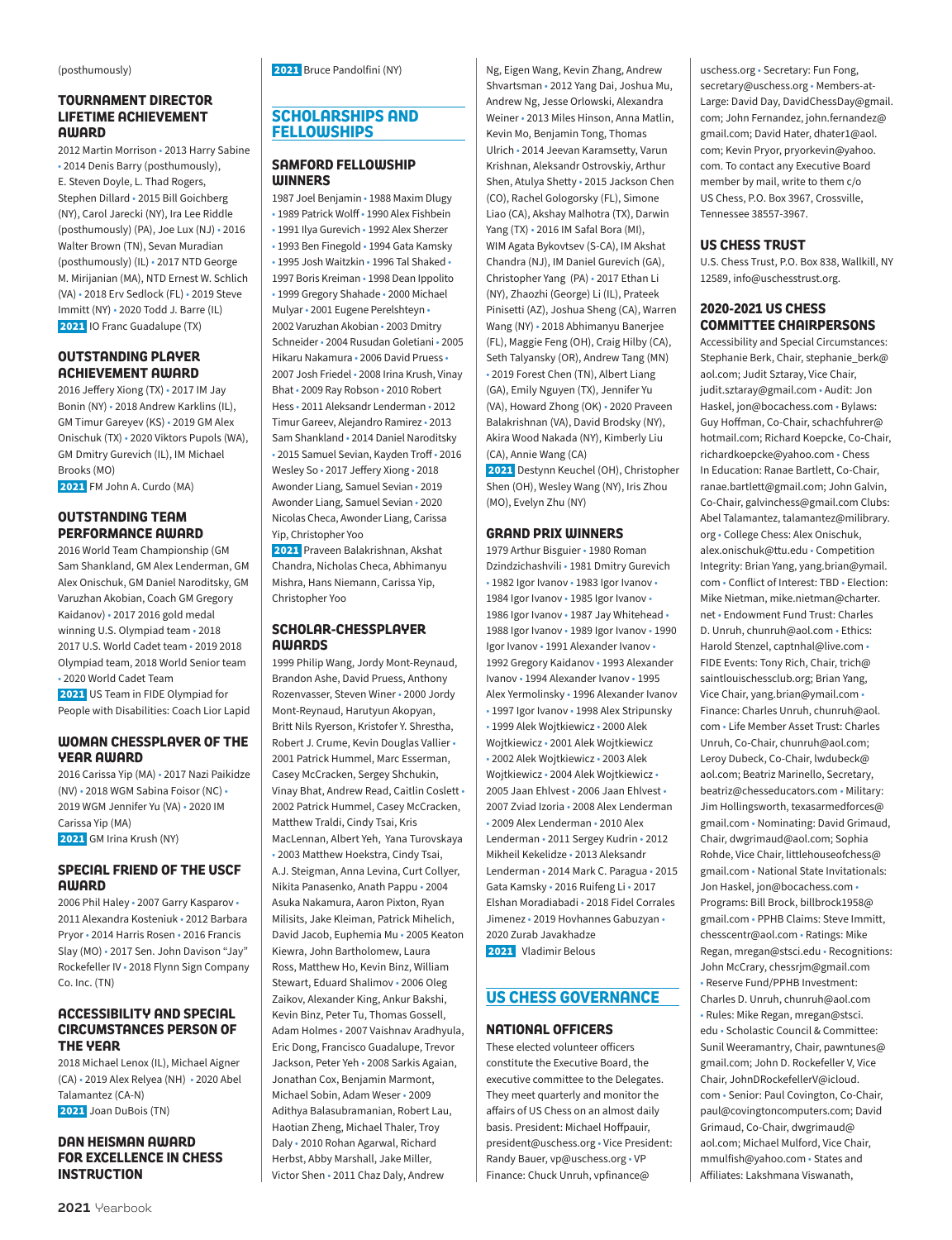### **TOURNAMENT DIRECTOR LIFETIME ACHIEVEMENT AWARD**

2012 Martin Morrison • 2013 Harry Sabine • 2014 Denis Barry (posthumously), E. Steven Doyle, L. Thad Rogers, Stephen Dillard • 2015 Bill Goichberg (NY), Carol Jarecki (NY), Ira Lee Riddle (posthumously) (PA), Joe Lux (NJ) • 2016 Walter Brown (TN), Sevan Muradian (posthumously) (IL) • 2017 NTD George M. Mirijanian (MA), NTD Ernest W. Schlich (VA) • 2018 Erv Sedlock (FL) • 2019 Steve Immitt (NY) • 2020 Todd J. Barre (IL) 2021 IO Franc Guadalupe (TX)

### **OUTSTANDING PLAYER ACHIEVEMENT AWARD**

2016 Jeffery Xiong (TX) • 2017 IM Jay Bonin (NY) • 2018 Andrew Karklins (IL), GM Timur Gareyev (KS) • 2019 GM Alex Onischuk (TX) • 2020 Viktors Pupols (WA), GM Dmitry Gurevich (IL), IM Michael Brooks (MO)

2021 FM John A. Curdo (MA)

### **OUTSTANDING TEAM PERFORMANCE AWARD**

2016 World Team Championship (GM Sam Shankland, GM Alex Lenderman, GM Alex Onischuk, GM Daniel Naroditsky, GM Varuzhan Akobian, Coach GM Gregory Kaidanov) • 2017 2016 gold medal winning U.S. Olympiad team • 2018 2017 U.S. World Cadet team • 2019 2018 Olympiad team, 2018 World Senior team • 2020 World Cadet Team 2021 US Team in FIDE Olympiad for People with Disabilities: Coach Lior Lapid

### **WOMAN CHESSPLAYER OF THE YEAR AWARD**

2016 Carissa Yip (MA) • 2017 Nazi Paikidze (NV) • 2018 WGM Sabina Foisor (NC) • 2019 WGM Jennifer Yu (VA) • 2020 IM Carissa Yip (MA) 2021 GM Irina Krush (NY)

**SPECIAL FRIEND OF THE USCF AWARD**

2006 Phil Haley • 2007 Garry Kasparov • 2011 Alexandra Kosteniuk • 2012 Barbara Pryor • 2014 Harris Rosen • 2016 Francis Slay (MO) • 2017 Sen. John Davison "Jay" Rockefeller IV • 2018 Flynn Sign Company Co. Inc. (TN)

### **ACCESSIBILITY AND SPECIAL CIRCUMSTANCES PERSON OF THE YEAR**

2018 Michael Lenox (IL), Michael Aigner (CA) • 2019 Alex Relyea (NH) • 2020 Abel Talamantez (CA-N) 2021 Joan DuBois (TN)

### **DAN HEISMAN AWARD FOR EXCELLENCE IN CHESS INSTRUCTION**

2021 Bruce Pandolfini (NY)

### **SCHOLARSHIPS AND FELLOWSHIPS**

### **SAMFORD FELLOWSHIP WINNERS**

1987 Joel Benjamin • 1988 Maxim Dlugy • 1989 Patrick Wolff • 1990 Alex Fishbein • 1991 Ilya Gurevich • 1992 Alex Sherzer • 1993 Ben Finegold • 1994 Gata Kamsky • 1995 Josh Waitzkin • 1996 Tal Shaked • 1997 Boris Kreiman • 1998 Dean Ippolito • 1999 Gregory Shahade • 2000 Michael Mulyar • 2001 Eugene Perelshteyn • 2002 Varuzhan Akobian • 2003 Dmitry Schneider • 2004 Rusudan Goletiani • 2005 Hikaru Nakamura • 2006 David Pruess • 2007 Josh Friedel • 2008 Irina Krush, Vinay Bhat • 2009 Ray Robson • 2010 Robert Hess • 2011 Aleksandr Lenderman • 2012 Timur Gareev, Alejandro Ramirez • 2013 Sam Shankland • 2014 Daniel Naroditsky • 2015 Samuel Sevian, Kayden Troff • 2016 Wesley So • 2017 Jeffery Xiong • 2018 Awonder Liang, Samuel Sevian • 2019 Awonder Liang, Samuel Sevian • 2020 Nicolas Checa, Awonder Liang, Carissa Yip, Christopher Yoo

 2021 Praveen Balakrishnan, Akshat Chandra, Nicholas Checa, Abhimanyu Mishra, Hans Niemann, Carissa Yip, Christopher Yoo

### **SCHOLAR-CHESSPLAYER AWARDS**

1999 Philip Wang, Jordy Mont-Reynaud, Brandon Ashe, David Pruess, Anthony Rozenvasser, Steven Winer • 2000 Jordy Mont-Reynaud, Harutyun Akopyan, Britt Nils Ryerson, Kristofer Y. Shrestha, Robert J. Crume, Kevin Douglas Vallier • 2001 Patrick Hummel, Marc Esserman, Casey McCracken, Sergey Shchukin, Vinay Bhat, Andrew Read, Caitlin Coslett • 2002 Patrick Hummel, Casey McCracken, Matthew Traldi, Cindy Tsai, Kris MacLennan, Albert Yeh, Yana Turovskaya • 2003 Matthew Hoekstra, Cindy Tsai, A.J. Steigman, Anna Levina, Curt Collyer, Nikita Panasenko, Anath Pappu • 2004 Asuka Nakamura, Aaron Pixton, Ryan Milisits, Jake Kleiman, Patrick Mihelich, David Jacob, Euphemia Mu • 2005 Keaton Kiewra, John Bartholomew, Laura Ross, Matthew Ho, Kevin Binz, William Stewart, Eduard Shalimov • 2006 Oleg Zaikov, Alexander King, Ankur Bakshi, Kevin Binz, Peter Tu, Thomas Gossell, Adam Holmes • 2007 Vaishnav Aradhyula, Eric Dong, Francisco Guadalupe, Trevor Jackson, Peter Yeh • 2008 Sarkis Agaian, Jonathan Cox, Benjamin Marmont, Michael Sobin, Adam Weser • 2009 Adithya Balasubramanian, Robert Lau, Haotian Zheng, Michael Thaler, Troy Daly • 2010 Rohan Agarwal, Richard Herbst, Abby Marshall, Jake Miller, Victor Shen • 2011 Chaz Daly, Andrew

Ng, Eigen Wang, Kevin Zhang, Andrew Shvartsman • 2012 Yang Dai, Joshua Mu, Andrew Ng, Jesse Orlowski, Alexandra Weiner • 2013 Miles Hinson, Anna Matlin, Kevin Mo, Benjamin Tong, Thomas Ulrich • 2014 Jeevan Karamsetty, Varun Krishnan, Aleksandr Ostrovskiy, Arthur Shen, Atulya Shetty • 2015 Jackson Chen (CO), Rachel Gologorsky (FL), Simone Liao (CA), Akshay Malhotra (TX), Darwin Yang (TX) • 2016 IM Safal Bora (MI), WIM Agata Bykovtsev (S-CA), IM Akshat Chandra (NJ), IM Daniel Gurevich (GA), Christopher Yang (PA) • 2017 Ethan Li (NY), Zhaozhi (George) Li (IL), Prateek Pinisetti (AZ), Joshua Sheng (CA), Warren Wang (NY) • 2018 Abhimanyu Banerjee (FL), Maggie Feng (OH), Craig Hilby (CA), Seth Talyansky (OR), Andrew Tang (MN) • 2019 Forest Chen (TN), Albert Liang (GA), Emily Nguyen (TX), Jennifer Yu (VA), Howard Zhong (OK) • 2020 Praveen Balakrishnan (VA), David Brodsky (NY), Akira Wood Nakada (NY), Kimberly Liu (CA), Annie Wang (CA)

 2021 Destynn Keuchel (OH), Christopher Shen (OH), Wesley Wang (NY), Iris Zhou (MO), Evelyn Zhu (NY)

### **GRAND PRIX WINNERS**

1979 Arthur Bisguier • 1980 Roman Dzindzichashvili • 1981 Dmitry Gurevich • 1982 Igor Ivanov • 1983 Igor Ivanov • 1984 Igor Ivanov • 1985 Igor Ivanov • 1986 Igor Ivanov • 1987 Jay Whitehead • 1988 Igor Ivanov • 1989 Igor Ivanov • 1990 Igor Ivanov • 1991 Alexander Ivanov • 1992 Gregory Kaidanov • 1993 Alexander Ivanov • 1994 Alexander Ivanov • 1995 Alex Yermolinsky • 1996 Alexander Ivanov • 1997 Igor Ivanov • 1998 Alex Stripunsky • 1999 Alek Wojtkiewicz • 2000 Alek Wojtkiewicz • 2001 Alek Wojtkiewicz • 2002 Alek Wojtkiewicz • 2003 Alek Wojtkiewicz • 2004 Alek Wojtkiewicz • 2005 Jaan Ehlvest • 2006 Jaan Ehlvest • 2007 Zviad Izoria • 2008 Alex Lenderman • 2009 Alex Lenderman • 2010 Alex Lenderman • 2011 Sergey Kudrin • 2012 Mikheil Kekelidze • 2013 Aleksandr Lenderman • 2014 Mark C. Paragua • 2015 Gata Kamsky • 2016 Ruifeng Li • 2017 Elshan Moradiabadi • 2018 Fidel Corrales Jimenez • 2019 Hovhannes Gabuzyan • 2020 Zurab Javakhadze 2021 Vladimir Belous

### **US CHESS GOVERNANCE**

### **NATIONAL OFFICERS**

These elected volunteer officers constitute the Executive Board, the executive committee to the Delegates. They meet quarterly and monitor the affairs of US Chess on an almost daily basis. President: Michael Hoffpauir, president@uschess.org • Vice President: Randy Bauer, vp@uschess.org • VP Finance: Chuck Unruh, vpfinance@

uschess.org • Secretary: Fun Fong, secretary@uschess.org • Members-at-Large: David Day, DavidChessDay@gmail. com; John Fernandez, john.fernandez@ gmail.com; David Hater, dhater1@aol. com; Kevin Pryor, pryorkevin@yahoo. com. To contact any Executive Board member by mail, write to them c/o US Chess, P.O. Box 3967, Crossville, Tennessee 38557-3967.

### **US CHESS TRUST**

U.S. Chess Trust, P.O. Box 838, Wallkill, NY 12589, info@uschesstrust.org.

### **2020-2021 US CHESS COMMITTEE CHAIRPERSONS**

Accessibility and Special Circumstances: Stephanie Berk, Chair, stephanie\_berk@ aol.com; Judit Sztaray, Vice Chair, judit.sztaray@gmail.com • Audit: Jon Haskel, jon@bocachess.com • Bylaws: Guy Hoffman, Co-Chair, schachfuhrer@ hotmail.com; Richard Koepcke, Co-Chair, richardkoepcke@yahoo.com • Chess In Education: Ranae Bartlett, Co-Chair, ranae.bartlett@gmail.com; John Galvin, Co-Chair, galvinchess@gmail.com Clubs: Abel Talamantez, talamantez@milibrary. org • College Chess: Alex Onischuk, alex.onischuk@ttu.edu • Competition Integrity: Brian Yang, yang.brian@ymail. com • Conflict of Interest: TBD • Election: Mike Nietman, mike.nietman@charter. net • Endowment Fund Trust: Charles D. Unruh, chunruh@aol.com • Ethics: Harold Stenzel, captnhal@live.com • FIDE Events: Tony Rich, Chair, trich@ saintlouischessclub.org; Brian Yang, Vice Chair, yang.brian@ymail.com • Finance: Charles Unruh, chunruh@aol. com • Life Member Asset Trust: Charles Unruh, Co-Chair, chunruh@aol.com; Leroy Dubeck, Co-Chair, lwdubeck@ aol.com; Beatriz Marinello, Secretary, beatriz@chesseducators.com • Military: Jim Hollingsworth, texasarmedforces@ gmail.com • Nominating: David Grimaud, Chair, dwgrimaud@aol.com; Sophia Rohde, Vice Chair, littlehouseofchess@ gmail.com • National State Invitationals: Jon Haskel, jon@bocachess.com • Programs: Bill Brock, billbrock1958@ gmail.com • PPHB Claims: Steve Immitt, chesscentr@aol.com • Ratings: Mike Regan, mregan@stsci.edu • Recognitions: John McCrary, chessrjm@gmail.com • Reserve Fund/PPHB Investment: Charles D. Unruh, chunruh@aol.com • Rules: Mike Regan, mregan@stsci. edu • Scholastic Council & Committee: Sunil Weeramantry, Chair, pawntunes@ gmail.com; John D. Rockefeller V, Vice Chair, JohnDRockefellerV@icloud. com • Senior: Paul Covington, Co-Chair, paul@covingtoncomputers.com; David Grimaud, Co-Chair, dwgrimaud@ aol.com; Michael Mulford, Vice Chair, mmulfish@yahoo.com • States and Affiliates: Lakshmana Viswanath,